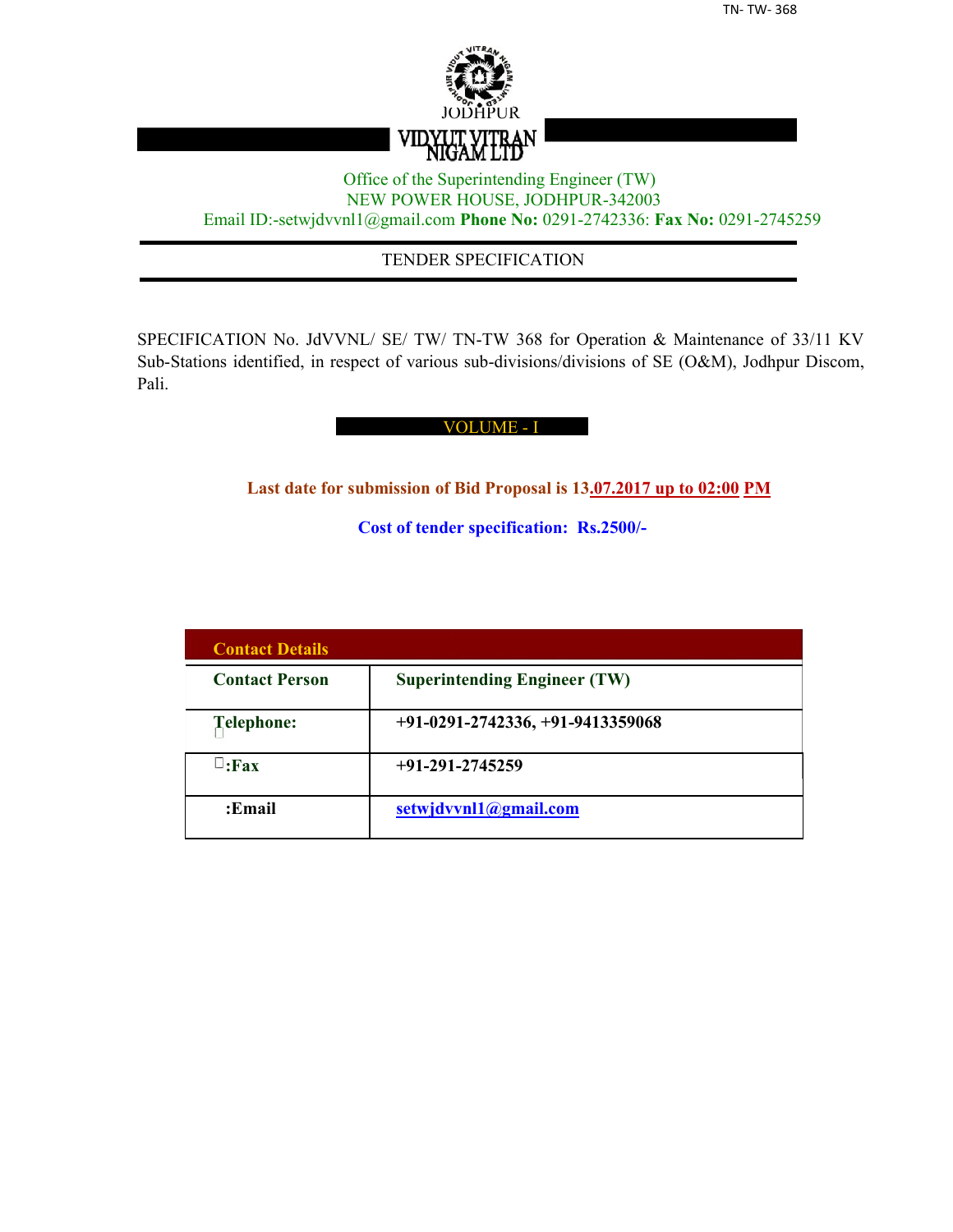

Office of the Superintending Engineer (TW) NEW POWER HOUSE, JODHPUR-342003 Email ID:-setwjdvvnl1@gmail.com **Phone No:** 0291-2742336: **Fax No:** 0291-2745259

## TENDER SPECIFICATION

SPECIFICATION No. JdVVNL/ SE/ TW/ TN-TW 368 for Operation & Maintenance of 33/11 KV Sub-Stations identified, in respect of various sub-divisions/divisions of SE (O&M), Jodhpur Discom, Pali.

#### VOLUME - I

**Last date for submission of Bid Proposal is 13.07.2017 up to 02:00 PM**

**Cost of tender specification: Rs.2500/-**

| <b>Contact Details</b> |                                     |
|------------------------|-------------------------------------|
| <b>Contact Person</b>  | <b>Superintending Engineer (TW)</b> |
| Telephone:             | $+91-0291-2742336, +91-9413359068$  |
| $\sqcup$ :Fax          | $+91-291-2745259$                   |
| :Email                 | setwjdvvnl1@gmail.com               |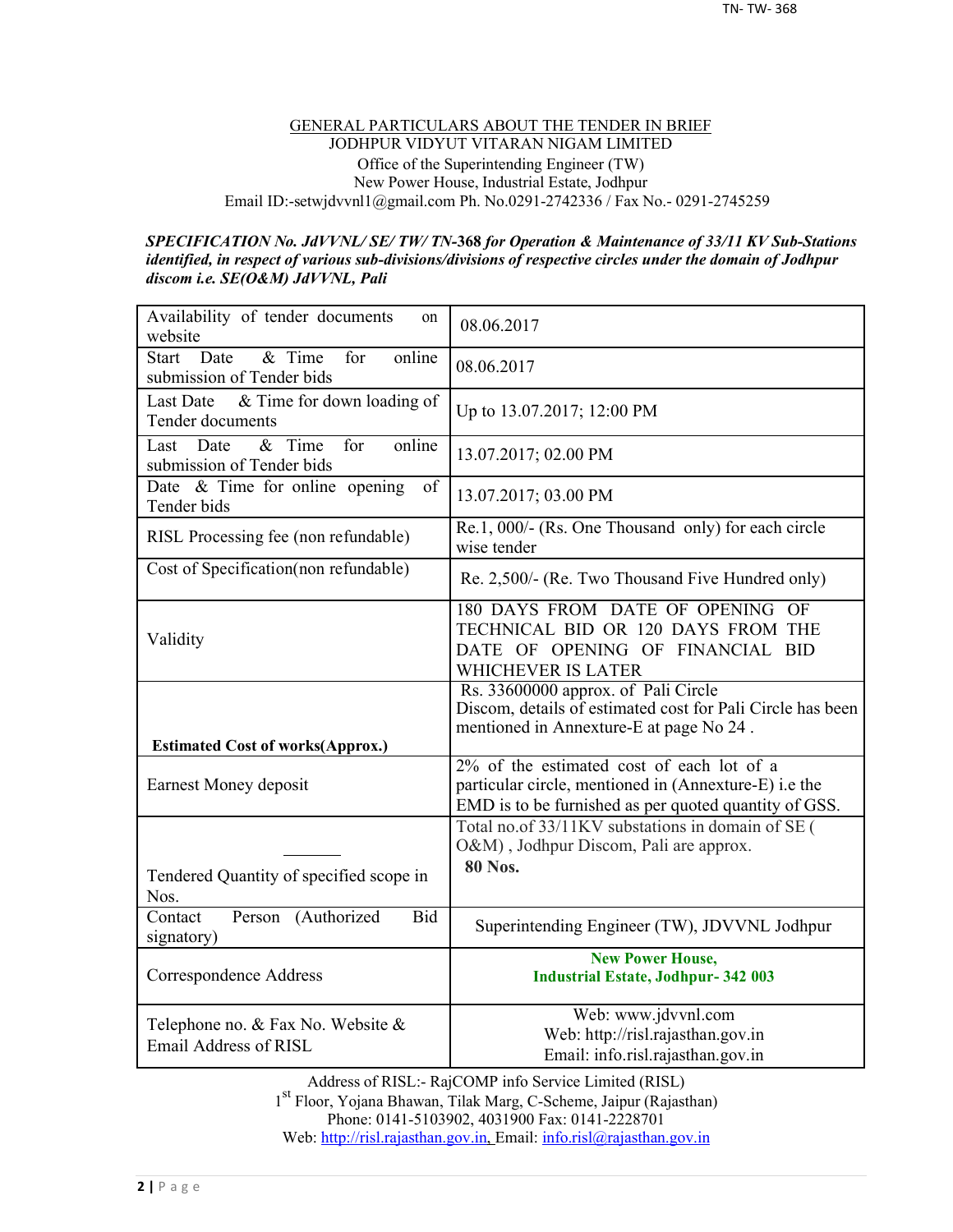#### GENERAL PARTICULARS ABOUT THE TENDER IN BRIEF JODHPUR VIDYUT VITARAN NIGAM LIMITED Office of the Superintending Engineer (TW) New Power House, Industrial Estate, Jodhpur Email ID:-setwjdvvnl1@gmail.com Ph. No.0291-2742336 / Fax No.- 0291-2745259

#### *SPECIFICATION No. JdVVNL/ SE/ TW/ TN-***368** *for Operation & Maintenance of 33/11 KV Sub-Stations identified, in respect of various sub-divisions/divisions of respective circles under the domain of Jodhpur discom i.e. SE(O&M) JdVVNL, Pali*

| Availability of tender documents<br>on<br>website                              | 08.06.2017                                                                                                                                                  |
|--------------------------------------------------------------------------------|-------------------------------------------------------------------------------------------------------------------------------------------------------------|
| $&$ Time<br>Date<br>for<br>online<br><b>Start</b><br>submission of Tender bids | 08.06.2017                                                                                                                                                  |
| & Time for down loading of<br>Last Date<br>Tender documents                    | Up to 13.07.2017; 12:00 PM                                                                                                                                  |
| $&$ Time<br>for<br>online<br>Last<br>Date<br>submission of Tender bids         | 13.07.2017; 02.00 PM                                                                                                                                        |
| Date & Time for online opening<br>of<br>Tender bids                            | 13.07.2017; 03.00 PM                                                                                                                                        |
| RISL Processing fee (non refundable)                                           | Re.1, 000/- (Rs. One Thousand only) for each circle<br>wise tender                                                                                          |
| Cost of Specification(non refundable)                                          | Re. 2,500/- (Re. Two Thousand Five Hundred only)                                                                                                            |
| Validity                                                                       | 180 DAYS FROM DATE OF OPENING OF<br>TECHNICAL BID OR 120 DAYS FROM THE<br>DATE OF OPENING OF FINANCIAL BID<br><b>WHICHEVER IS LATER</b>                     |
|                                                                                | Rs. 33600000 approx. of Pali Circle                                                                                                                         |
|                                                                                | Discom, details of estimated cost for Pali Circle has been<br>mentioned in Annexture-E at page No 24.                                                       |
| <b>Estimated Cost of works (Approx.)</b><br>Earnest Money deposit              | 2% of the estimated cost of each lot of a<br>particular circle, mentioned in (Annexture-E) i.e the<br>EMD is to be furnished as per quoted quantity of GSS. |
| Tendered Quantity of specified scope in<br>Nos.                                | Total no.of 33/11KV substations in domain of SE (<br>O&M), Jodhpur Discom, Pali are approx.<br><b>80 Nos.</b>                                               |
| Contact<br>Person (Authorized<br>Bid<br>signatory)                             | Superintending Engineer (TW), JDVVNL Jodhpur                                                                                                                |
| Correspondence Address                                                         | <b>New Power House,</b><br><b>Industrial Estate, Jodhpur-342 003</b>                                                                                        |

Address of RISL:- RajCOMP info Service Limited (RISL) 1 st Floor, Yojana Bhawan, Tilak Marg, C-Scheme, Jaipur (Rajasthan) Phone: 0141-5103902, 4031900 Fax: 0141-2228701 Web: http://risl.rajasthan.gov.in, Email: info.risl@rajasthan.gov.in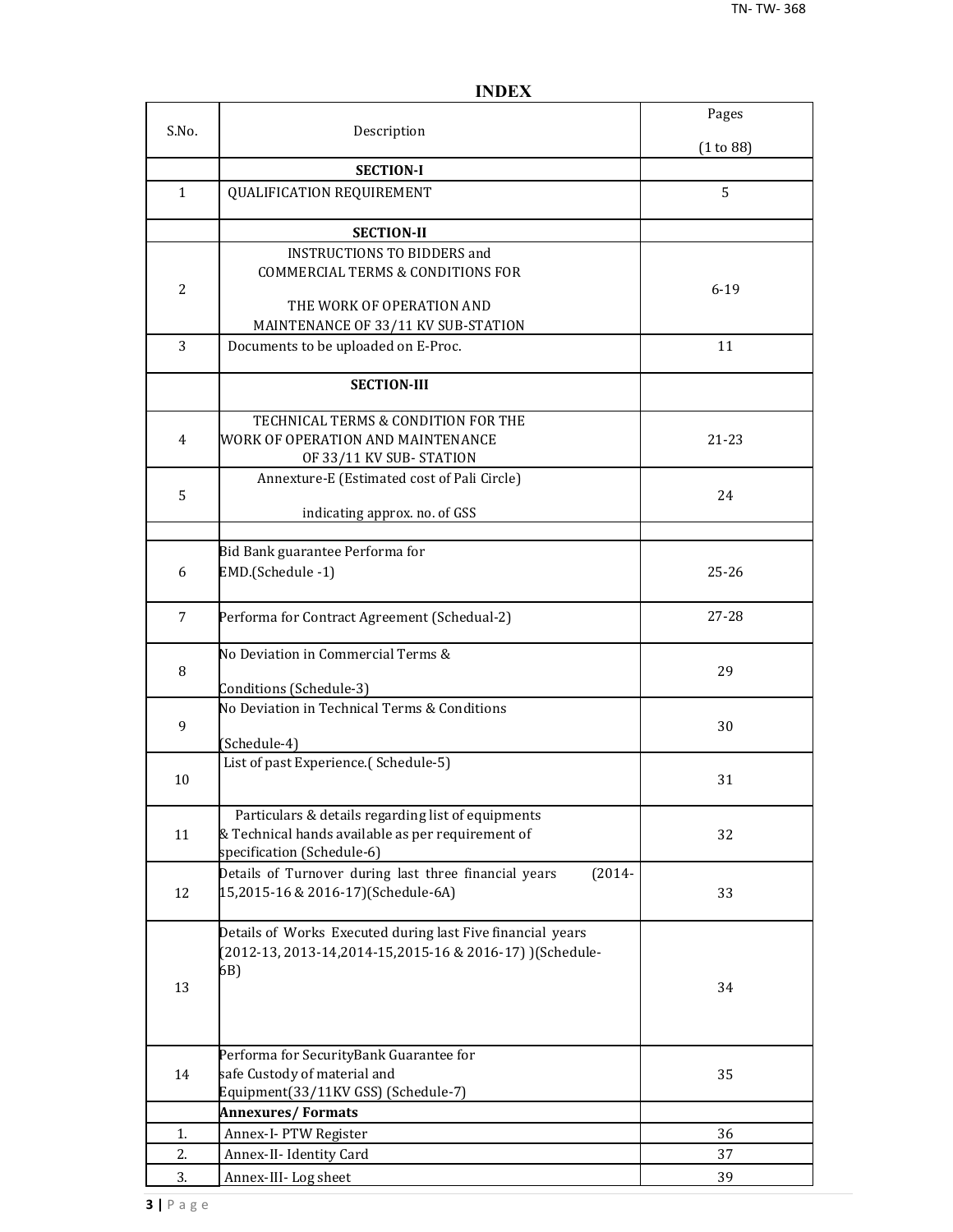|                |                                                                                                                                       | Pages     |
|----------------|---------------------------------------------------------------------------------------------------------------------------------------|-----------|
| S.No.          | Description                                                                                                                           | (1 to 88) |
|                | <b>SECTION-I</b>                                                                                                                      |           |
| $\mathbf{1}$   | QUALIFICATION REQUIREMENT                                                                                                             | 5         |
|                | <b>SECTION-II</b>                                                                                                                     |           |
| $\overline{2}$ | <b>INSTRUCTIONS TO BIDDERS and</b><br><b>COMMERCIAL TERMS &amp; CONDITIONS FOR</b><br>THE WORK OF OPERATION AND                       | $6 - 19$  |
|                | MAINTENANCE OF 33/11 KV SUB-STATION                                                                                                   |           |
| 3              | Documents to be uploaded on E-Proc.                                                                                                   | 11        |
|                | <b>SECTION-III</b>                                                                                                                    |           |
| 4              | TECHNICAL TERMS & CONDITION FOR THE<br>WORK OF OPERATION AND MAINTENANCE<br>OF 33/11 KV SUB-STATION                                   | 21-23     |
| 5              | Annexture-E (Estimated cost of Pali Circle)<br>indicating approx. no. of GSS                                                          | 24        |
|                |                                                                                                                                       |           |
| 6              | Bid Bank guarantee Performa for<br>EMD.(Schedule -1)                                                                                  | $25 - 26$ |
| 7              | Performa for Contract Agreement (Schedual-2)                                                                                          | 27-28     |
| 8              | No Deviation in Commercial Terms &<br>Conditions (Schedule-3)                                                                         | 29        |
| 9              | No Deviation in Technical Terms & Conditions<br>(Schedule-4)                                                                          | 30        |
| 10             | List of past Experience.(Schedule-5)                                                                                                  | 31        |
| 11             | Particulars & details regarding list of equipments<br>& Technical hands available as per requirement of<br>specification (Schedule-6) | 32        |
| 12             | Details of Turnover during last three financial years<br>$(2014 -$<br>15,2015-16 & 2016-17)(Schedule-6A)                              | 33        |
| 13             | Details of Works Executed during last Five financial years<br>(2012-13, 2013-14, 2014-15, 2015-16 & 2016-17) ) (Schedule-<br>6B)      | 34        |
| 14             | Performa for SecurityBank Guarantee for<br>safe Custody of material and<br>Equipment(33/11KV GSS) (Schedule-7)                        | 35        |
|                | <b>Annexures/Formats</b>                                                                                                              |           |
| 1.             | Annex-I- PTW Register                                                                                                                 | 36        |
| 2.             | Annex-II- Identity Card                                                                                                               | 37        |
| 3.             | Annex-III-Log sheet                                                                                                                   | 39        |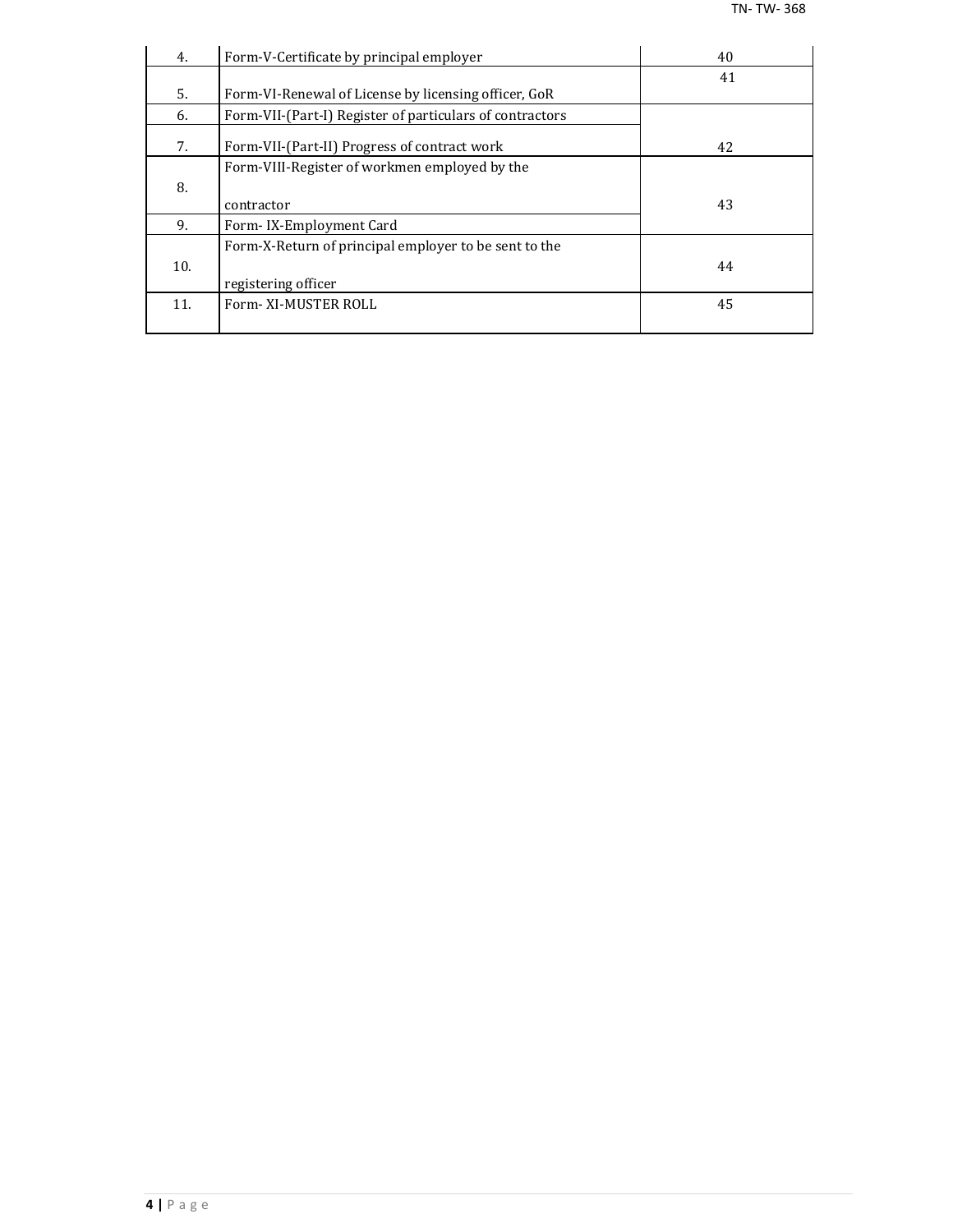| 4.  | Form-V-Certificate by principal employer                 | 40 |
|-----|----------------------------------------------------------|----|
|     |                                                          | 41 |
| 5.  | Form-VI-Renewal of License by licensing officer, GoR     |    |
| 6.  | Form-VII-(Part-I) Register of particulars of contractors |    |
| 7.  | Form-VII-(Part-II) Progress of contract work             | 42 |
|     | Form-VIII-Register of workmen employed by the            |    |
| 8.  |                                                          |    |
|     | contractor                                               | 43 |
| 9.  | Form-IX-Employment Card                                  |    |
|     | Form-X-Return of principal employer to be sent to the    |    |
| 10. |                                                          | 44 |
|     | registering officer                                      |    |
| 11. | Form-XI-MUSTER ROLL                                      | 45 |
|     |                                                          |    |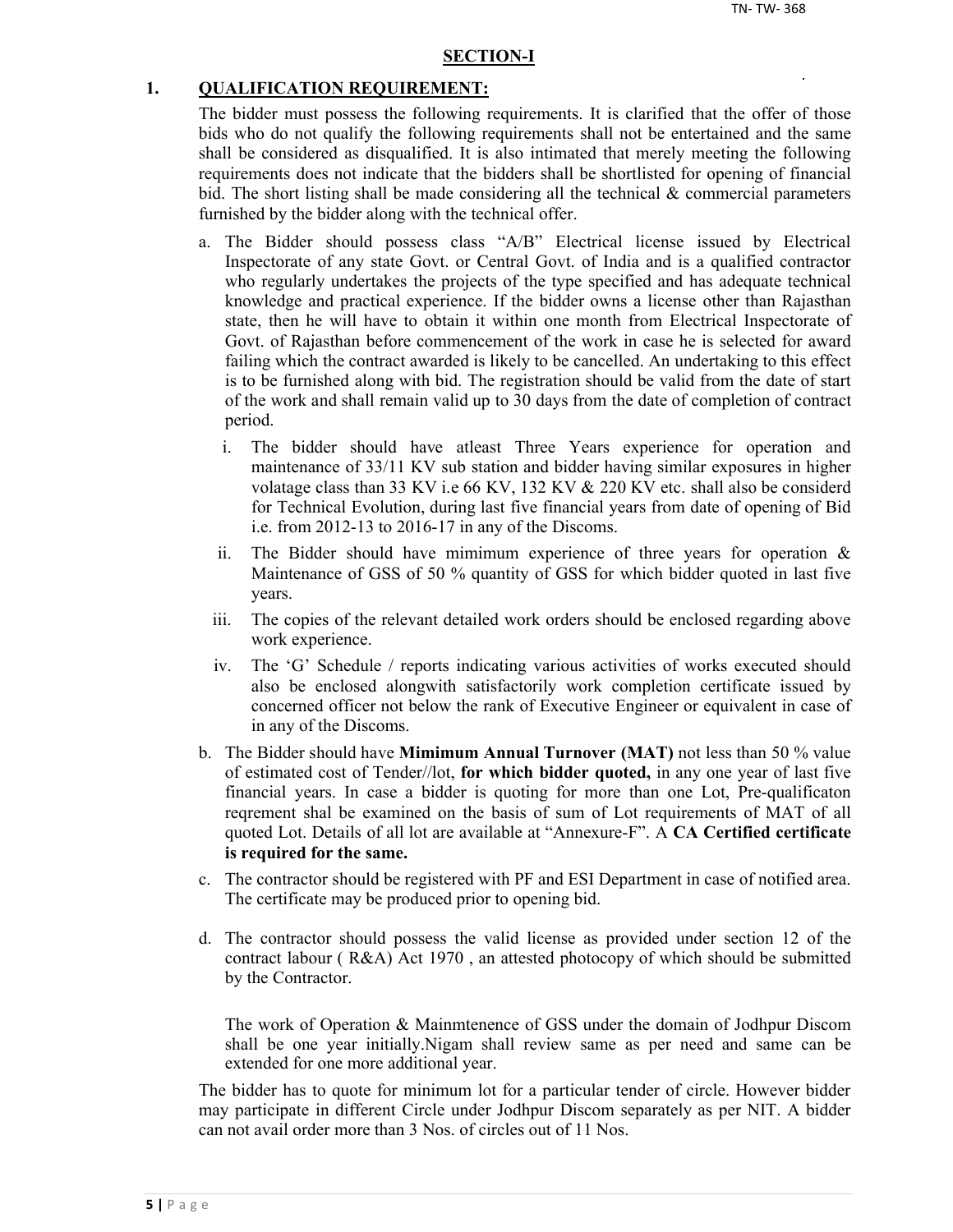#### **SECTION-I**

#### **1. QUALIFICATION REQUIREMENT:**

The bidder must possess the following requirements. It is clarified that the offer of those bids who do not qualify the following requirements shall not be entertained and the same shall be considered as disqualified. It is also intimated that merely meeting the following requirements does not indicate that the bidders shall be shortlisted for opening of financial bid. The short listing shall be made considering all the technical  $\&$  commercial parameters furnished by the bidder along with the technical offer.

- a. The Bidder should possess class "A/B" Electrical license issued by Electrical Inspectorate of any state Govt. or Central Govt. of India and is a qualified contractor who regularly undertakes the projects of the type specified and has adequate technical knowledge and practical experience. If the bidder owns a license other than Rajasthan state, then he will have to obtain it within one month from Electrical Inspectorate of Govt. of Rajasthan before commencement of the work in case he is selected for award failing which the contract awarded is likely to be cancelled. An undertaking to this effect is to be furnished along with bid. The registration should be valid from the date of start of the work and shall remain valid up to 30 days from the date of completion of contract period.
	- i. The bidder should have atleast Three Years experience for operation and maintenance of 33/11 KV sub station and bidder having similar exposures in higher volatage class than 33 KV i.e 66 KV, 132 KV & 220 KV etc. shall also be considerd for Technical Evolution, during last five financial years from date of opening of Bid i.e. from 2012-13 to 2016-17 in any of the Discoms.
	- ii. The Bidder should have mimimum experience of three years for operation  $\&$ Maintenance of GSS of 50 % quantity of GSS for which bidder quoted in last five years.
	- iii. The copies of the relevant detailed work orders should be enclosed regarding above work experience.
	- iv. The 'G' Schedule / reports indicating various activities of works executed should also be enclosed alongwith satisfactorily work completion certificate issued by concerned officer not below the rank of Executive Engineer or equivalent in case of in any of the Discoms.
- b. The Bidder should have **Mimimum Annual Turnover (MAT)** not less than 50 % value of estimated cost of Tender//lot, **for which bidder quoted,** in any one year of last five financial years. In case a bidder is quoting for more than one Lot, Pre-qualificaton reqrement shal be examined on the basis of sum of Lot requirements of MAT of all quoted Lot. Details of all lot are available at "Annexure-F". A **CA Certified certificate is required for the same.**
- c. The contractor should be registered with PF and ESI Department in case of notified area. The certificate may be produced prior to opening bid.
- d. The contractor should possess the valid license as provided under section 12 of the contract labour ( R&A) Act 1970 , an attested photocopy of which should be submitted by the Contractor.

The work of Operation & Mainmtenence of GSS under the domain of Jodhpur Discom shall be one year initially.Nigam shall review same as per need and same can be extended for one more additional year.

The bidder has to quote for minimum lot for a particular tender of circle. However bidder may participate in different Circle under Jodhpur Discom separately as per NIT. A bidder can not avail order more than 3 Nos. of circles out of 11 Nos.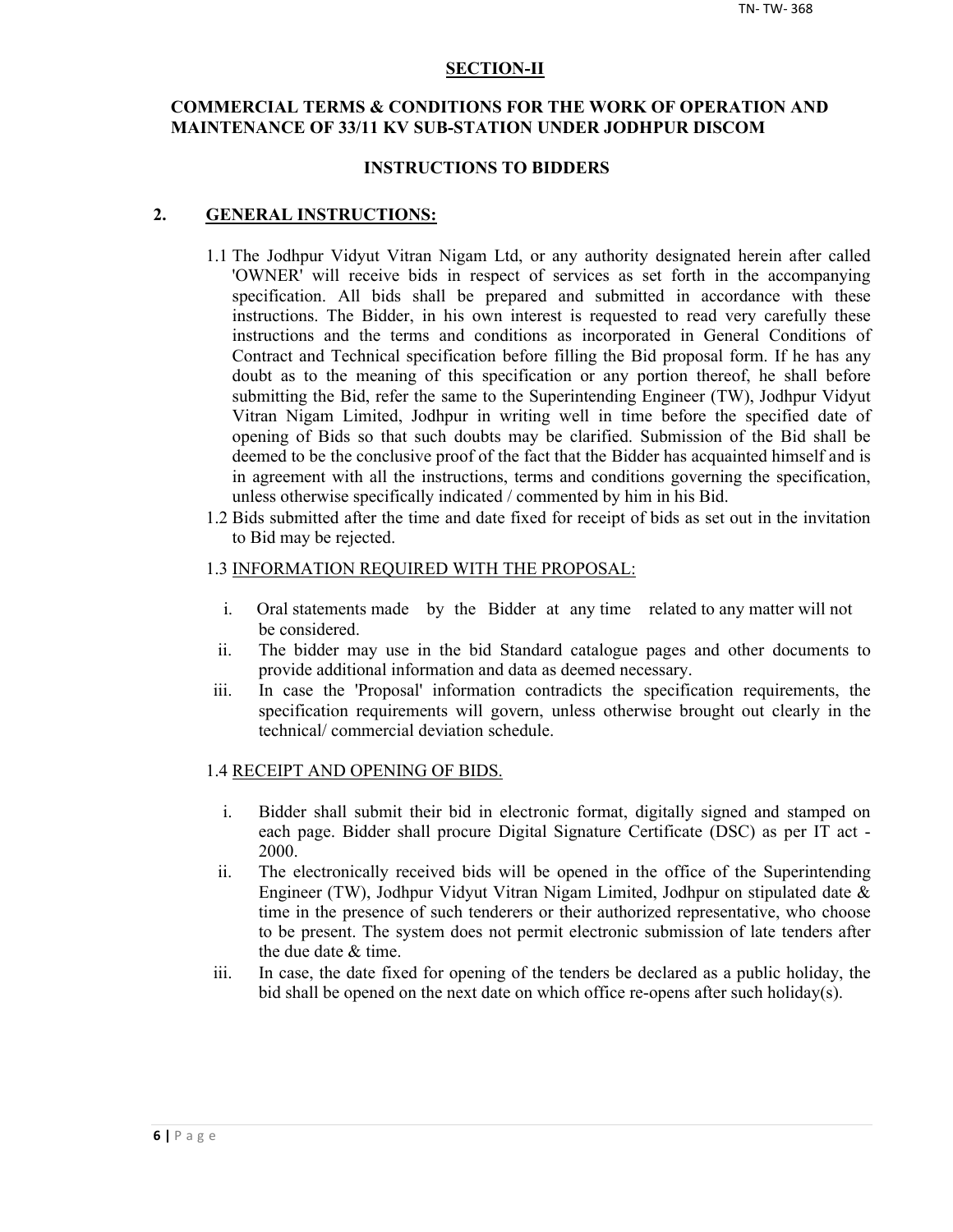#### **SECTION-II**

## **COMMERCIAL TERMS & CONDITIONS FOR THE WORK OF OPERATION AND MAINTENANCE OF 33/11 KV SUB-STATION UNDER JODHPUR DISCOM**

#### **INSTRUCTIONS TO BIDDERS**

#### **2. GENERAL INSTRUCTIONS:**

- 1.1 The Jodhpur Vidyut Vitran Nigam Ltd, or any authority designated herein after called 'OWNER' will receive bids in respect of services as set forth in the accompanying specification. All bids shall be prepared and submitted in accordance with these instructions. The Bidder, in his own interest is requested to read very carefully these instructions and the terms and conditions as incorporated in General Conditions of Contract and Technical specification before filling the Bid proposal form. If he has any doubt as to the meaning of this specification or any portion thereof, he shall before submitting the Bid, refer the same to the Superintending Engineer (TW), Jodhpur Vidyut Vitran Nigam Limited, Jodhpur in writing well in time before the specified date of opening of Bids so that such doubts may be clarified. Submission of the Bid shall be deemed to be the conclusive proof of the fact that the Bidder has acquainted himself and is in agreement with all the instructions, terms and conditions governing the specification, unless otherwise specifically indicated / commented by him in his Bid.
- 1.2 Bids submitted after the time and date fixed for receipt of bids as set out in the invitation to Bid may be rejected.

#### 1.3 INFORMATION REQUIRED WITH THE PROPOSAL:

- i. Oral statements made by the Bidder at any time related to any matter will not be considered.
- ii. The bidder may use in the bid Standard catalogue pages and other documents to provide additional information and data as deemed necessary.
- iii. In case the 'Proposal' information contradicts the specification requirements, the specification requirements will govern, unless otherwise brought out clearly in the technical/ commercial deviation schedule.

#### 1.4 RECEIPT AND OPENING OF BIDS.

- i. Bidder shall submit their bid in electronic format, digitally signed and stamped on each page. Bidder shall procure Digital Signature Certificate (DSC) as per IT act - 2000.
- ii. The electronically received bids will be opened in the office of the Superintending Engineer (TW), Jodhpur Vidyut Vitran Nigam Limited, Jodhpur on stipulated date & time in the presence of such tenderers or their authorized representative, who choose to be present. The system does not permit electronic submission of late tenders after the due date & time.
- iii. In case, the date fixed for opening of the tenders be declared as a public holiday, the bid shall be opened on the next date on which office re-opens after such holiday(s).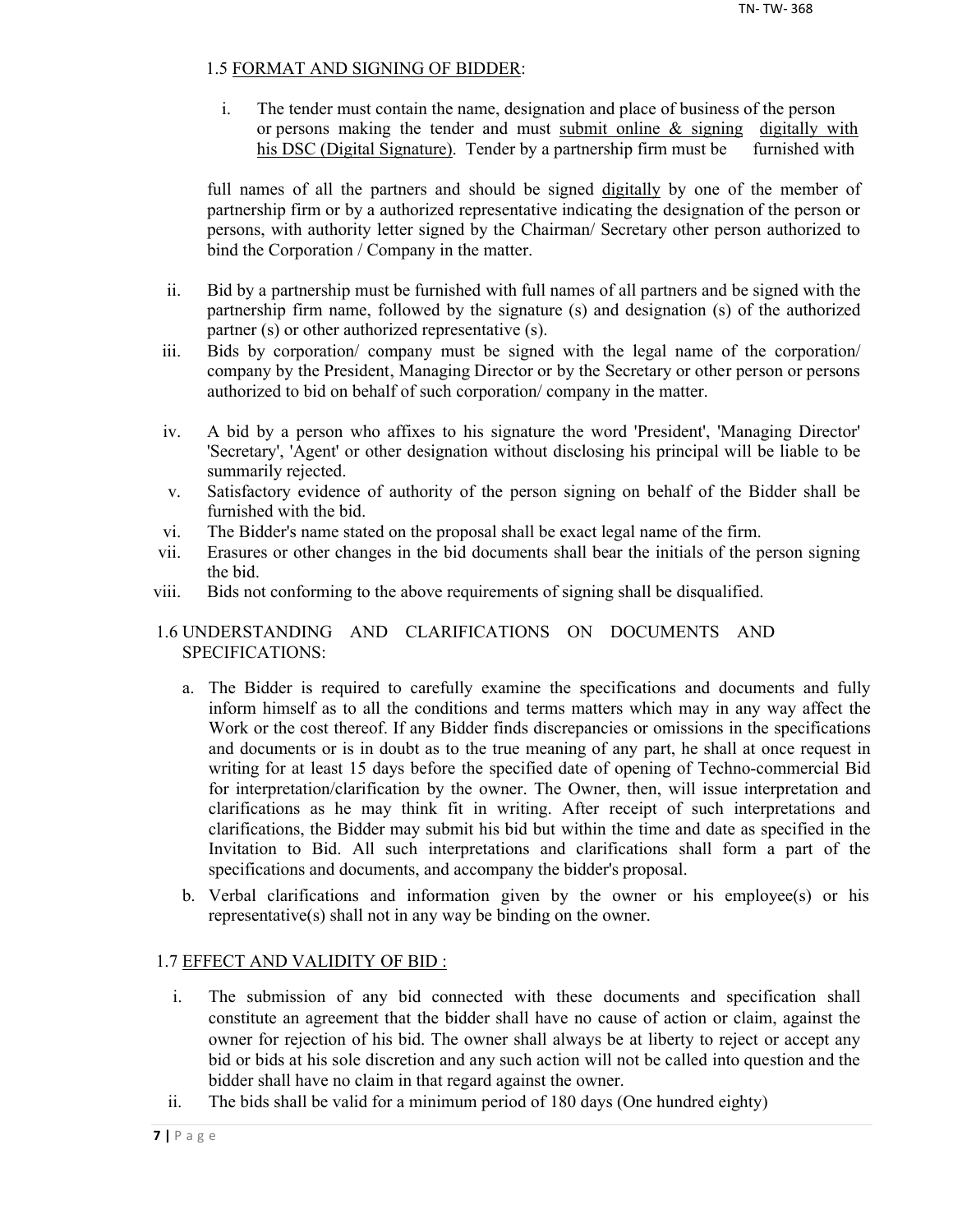## 1.5 FORMAT AND SIGNING OF BIDDER:

i. The tender must contain the name, designation and place of business of the person or persons making the tender and must submit online & signing digitally with his DSC (Digital Signature). Tender by a partnership firm must be furnished with

full names of all the partners and should be signed digitally by one of the member of partnership firm or by a authorized representative indicating the designation of the person or persons, with authority letter signed by the Chairman/ Secretary other person authorized to bind the Corporation / Company in the matter.

- ii. Bid by a partnership must be furnished with full names of all partners and be signed with the partnership firm name, followed by the signature (s) and designation (s) of the authorized partner (s) or other authorized representative (s).
- iii. Bids by corporation/ company must be signed with the legal name of the corporation/ company by the President, Managing Director or by the Secretary or other person or persons authorized to bid on behalf of such corporation/ company in the matter.
- iv. A bid by a person who affixes to his signature the word 'President', 'Managing Director' 'Secretary', 'Agent' or other designation without disclosing his principal will be liable to be summarily rejected.
- v. Satisfactory evidence of authority of the person signing on behalf of the Bidder shall be furnished with the bid.
- vi. The Bidder's name stated on the proposal shall be exact legal name of the firm.
- vii. Erasures or other changes in the bid documents shall bear the initials of the person signing the bid.
- viii. Bids not conforming to the above requirements of signing shall be disqualified.

## 1.6 UNDERSTANDING AND CLARIFICATIONS ON DOCUMENTS AND SPECIFICATIONS:

- a. The Bidder is required to carefully examine the specifications and documents and fully inform himself as to all the conditions and terms matters which may in any way affect the Work or the cost thereof. If any Bidder finds discrepancies or omissions in the specifications and documents or is in doubt as to the true meaning of any part, he shall at once request in writing for at least 15 days before the specified date of opening of Techno-commercial Bid for interpretation/clarification by the owner. The Owner, then, will issue interpretation and clarifications as he may think fit in writing. After receipt of such interpretations and clarifications, the Bidder may submit his bid but within the time and date as specified in the Invitation to Bid. All such interpretations and clarifications shall form a part of the specifications and documents, and accompany the bidder's proposal.
- b. Verbal clarifications and information given by the owner or his employee(s) or his representative(s) shall not in any way be binding on the owner.

## 1.7 EFFECT AND VALIDITY OF BID :

- i. The submission of any bid connected with these documents and specification shall constitute an agreement that the bidder shall have no cause of action or claim, against the owner for rejection of his bid. The owner shall always be at liberty to reject or accept any bid or bids at his sole discretion and any such action will not be called into question and the bidder shall have no claim in that regard against the owner.
- ii. The bids shall be valid for a minimum period of 180 days (One hundred eighty)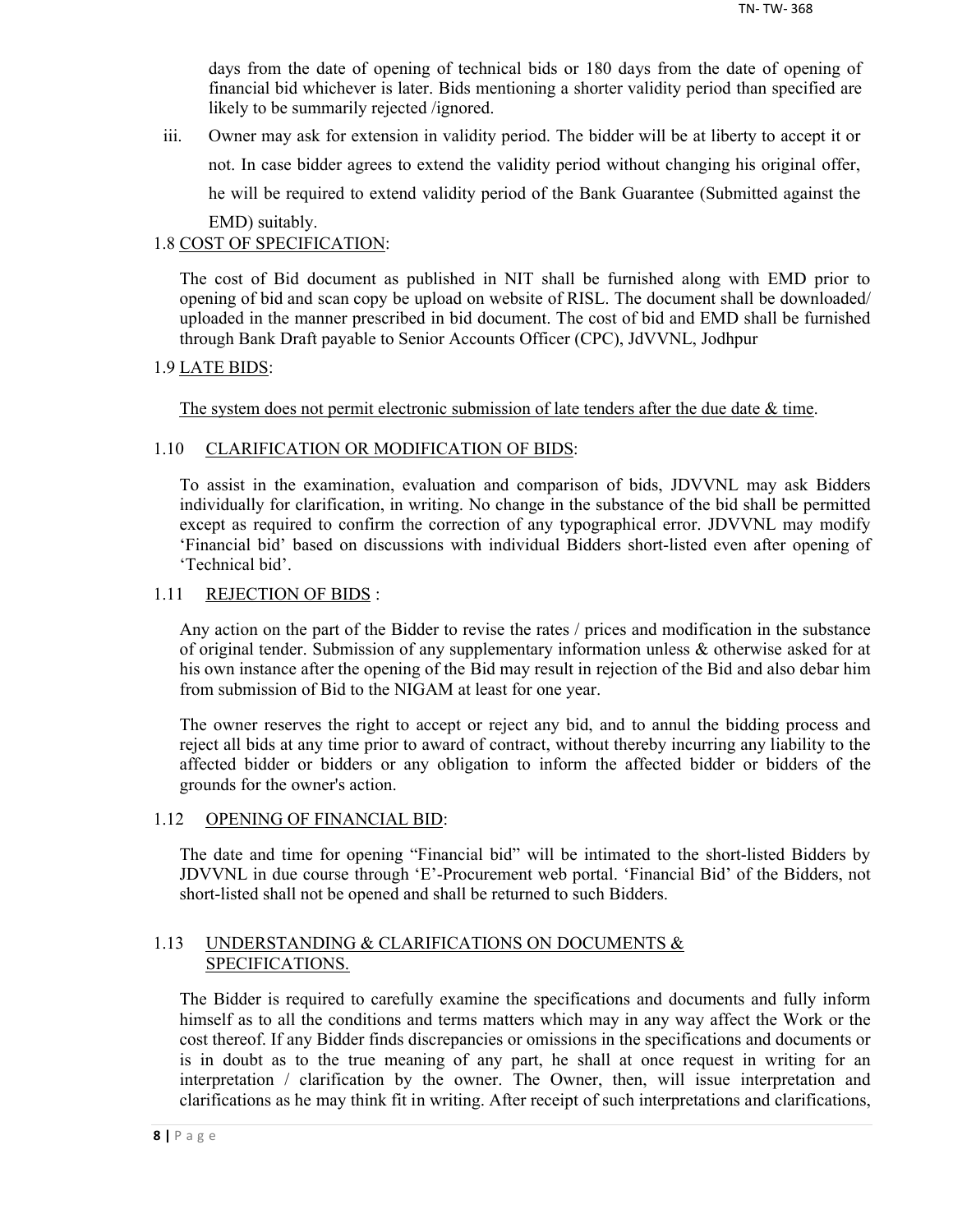days from the date of opening of technical bids or 180 days from the date of opening of financial bid whichever is later. Bids mentioning a shorter validity period than specified are likely to be summarily rejected /ignored.

iii. Owner may ask for extension in validity period. The bidder will be at liberty to accept it or not. In case bidder agrees to extend the validity period without changing his original offer, he will be required to extend validity period of the Bank Guarantee (Submitted against the EMD) suitably.

## 1.8 COST OF SPECIFICATION:

The cost of Bid document as published in NIT shall be furnished along with EMD prior to opening of bid and scan copy be upload on website of RISL. The document shall be downloaded/ uploaded in the manner prescribed in bid document. The cost of bid and EMD shall be furnished through Bank Draft payable to Senior Accounts Officer (CPC), JdVVNL, Jodhpur

## 1.9 LATE BIDS:

The system does not permit electronic submission of late tenders after the due date  $\&$  time.

## 1.10 CLARIFICATION OR MODIFICATION OF BIDS:

To assist in the examination, evaluation and comparison of bids, JDVVNL may ask Bidders individually for clarification, in writing. No change in the substance of the bid shall be permitted except as required to confirm the correction of any typographical error. JDVVNL may modify 'Financial bid' based on discussions with individual Bidders short-listed even after opening of 'Technical bid'.

## 1.11 REJECTION OF BIDS :

Any action on the part of the Bidder to revise the rates / prices and modification in the substance of original tender. Submission of any supplementary information unless & otherwise asked for at his own instance after the opening of the Bid may result in rejection of the Bid and also debar him from submission of Bid to the NIGAM at least for one year.

The owner reserves the right to accept or reject any bid, and to annul the bidding process and reject all bids at any time prior to award of contract, without thereby incurring any liability to the affected bidder or bidders or any obligation to inform the affected bidder or bidders of the grounds for the owner's action.

#### 1.12 OPENING OF FINANCIAL BID:

The date and time for opening "Financial bid" will be intimated to the short-listed Bidders by JDVVNL in due course through 'E'-Procurement web portal. 'Financial Bid' of the Bidders, not short-listed shall not be opened and shall be returned to such Bidders.

## 1.13 UNDERSTANDING & CLARIFICATIONS ON DOCUMENTS & SPECIFICATIONS.

The Bidder is required to carefully examine the specifications and documents and fully inform himself as to all the conditions and terms matters which may in any way affect the Work or the cost thereof. If any Bidder finds discrepancies or omissions in the specifications and documents or is in doubt as to the true meaning of any part, he shall at once request in writing for an interpretation / clarification by the owner. The Owner, then, will issue interpretation and clarifications as he may think fit in writing. After receipt of such interpretations and clarifications,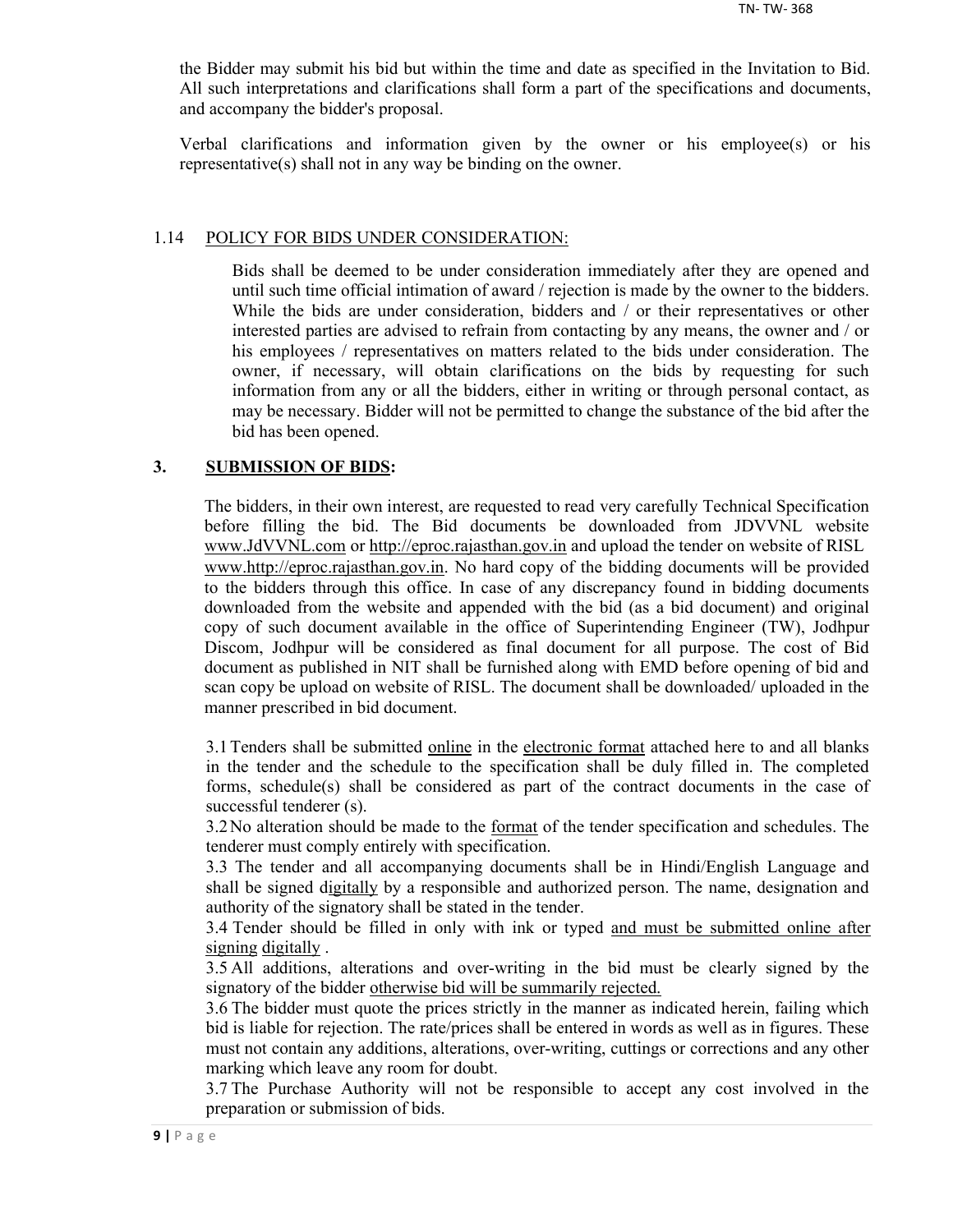the Bidder may submit his bid but within the time and date as specified in the Invitation to Bid. All such interpretations and clarifications shall form a part of the specifications and documents, and accompany the bidder's proposal.

Verbal clarifications and information given by the owner or his employee(s) or his representative(s) shall not in any way be binding on the owner.

#### 1.14 POLICY FOR BIDS UNDER CONSIDERATION:

Bids shall be deemed to be under consideration immediately after they are opened and until such time official intimation of award / rejection is made by the owner to the bidders. While the bids are under consideration, bidders and / or their representatives or other interested parties are advised to refrain from contacting by any means, the owner and / or his employees / representatives on matters related to the bids under consideration. The owner, if necessary, will obtain clarifications on the bids by requesting for such information from any or all the bidders, either in writing or through personal contact, as may be necessary. Bidder will not be permitted to change the substance of the bid after the bid has been opened.

#### **3. SUBMISSION OF BIDS:**

The bidders, in their own interest, are requested to read very carefully Technical Specification before filling the bid. The Bid documents be downloaded from JDVVNL website www.JdVVNL.com or http://eproc.rajasthan.gov.in and upload the tender on website of RISL www.http://eproc.rajasthan.gov.in. No hard copy of the bidding documents will be provided to the bidders through this office. In case of any discrepancy found in bidding documents downloaded from the website and appended with the bid (as a bid document) and original copy of such document available in the office of Superintending Engineer (TW), Jodhpur Discom, Jodhpur will be considered as final document for all purpose. The cost of Bid document as published in NIT shall be furnished along with EMD before opening of bid and scan copy be upload on website of RISL. The document shall be downloaded/ uploaded in the manner prescribed in bid document.

3.1 Tenders shall be submitted online in the electronic format attached here to and all blanks in the tender and the schedule to the specification shall be duly filled in. The completed forms, schedule(s) shall be considered as part of the contract documents in the case of successful tenderer (s).

3.2 No alteration should be made to the format of the tender specification and schedules. The tenderer must comply entirely with specification.

3.3 The tender and all accompanying documents shall be in Hindi/English Language and shall be signed digitally by a responsible and authorized person. The name, designation and authority of the signatory shall be stated in the tender.

3.4 Tender should be filled in only with ink or typed and must be submitted online after signing digitally .

3.5 All additions, alterations and over-writing in the bid must be clearly signed by the signatory of the bidder otherwise bid will be summarily rejected.

3.6 The bidder must quote the prices strictly in the manner as indicated herein, failing which bid is liable for rejection. The rate/prices shall be entered in words as well as in figures. These must not contain any additions, alterations, over-writing, cuttings or corrections and any other marking which leave any room for doubt.

3.7 The Purchase Authority will not be responsible to accept any cost involved in the preparation or submission of bids.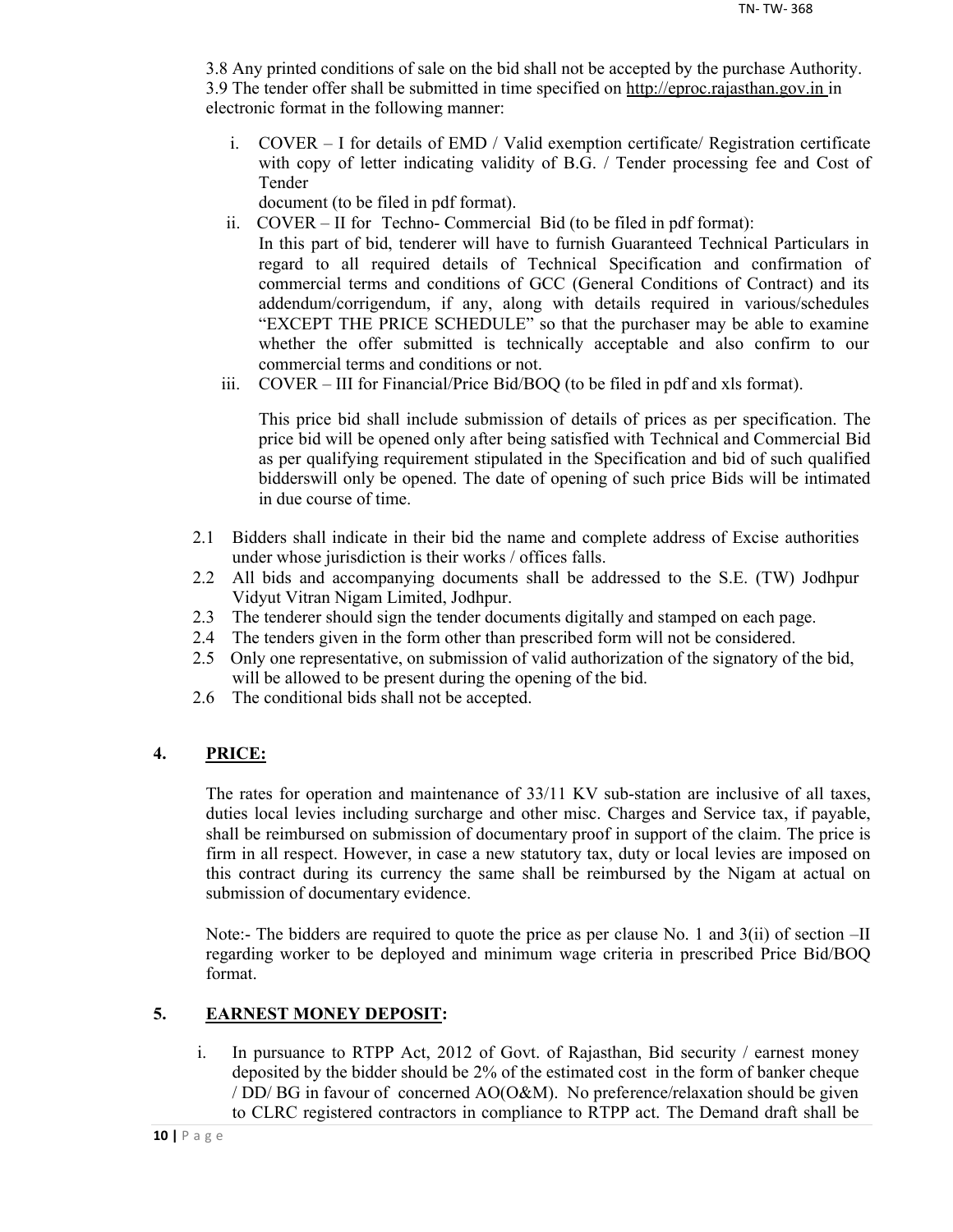3.8 Any printed conditions of sale on the bid shall not be accepted by the purchase Authority. 3.9 The tender offer shall be submitted in time specified on http://eproc.rajasthan.gov.in in electronic format in the following manner:

i. COVER – I for details of EMD / Valid exemption certificate/ Registration certificate with copy of letter indicating validity of B.G. / Tender processing fee and Cost of Tender

document (to be filed in pdf format).

- ii. COVER II for Techno- Commercial Bid (to be filed in pdf format): In this part of bid, tenderer will have to furnish Guaranteed Technical Particulars in regard to all required details of Technical Specification and confirmation of commercial terms and conditions of GCC (General Conditions of Contract) and its addendum/corrigendum, if any, along with details required in various/schedules "EXCEPT THE PRICE SCHEDULE" so that the purchaser may be able to examine whether the offer submitted is technically acceptable and also confirm to our commercial terms and conditions or not.
- iii. COVER III for Financial/Price Bid/BOQ (to be filed in pdf and xls format).

This price bid shall include submission of details of prices as per specification. The price bid will be opened only after being satisfied with Technical and Commercial Bid as per qualifying requirement stipulated in the Specification and bid of such qualified bidderswill only be opened. The date of opening of such price Bids will be intimated in due course of time.

- 2.1 Bidders shall indicate in their bid the name and complete address of Excise authorities under whose jurisdiction is their works / offices falls.
- 2.2 All bids and accompanying documents shall be addressed to the S.E. (TW) Jodhpur Vidyut Vitran Nigam Limited, Jodhpur.
- 2.3 The tenderer should sign the tender documents digitally and stamped on each page.
- 2.4 The tenders given in the form other than prescribed form will not be considered.
- 2.5 Only one representative, on submission of valid authorization of the signatory of the bid, will be allowed to be present during the opening of the bid.
- 2.6 The conditional bids shall not be accepted.

## **4. PRICE:**

The rates for operation and maintenance of 33/11 KV sub-station are inclusive of all taxes, duties local levies including surcharge and other misc. Charges and Service tax, if payable, shall be reimbursed on submission of documentary proof in support of the claim. The price is firm in all respect. However, in case a new statutory tax, duty or local levies are imposed on this contract during its currency the same shall be reimbursed by the Nigam at actual on submission of documentary evidence.

Note:- The bidders are required to quote the price as per clause No. 1 and 3(ii) of section –II regarding worker to be deployed and minimum wage criteria in prescribed Price Bid/BOQ format.

## **5. EARNEST MONEY DEPOSIT:**

i. In pursuance to RTPP Act, 2012 of Govt. of Rajasthan, Bid security / earnest money deposited by the bidder should be 2% of the estimated cost in the form of banker cheque / DD/ BG in favour of concerned AO(O&M). No preference/relaxation should be given to CLRC registered contractors in compliance to RTPP act. The Demand draft shall be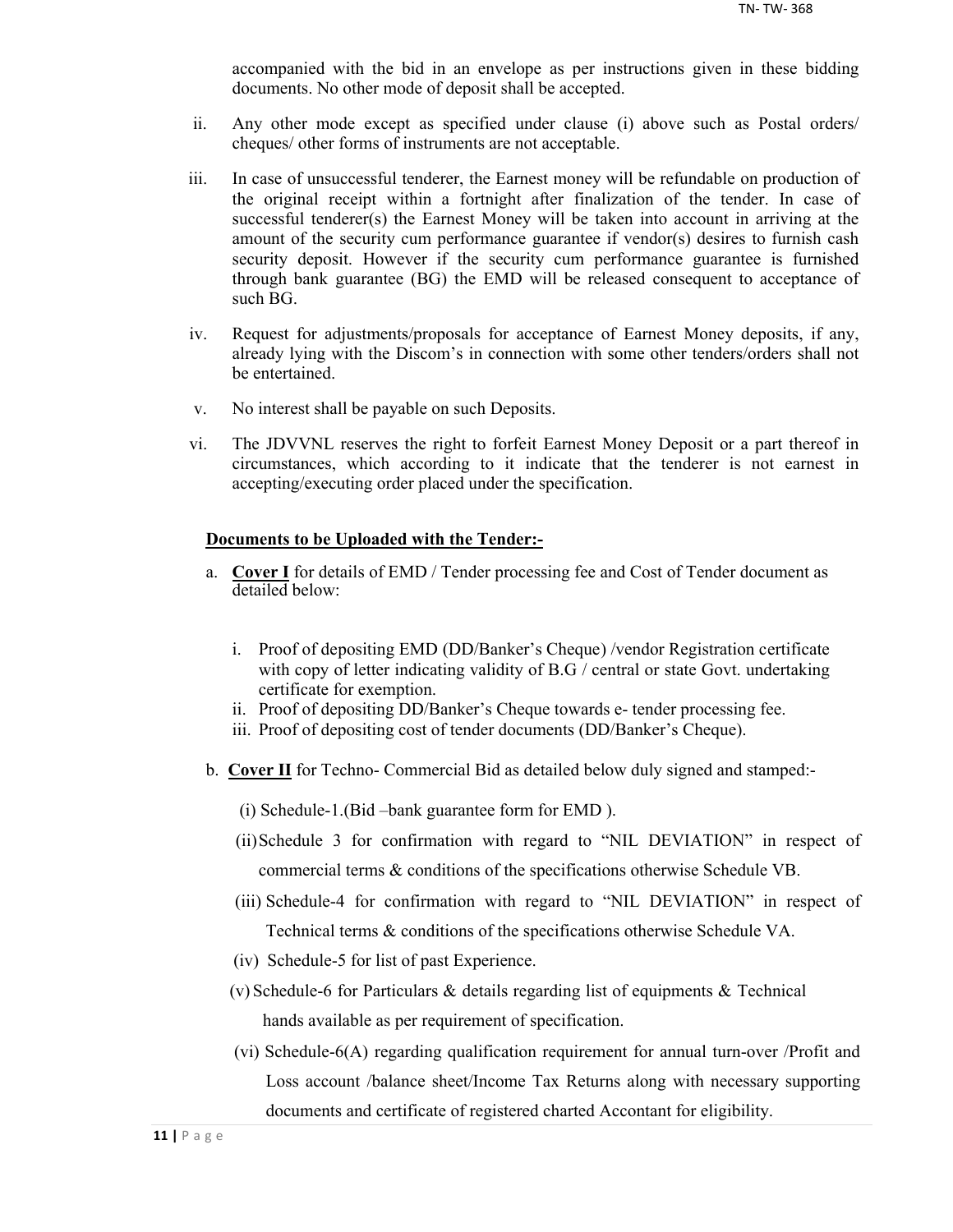accompanied with the bid in an envelope as per instructions given in these bidding documents. No other mode of deposit shall be accepted.

- ii. Any other mode except as specified under clause (i) above such as Postal orders/ cheques/ other forms of instruments are not acceptable.
- iii. In case of unsuccessful tenderer, the Earnest money will be refundable on production of the original receipt within a fortnight after finalization of the tender. In case of successful tenderer(s) the Earnest Money will be taken into account in arriving at the amount of the security cum performance guarantee if vendor(s) desires to furnish cash security deposit. However if the security cum performance guarantee is furnished through bank guarantee (BG) the EMD will be released consequent to acceptance of such BG.
- iv. Request for adjustments/proposals for acceptance of Earnest Money deposits, if any, already lying with the Discom's in connection with some other tenders/orders shall not be entertained.
- v. No interest shall be payable on such Deposits.
- vi. The JDVVNL reserves the right to forfeit Earnest Money Deposit or a part thereof in circumstances, which according to it indicate that the tenderer is not earnest in accepting/executing order placed under the specification.

#### **Documents to be Uploaded with the Tender:-**

- a. **Cover I** for details of EMD / Tender processing fee and Cost of Tender document as detailed below:
	- i. Proof of depositing EMD (DD/Banker's Cheque) /vendor Registration certificate with copy of letter indicating validity of B.G / central or state Govt. undertaking certificate for exemption.
	- ii. Proof of depositing DD/Banker's Cheque towards e- tender processing fee.
	- iii. Proof of depositing cost of tender documents (DD/Banker's Cheque).
- b. **Cover II** for Techno- Commercial Bid as detailed below duly signed and stamped:-
	- (i) Schedule-1.(Bid –bank guarantee form for EMD ).
	- (ii)Schedule 3 for confirmation with regard to "NIL DEVIATION" in respect of commercial terms & conditions of the specifications otherwise Schedule VB.
	- (iii) Schedule-4 for confirmation with regard to "NIL DEVIATION" in respect of Technical terms & conditions of the specifications otherwise Schedule VA.
	- (iv) Schedule-5 for list of past Experience.
	- (v) Schedule-6 for Particulars & details regarding list of equipments & Technical hands available as per requirement of specification.
	- (vi) Schedule-6(A) regarding qualification requirement for annual turn-over /Profit and Loss account /balance sheet/Income Tax Returns along with necessary supporting documents and certificate of registered charted Accontant for eligibility.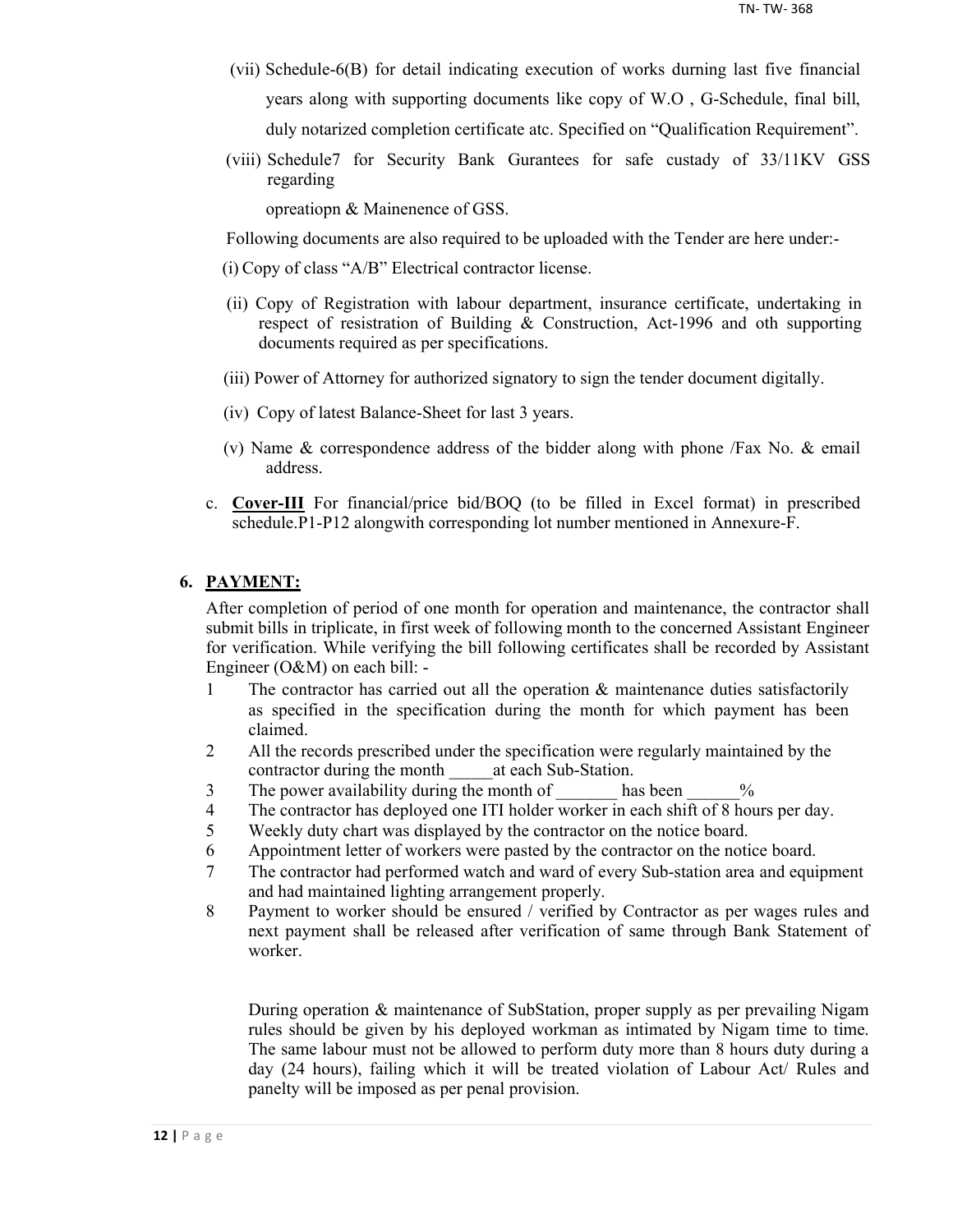- (vii) Schedule-6(B) for detail indicating execution of works durning last five financial years along with supporting documents like copy of W.O , G-Schedule, final bill, duly notarized completion certificate atc. Specified on "Qualification Requirement".
- (viii) Schedule7 for Security Bank Gurantees for safe custady of 33/11KV GSS regarding

opreatiopn & Mainenence of GSS.

Following documents are also required to be uploaded with the Tender are here under:-

- (i) Copy of class "A/B" Electrical contractor license.
- (ii) Copy of Registration with labour department, insurance certificate, undertaking in respect of resistration of Building & Construction, Act-1996 and oth supporting documents required as per specifications.
- (iii) Power of Attorney for authorized signatory to sign the tender document digitally.
- (iv) Copy of latest Balance-Sheet for last 3 years.
- (v) Name & correspondence address of the bidder along with phone /Fax No. & email address.
- c. **Cover-III** For financial/price bid/BOQ (to be filled in Excel format) in prescribed schedule.P1-P12 alongwith corresponding lot number mentioned in Annexure-F.

#### **6. PAYMENT:**

After completion of period of one month for operation and maintenance, the contractor shall submit bills in triplicate, in first week of following month to the concerned Assistant Engineer for verification. While verifying the bill following certificates shall be recorded by Assistant Engineer (O&M) on each bill: -

- 1 The contractor has carried out all the operation & maintenance duties satisfactorily as specified in the specification during the month for which payment has been claimed.
- 2 All the records prescribed under the specification were regularly maintained by the contractor during the month at each Sub-Station.
- 3 The power availability during the month of has been  $\%$
- 4 The contractor has deployed one ITI holder worker in each shift of 8 hours per day.
- 5 Weekly duty chart was displayed by the contractor on the notice board.
- 6 Appointment letter of workers were pasted by the contractor on the notice board.
- 7 The contractor had performed watch and ward of every Sub-station area and equipment and had maintained lighting arrangement properly.
- 8 Payment to worker should be ensured / verified by Contractor as per wages rules and next payment shall be released after verification of same through Bank Statement of worker.

During operation & maintenance of SubStation, proper supply as per prevailing Nigam rules should be given by his deployed workman as intimated by Nigam time to time. The same labour must not be allowed to perform duty more than 8 hours duty during a day (24 hours), failing which it will be treated violation of Labour Act/ Rules and panelty will be imposed as per penal provision.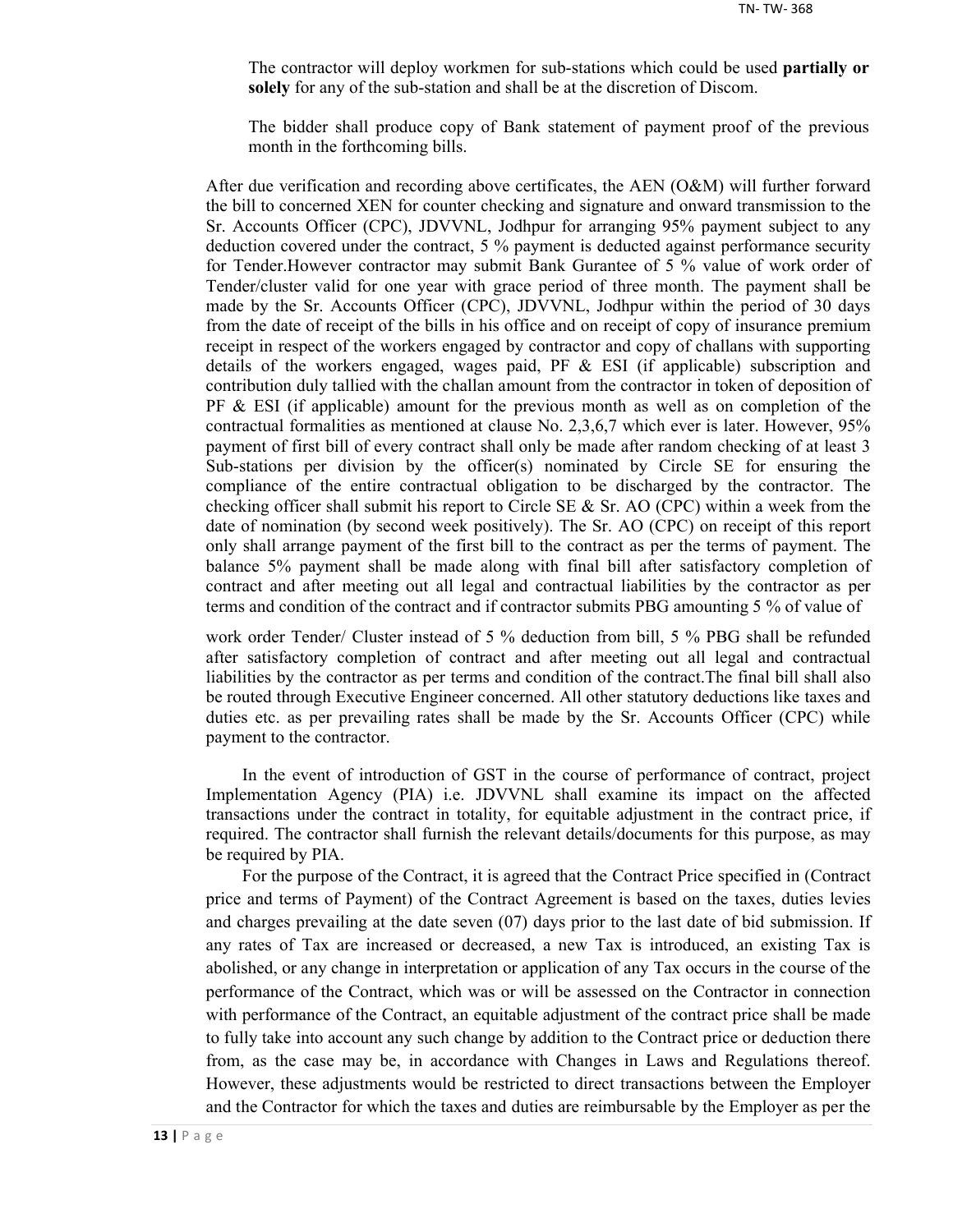The contractor will deploy workmen for sub-stations which could be used **partially or solely** for any of the sub-station and shall be at the discretion of Discom.

The bidder shall produce copy of Bank statement of payment proof of the previous month in the forthcoming bills.

After due verification and recording above certificates, the AEN (O&M) will further forward the bill to concerned XEN for counter checking and signature and onward transmission to the Sr. Accounts Officer (CPC), JDVVNL, Jodhpur for arranging 95% payment subject to any deduction covered under the contract, 5 % payment is deducted against performance security for Tender.However contractor may submit Bank Gurantee of 5 % value of work order of Tender/cluster valid for one year with grace period of three month. The payment shall be made by the Sr. Accounts Officer (CPC), JDVVNL, Jodhpur within the period of 30 days from the date of receipt of the bills in his office and on receipt of copy of insurance premium receipt in respect of the workers engaged by contractor and copy of challans with supporting details of the workers engaged, wages paid, PF  $\&$  ESI (if applicable) subscription and contribution duly tallied with the challan amount from the contractor in token of deposition of  $PF \& ESI$  (if applicable) amount for the previous month as well as on completion of the contractual formalities as mentioned at clause No. 2,3,6,7 which ever is later. However, 95% payment of first bill of every contract shall only be made after random checking of at least 3 Sub-stations per division by the officer(s) nominated by Circle SE for ensuring the compliance of the entire contractual obligation to be discharged by the contractor. The checking officer shall submit his report to Circle SE  $\&$  Sr. AO (CPC) within a week from the date of nomination (by second week positively). The Sr. AO (CPC) on receipt of this report only shall arrange payment of the first bill to the contract as per the terms of payment. The balance 5% payment shall be made along with final bill after satisfactory completion of contract and after meeting out all legal and contractual liabilities by the contractor as per terms and condition of the contract and if contractor submits PBG amounting 5 % of value of

work order Tender/ Cluster instead of 5 % deduction from bill, 5 % PBG shall be refunded after satisfactory completion of contract and after meeting out all legal and contractual liabilities by the contractor as per terms and condition of the contract.The final bill shall also be routed through Executive Engineer concerned. All other statutory deductions like taxes and duties etc. as per prevailing rates shall be made by the Sr. Accounts Officer (CPC) while payment to the contractor.

In the event of introduction of GST in the course of performance of contract, project Implementation Agency (PIA) i.e. JDVVNL shall examine its impact on the affected transactions under the contract in totality, for equitable adjustment in the contract price, if required. The contractor shall furnish the relevant details/documents for this purpose, as may be required by PIA.

For the purpose of the Contract, it is agreed that the Contract Price specified in (Contract price and terms of Payment) of the Contract Agreement is based on the taxes, duties levies and charges prevailing at the date seven (07) days prior to the last date of bid submission. If any rates of Tax are increased or decreased, a new Tax is introduced, an existing Tax is abolished, or any change in interpretation or application of any Tax occurs in the course of the performance of the Contract, which was or will be assessed on the Contractor in connection with performance of the Contract, an equitable adjustment of the contract price shall be made to fully take into account any such change by addition to the Contract price or deduction there from, as the case may be, in accordance with Changes in Laws and Regulations thereof. However, these adjustments would be restricted to direct transactions between the Employer and the Contractor for which the taxes and duties are reimbursable by the Employer as per the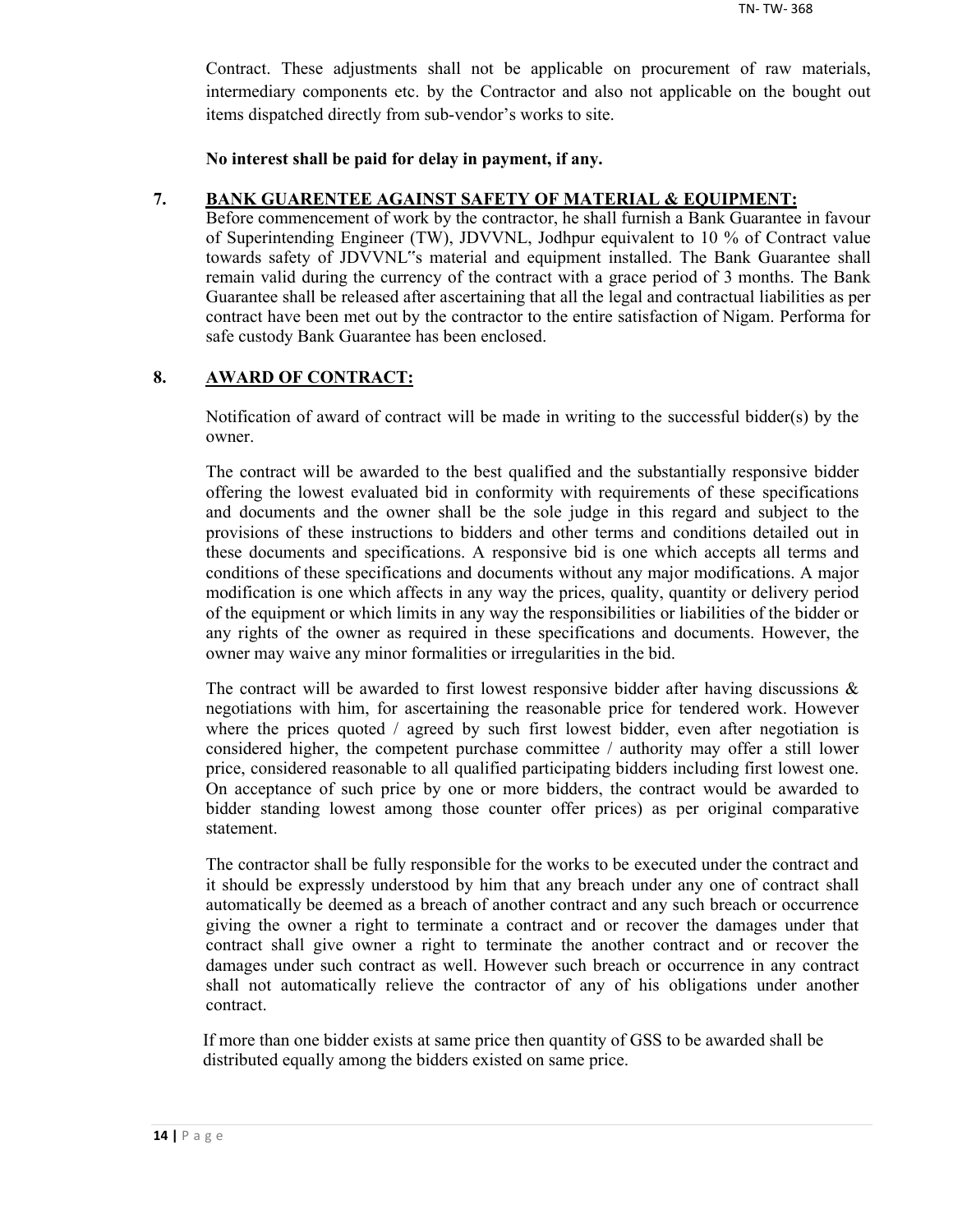Contract. These adjustments shall not be applicable on procurement of raw materials, intermediary components etc. by the Contractor and also not applicable on the bought out items dispatched directly from sub-vendor's works to site.

**No interest shall be paid for delay in payment, if any.**

#### **7. BANK GUARENTEE AGAINST SAFETY OF MATERIAL & EQUIPMENT:**

Before commencement of work by the contractor, he shall furnish a Bank Guarantee in favour of Superintending Engineer (TW), JDVVNL, Jodhpur equivalent to 10 % of Contract value towards safety of JDVVNL"s material and equipment installed. The Bank Guarantee shall remain valid during the currency of the contract with a grace period of 3 months. The Bank Guarantee shall be released after ascertaining that all the legal and contractual liabilities as per contract have been met out by the contractor to the entire satisfaction of Nigam. Performa for safe custody Bank Guarantee has been enclosed.

## **8. AWARD OF CONTRACT:**

Notification of award of contract will be made in writing to the successful bidder(s) by the owner.

The contract will be awarded to the best qualified and the substantially responsive bidder offering the lowest evaluated bid in conformity with requirements of these specifications and documents and the owner shall be the sole judge in this regard and subject to the provisions of these instructions to bidders and other terms and conditions detailed out in these documents and specifications. A responsive bid is one which accepts all terms and conditions of these specifications and documents without any major modifications. A major modification is one which affects in any way the prices, quality, quantity or delivery period of the equipment or which limits in any way the responsibilities or liabilities of the bidder or any rights of the owner as required in these specifications and documents. However, the owner may waive any minor formalities or irregularities in the bid.

The contract will be awarded to first lowest responsive bidder after having discussions  $\&$ negotiations with him, for ascertaining the reasonable price for tendered work. However where the prices quoted / agreed by such first lowest bidder, even after negotiation is considered higher, the competent purchase committee / authority may offer a still lower price, considered reasonable to all qualified participating bidders including first lowest one. On acceptance of such price by one or more bidders, the contract would be awarded to bidder standing lowest among those counter offer prices) as per original comparative statement.

The contractor shall be fully responsible for the works to be executed under the contract and it should be expressly understood by him that any breach under any one of contract shall automatically be deemed as a breach of another contract and any such breach or occurrence giving the owner a right to terminate a contract and or recover the damages under that contract shall give owner a right to terminate the another contract and or recover the damages under such contract as well. However such breach or occurrence in any contract shall not automatically relieve the contractor of any of his obligations under another contract.

If more than one bidder exists at same price then quantity of GSS to be awarded shall be distributed equally among the bidders existed on same price.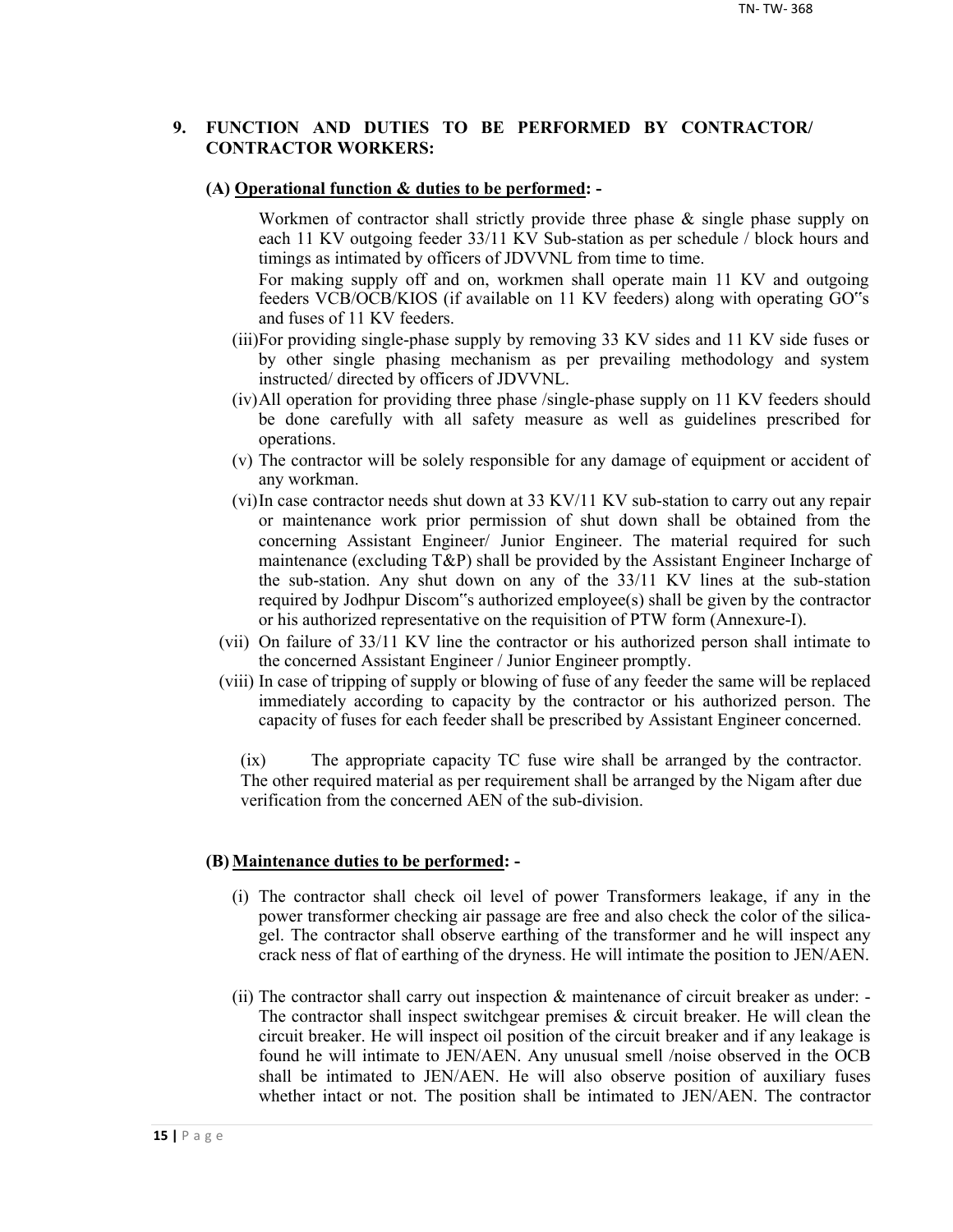## **9. FUNCTION AND DUTIES TO BE PERFORMED BY CONTRACTOR/ CONTRACTOR WORKERS:**

#### **(A) Operational function & duties to be performed: -**

Workmen of contractor shall strictly provide three phase & single phase supply on each 11 KV outgoing feeder 33/11 KV Sub-station as per schedule / block hours and timings as intimated by officers of JDVVNL from time to time.

For making supply off and on, workmen shall operate main 11 KV and outgoing feeders VCB/OCB/KIOS (if available on 11 KV feeders) along with operating GO"s and fuses of 11 KV feeders.

- (iii)For providing single-phase supply by removing 33 KV sides and 11 KV side fuses or by other single phasing mechanism as per prevailing methodology and system instructed/ directed by officers of JDVVNL.
- (iv)All operation for providing three phase /single-phase supply on 11 KV feeders should be done carefully with all safety measure as well as guidelines prescribed for operations.
- (v) The contractor will be solely responsible for any damage of equipment or accident of any workman.
- (vi)In case contractor needs shut down at 33 KV/11 KV sub-station to carry out any repair or maintenance work prior permission of shut down shall be obtained from the concerning Assistant Engineer/ Junior Engineer. The material required for such maintenance (excluding T&P) shall be provided by the Assistant Engineer Incharge of the sub-station. Any shut down on any of the 33/11 KV lines at the sub-station required by Jodhpur Discom"s authorized employee(s) shall be given by the contractor or his authorized representative on the requisition of PTW form (Annexure-I).
- (vii) On failure of 33/11 KV line the contractor or his authorized person shall intimate to the concerned Assistant Engineer / Junior Engineer promptly.
- (viii) In case of tripping of supply or blowing of fuse of any feeder the same will be replaced immediately according to capacity by the contractor or his authorized person. The capacity of fuses for each feeder shall be prescribed by Assistant Engineer concerned.

(ix) The appropriate capacity TC fuse wire shall be arranged by the contractor. The other required material as per requirement shall be arranged by the Nigam after due verification from the concerned AEN of the sub-division.

#### **(B) Maintenance duties to be performed: -**

- (i) The contractor shall check oil level of power Transformers leakage, if any in the power transformer checking air passage are free and also check the color of the silicagel. The contractor shall observe earthing of the transformer and he will inspect any crack ness of flat of earthing of the dryness. He will intimate the position to JEN/AEN.
- (ii) The contractor shall carry out inspection & maintenance of circuit breaker as under: The contractor shall inspect switchgear premises  $\&$  circuit breaker. He will clean the circuit breaker. He will inspect oil position of the circuit breaker and if any leakage is found he will intimate to JEN/AEN. Any unusual smell /noise observed in the OCB shall be intimated to JEN/AEN. He will also observe position of auxiliary fuses whether intact or not. The position shall be intimated to JEN/AEN. The contractor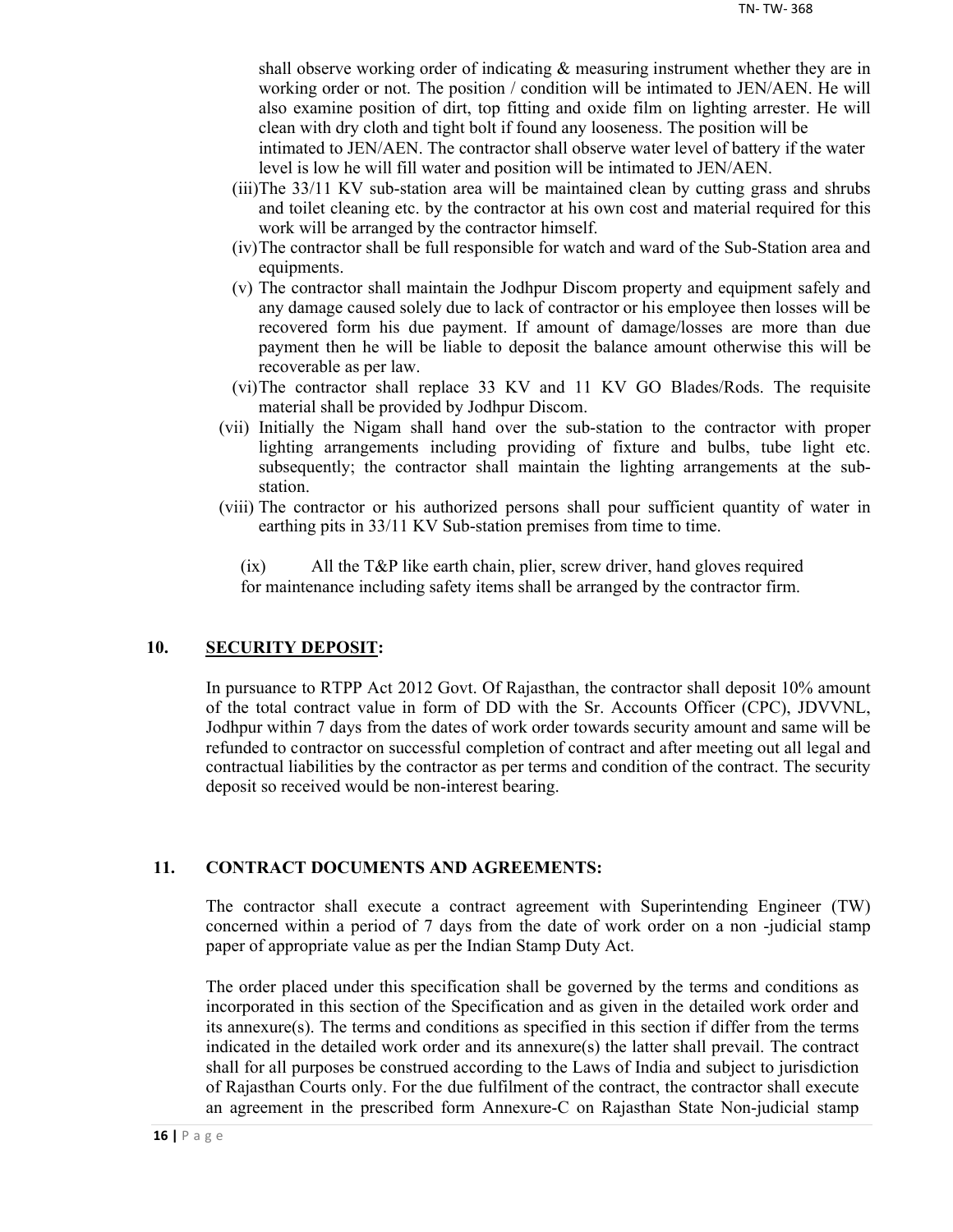shall observe working order of indicating & measuring instrument whether they are in working order or not. The position / condition will be intimated to JEN/AEN. He will also examine position of dirt, top fitting and oxide film on lighting arrester. He will clean with dry cloth and tight bolt if found any looseness. The position will be

intimated to JEN/AEN. The contractor shall observe water level of battery if the water level is low he will fill water and position will be intimated to JEN/AEN.

- (iii)The 33/11 KV sub-station area will be maintained clean by cutting grass and shrubs and toilet cleaning etc. by the contractor at his own cost and material required for this work will be arranged by the contractor himself.
- (iv)The contractor shall be full responsible for watch and ward of the Sub-Station area and equipments.
- (v) The contractor shall maintain the Jodhpur Discom property and equipment safely and any damage caused solely due to lack of contractor or his employee then losses will be recovered form his due payment. If amount of damage/losses are more than due payment then he will be liable to deposit the balance amount otherwise this will be recoverable as per law.
- (vi)The contractor shall replace 33 KV and 11 KV GO Blades/Rods. The requisite material shall be provided by Jodhpur Discom.
- (vii) Initially the Nigam shall hand over the sub-station to the contractor with proper lighting arrangements including providing of fixture and bulbs, tube light etc. subsequently; the contractor shall maintain the lighting arrangements at the substation.
- (viii) The contractor or his authorized persons shall pour sufficient quantity of water in earthing pits in 33/11 KV Sub-station premises from time to time.

(ix) All the T&P like earth chain, plier, screw driver, hand gloves required for maintenance including safety items shall be arranged by the contractor firm.

#### **10. SECURITY DEPOSIT:**

In pursuance to RTPP Act 2012 Govt. Of Rajasthan, the contractor shall deposit 10% amount of the total contract value in form of DD with the Sr. Accounts Officer (CPC), JDVVNL, Jodhpur within 7 days from the dates of work order towards security amount and same will be refunded to contractor on successful completion of contract and after meeting out all legal and contractual liabilities by the contractor as per terms and condition of the contract. The security deposit so received would be non-interest bearing.

#### **11. CONTRACT DOCUMENTS AND AGREEMENTS:**

The contractor shall execute a contract agreement with Superintending Engineer (TW) concerned within a period of 7 days from the date of work order on a non -judicial stamp paper of appropriate value as per the Indian Stamp Duty Act.

The order placed under this specification shall be governed by the terms and conditions as incorporated in this section of the Specification and as given in the detailed work order and its annexure(s). The terms and conditions as specified in this section if differ from the terms indicated in the detailed work order and its annexure(s) the latter shall prevail. The contract shall for all purposes be construed according to the Laws of India and subject to jurisdiction of Rajasthan Courts only. For the due fulfilment of the contract, the contractor shall execute an agreement in the prescribed form Annexure-C on Rajasthan State Non-judicial stamp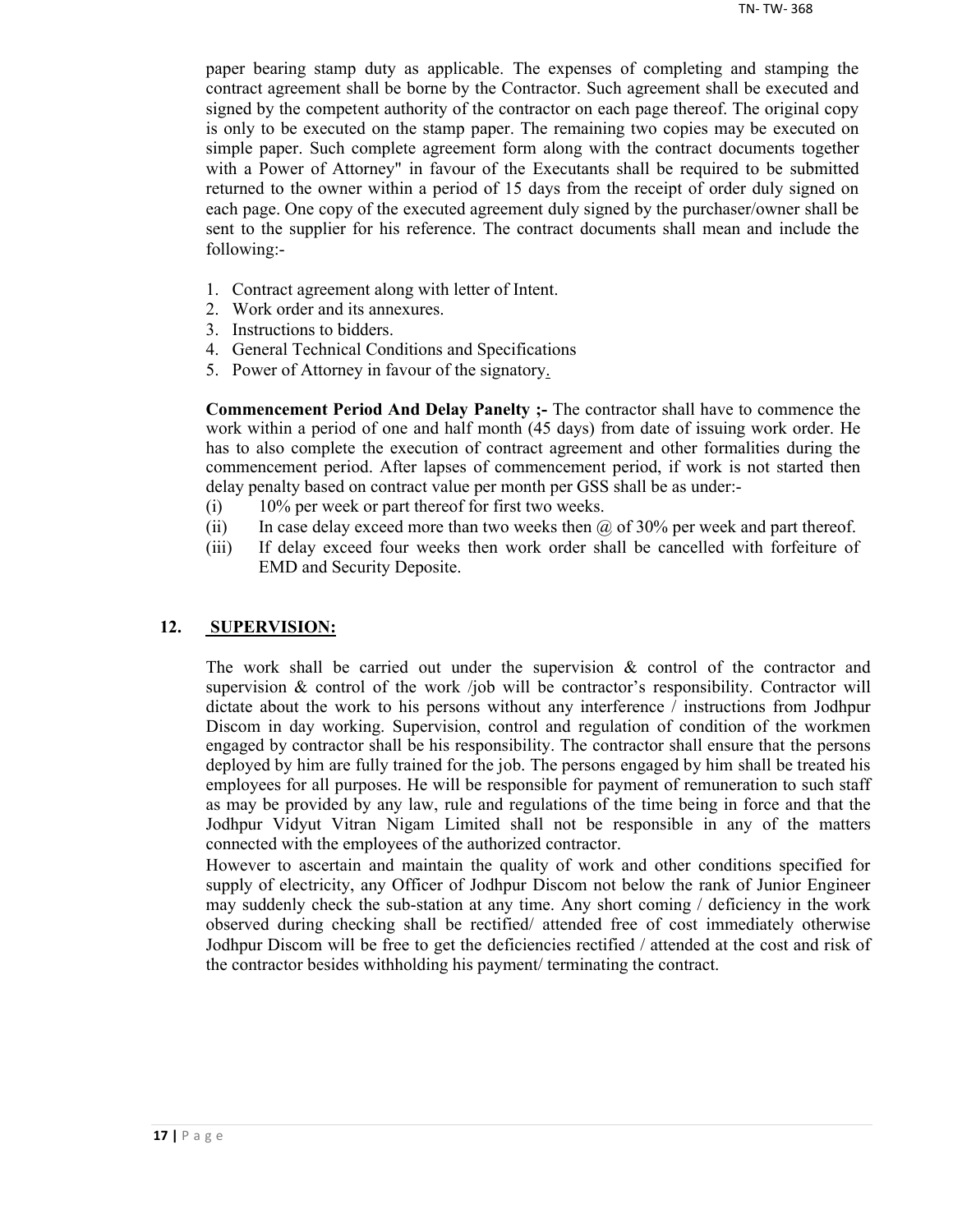paper bearing stamp duty as applicable. The expenses of completing and stamping the contract agreement shall be borne by the Contractor. Such agreement shall be executed and signed by the competent authority of the contractor on each page thereof. The original copy is only to be executed on the stamp paper. The remaining two copies may be executed on simple paper. Such complete agreement form along with the contract documents together with a Power of Attorney" in favour of the Executants shall be required to be submitted returned to the owner within a period of 15 days from the receipt of order duly signed on each page. One copy of the executed agreement duly signed by the purchaser/owner shall be sent to the supplier for his reference. The contract documents shall mean and include the following:-

- 1. Contract agreement along with letter of Intent.
- 2. Work order and its annexures.
- 3. Instructions to bidders.
- 4. General Technical Conditions and Specifications
- 5. Power of Attorney in favour of the signatory.

**Commencement Period And Delay Panelty ;-** The contractor shall have to commence the work within a period of one and half month (45 days) from date of issuing work order. He has to also complete the execution of contract agreement and other formalities during the commencement period. After lapses of commencement period, if work is not started then delay penalty based on contract value per month per GSS shall be as under:-

- (i) 10% per week or part thereof for first two weeks.
- (ii) In case delay exceed more than two weeks then  $\omega$  of 30% per week and part thereof.
- (iii) If delay exceed four weeks then work order shall be cancelled with forfeiture of EMD and Security Deposite.

#### **12. SUPERVISION:**

The work shall be carried out under the supervision  $\&$  control of the contractor and supervision  $\&$  control of the work /job will be contractor's responsibility. Contractor will dictate about the work to his persons without any interference / instructions from Jodhpur Discom in day working. Supervision, control and regulation of condition of the workmen engaged by contractor shall be his responsibility. The contractor shall ensure that the persons deployed by him are fully trained for the job. The persons engaged by him shall be treated his employees for all purposes. He will be responsible for payment of remuneration to such staff as may be provided by any law, rule and regulations of the time being in force and that the Jodhpur Vidyut Vitran Nigam Limited shall not be responsible in any of the matters connected with the employees of the authorized contractor.

However to ascertain and maintain the quality of work and other conditions specified for supply of electricity, any Officer of Jodhpur Discom not below the rank of Junior Engineer may suddenly check the sub-station at any time. Any short coming / deficiency in the work observed during checking shall be rectified/ attended free of cost immediately otherwise Jodhpur Discom will be free to get the deficiencies rectified / attended at the cost and risk of the contractor besides withholding his payment/ terminating the contract.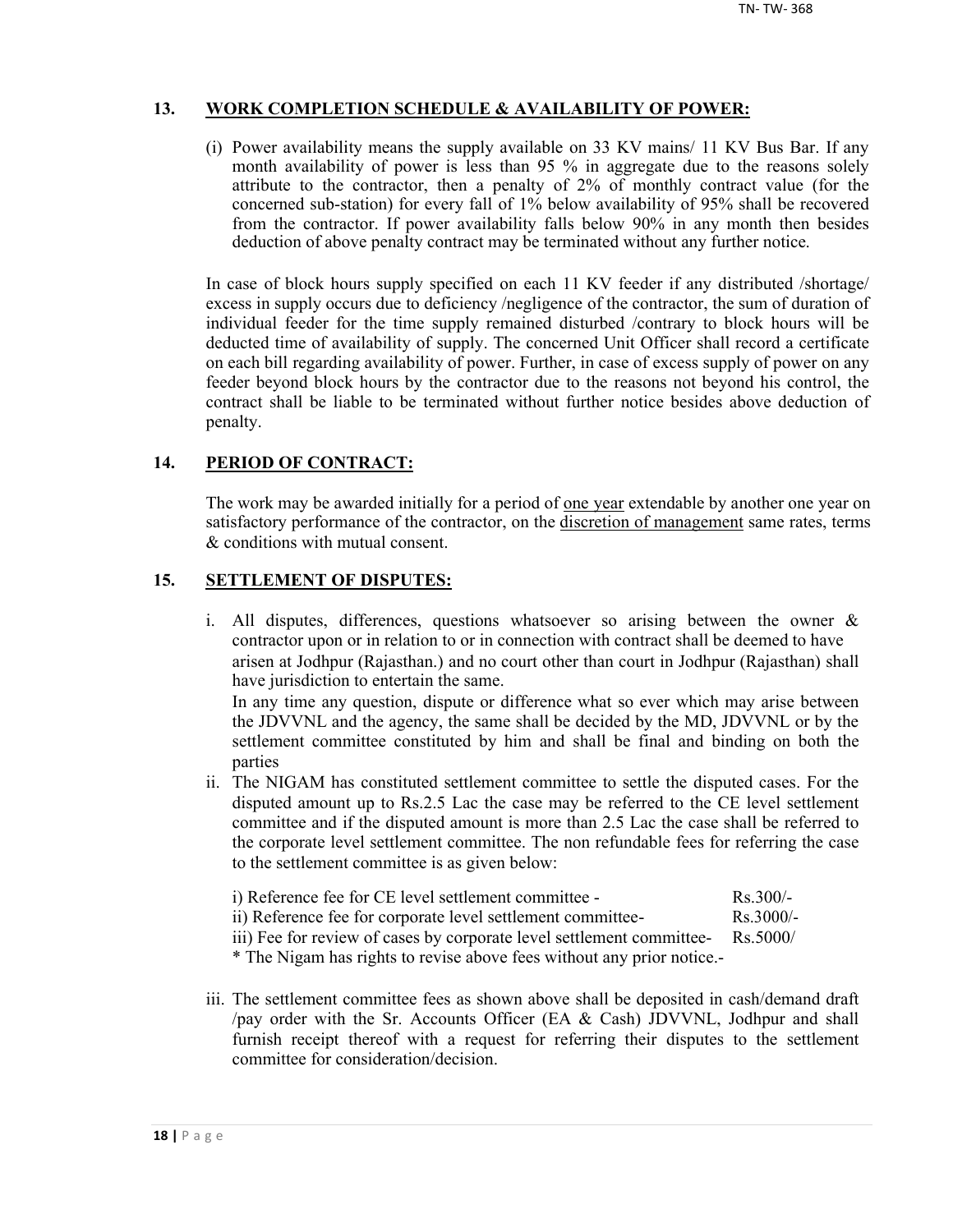## **13. WORK COMPLETION SCHEDULE & AVAILABILITY OF POWER:**

(i) Power availability means the supply available on 33 KV mains/ 11 KV Bus Bar. If any month availability of power is less than 95 % in aggregate due to the reasons solely attribute to the contractor, then a penalty of 2% of monthly contract value (for the concerned sub-station) for every fall of 1% below availability of 95% shall be recovered from the contractor. If power availability falls below 90% in any month then besides deduction of above penalty contract may be terminated without any further notice.

In case of block hours supply specified on each 11 KV feeder if any distributed /shortage/ excess in supply occurs due to deficiency /negligence of the contractor, the sum of duration of individual feeder for the time supply remained disturbed /contrary to block hours will be deducted time of availability of supply. The concerned Unit Officer shall record a certificate on each bill regarding availability of power. Further, in case of excess supply of power on any feeder beyond block hours by the contractor due to the reasons not beyond his control, the contract shall be liable to be terminated without further notice besides above deduction of penalty.

## **14. PERIOD OF CONTRACT:**

The work may be awarded initially for a period of <u>one year</u> extendable by another one year on satisfactory performance of the contractor, on the discretion of management same rates, terms & conditions with mutual consent.

## **15. SETTLEMENT OF DISPUTES:**

- i. All disputes, differences, questions whatsoever so arising between the owner & contractor upon or in relation to or in connection with contract shall be deemed to have arisen at Jodhpur (Rajasthan.) and no court other than court in Jodhpur (Rajasthan) shall have jurisdiction to entertain the same. In any time any question, dispute or difference what so ever which may arise between the JDVVNL and the agency, the same shall be decided by the MD, JDVVNL or by the settlement committee constituted by him and shall be final and binding on both the parties
- ii. The NIGAM has constituted settlement committee to settle the disputed cases. For the disputed amount up to Rs.2.5 Lac the case may be referred to the CE level settlement committee and if the disputed amount is more than 2.5 Lac the case shall be referred to the corporate level settlement committee. The non refundable fees for referring the case to the settlement committee is as given below:

| i) Reference fee for CE level settlement committee -        | $Rs$ 300/-          |
|-------------------------------------------------------------|---------------------|
| ii) Reference fee for corporate level settlement committee- | $\text{Rs } 3000/-$ |

iii) Fee for review of cases by corporate level settlement committee- Rs.5000/

\* The Nigam has rights to revise above fees without any prior notice.-

iii. The settlement committee fees as shown above shall be deposited in cash/demand draft /pay order with the Sr. Accounts Officer (EA & Cash) JDVVNL, Jodhpur and shall furnish receipt thereof with a request for referring their disputes to the settlement committee for consideration/decision.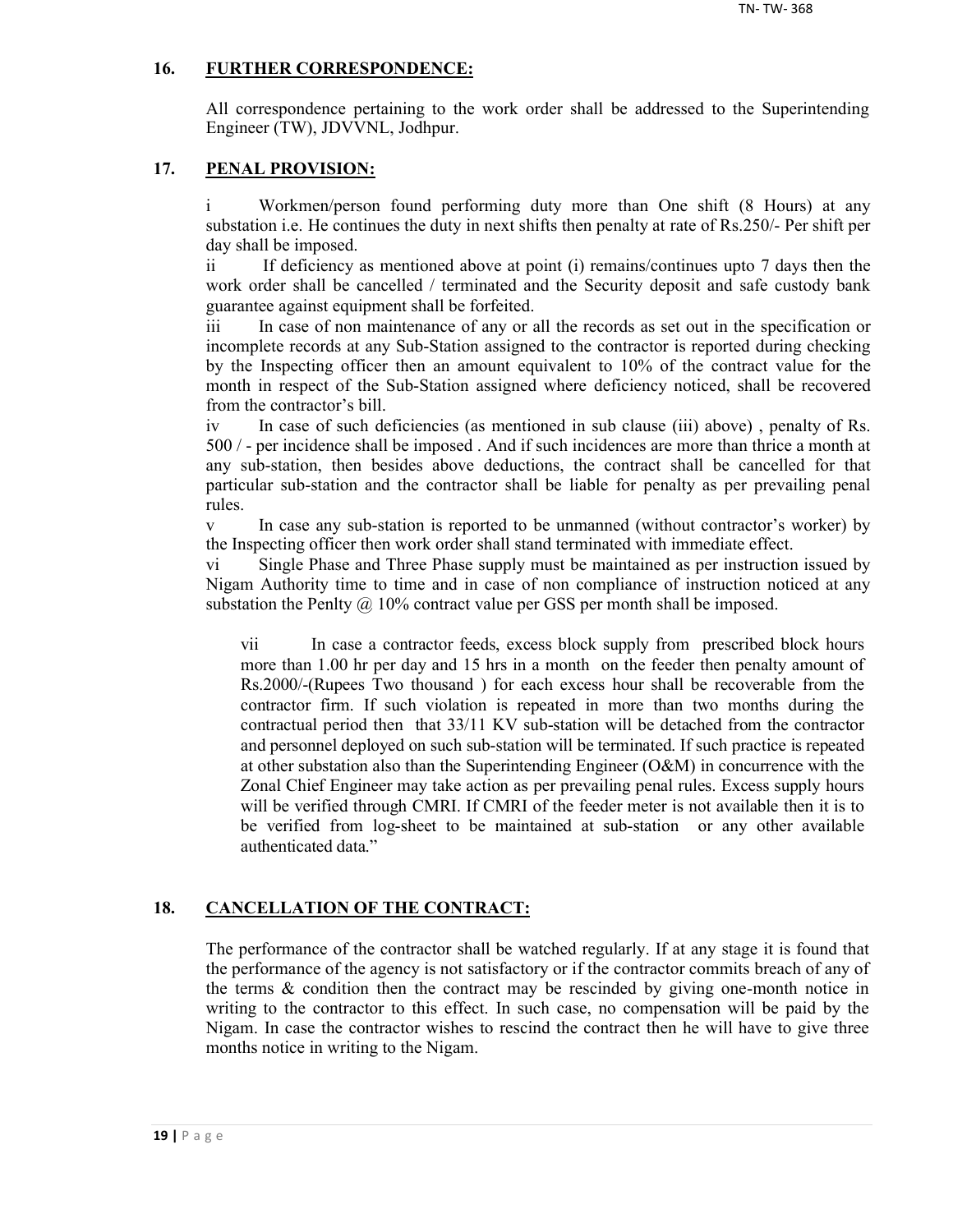## **16. FURTHER CORRESPONDENCE:**

All correspondence pertaining to the work order shall be addressed to the Superintending Engineer (TW), JDVVNL, Jodhpur.

## **17. PENAL PROVISION:**

i Workmen/person found performing duty more than One shift (8 Hours) at any substation i.e. He continues the duty in next shifts then penalty at rate of Rs.250/- Per shift per day shall be imposed.

ii If deficiency as mentioned above at point (i) remains/continues upto 7 days then the work order shall be cancelled / terminated and the Security deposit and safe custody bank guarantee against equipment shall be forfeited.

iii In case of non maintenance of any or all the records as set out in the specification or incomplete records at any Sub-Station assigned to the contractor is reported during checking by the Inspecting officer then an amount equivalent to 10% of the contract value for the month in respect of the Sub-Station assigned where deficiency noticed, shall be recovered from the contractor's bill.

iv In case of such deficiencies (as mentioned in sub clause (iii) above) , penalty of Rs. 500 / - per incidence shall be imposed . And if such incidences are more than thrice a month at any sub-station, then besides above deductions, the contract shall be cancelled for that particular sub-station and the contractor shall be liable for penalty as per prevailing penal rules.

v In case any sub-station is reported to be unmanned (without contractor's worker) by the Inspecting officer then work order shall stand terminated with immediate effect.

vi Single Phase and Three Phase supply must be maintained as per instruction issued by Nigam Authority time to time and in case of non compliance of instruction noticed at any substation the Penlty  $\omega$  10% contract value per GSS per month shall be imposed.

vii In case a contractor feeds, excess block supply from prescribed block hours more than 1.00 hr per day and 15 hrs in a month on the feeder then penalty amount of Rs.2000/-(Rupees Two thousand ) for each excess hour shall be recoverable from the contractor firm. If such violation is repeated in more than two months during the contractual period then that 33/11 KV sub-station will be detached from the contractor and personnel deployed on such sub-station will be terminated. If such practice is repeated at other substation also than the Superintending Engineer (O&M) in concurrence with the Zonal Chief Engineer may take action as per prevailing penal rules. Excess supply hours will be verified through CMRI. If CMRI of the feeder meter is not available then it is to be verified from log-sheet to be maintained at sub-station or any other available authenticated data."

## **18. CANCELLATION OF THE CONTRACT:**

The performance of the contractor shall be watched regularly. If at any stage it is found that the performance of the agency is not satisfactory or if the contractor commits breach of any of the terms  $\&$  condition then the contract may be rescinded by giving one-month notice in writing to the contractor to this effect. In such case, no compensation will be paid by the Nigam. In case the contractor wishes to rescind the contract then he will have to give three months notice in writing to the Nigam.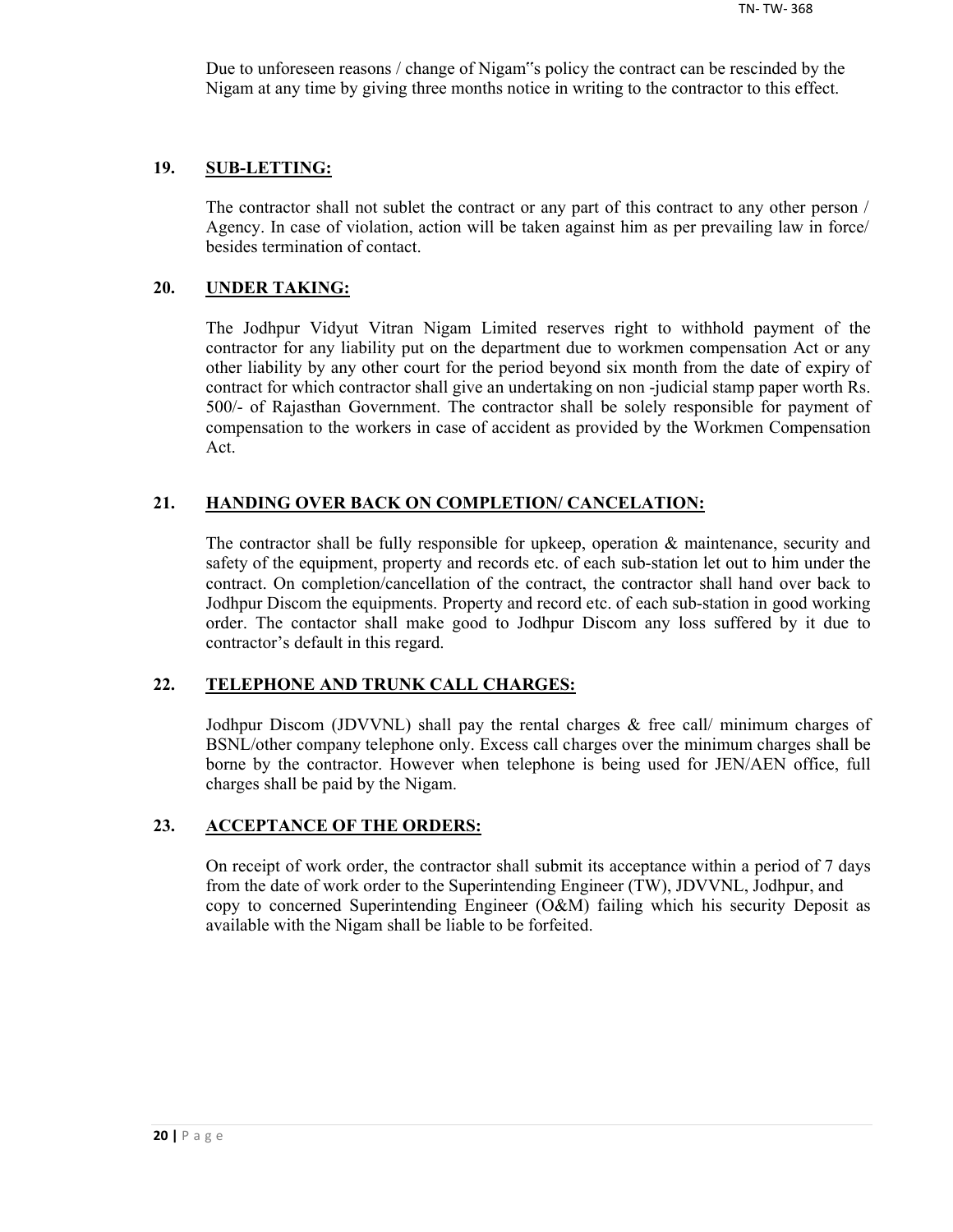Due to unforeseen reasons / change of Nigam"s policy the contract can be rescinded by the Nigam at any time by giving three months notice in writing to the contractor to this effect.

#### **19. SUB-LETTING:**

The contractor shall not sublet the contract or any part of this contract to any other person / Agency. In case of violation, action will be taken against him as per prevailing law in force/ besides termination of contact.

#### **20. UNDER TAKING:**

The Jodhpur Vidyut Vitran Nigam Limited reserves right to withhold payment of the contractor for any liability put on the department due to workmen compensation Act or any other liability by any other court for the period beyond six month from the date of expiry of contract for which contractor shall give an undertaking on non -judicial stamp paper worth Rs. 500/- of Rajasthan Government. The contractor shall be solely responsible for payment of compensation to the workers in case of accident as provided by the Workmen Compensation Act.

#### **21. HANDING OVER BACK ON COMPLETION/ CANCELATION:**

The contractor shall be fully responsible for upkeep, operation  $\&$  maintenance, security and safety of the equipment, property and records etc. of each sub-station let out to him under the contract. On completion/cancellation of the contract, the contractor shall hand over back to Jodhpur Discom the equipments. Property and record etc. of each sub-station in good working order. The contactor shall make good to Jodhpur Discom any loss suffered by it due to contractor's default in this regard.

## **22. TELEPHONE AND TRUNK CALL CHARGES:**

Jodhpur Discom (JDVVNL) shall pay the rental charges & free call/ minimum charges of BSNL/other company telephone only. Excess call charges over the minimum charges shall be borne by the contractor. However when telephone is being used for JEN/AEN office, full charges shall be paid by the Nigam.

#### **23. ACCEPTANCE OF THE ORDERS:**

On receipt of work order, the contractor shall submit its acceptance within a period of 7 days from the date of work order to the Superintending Engineer (TW), JDVVNL, Jodhpur, and copy to concerned Superintending Engineer (O&M) failing which his security Deposit as available with the Nigam shall be liable to be forfeited.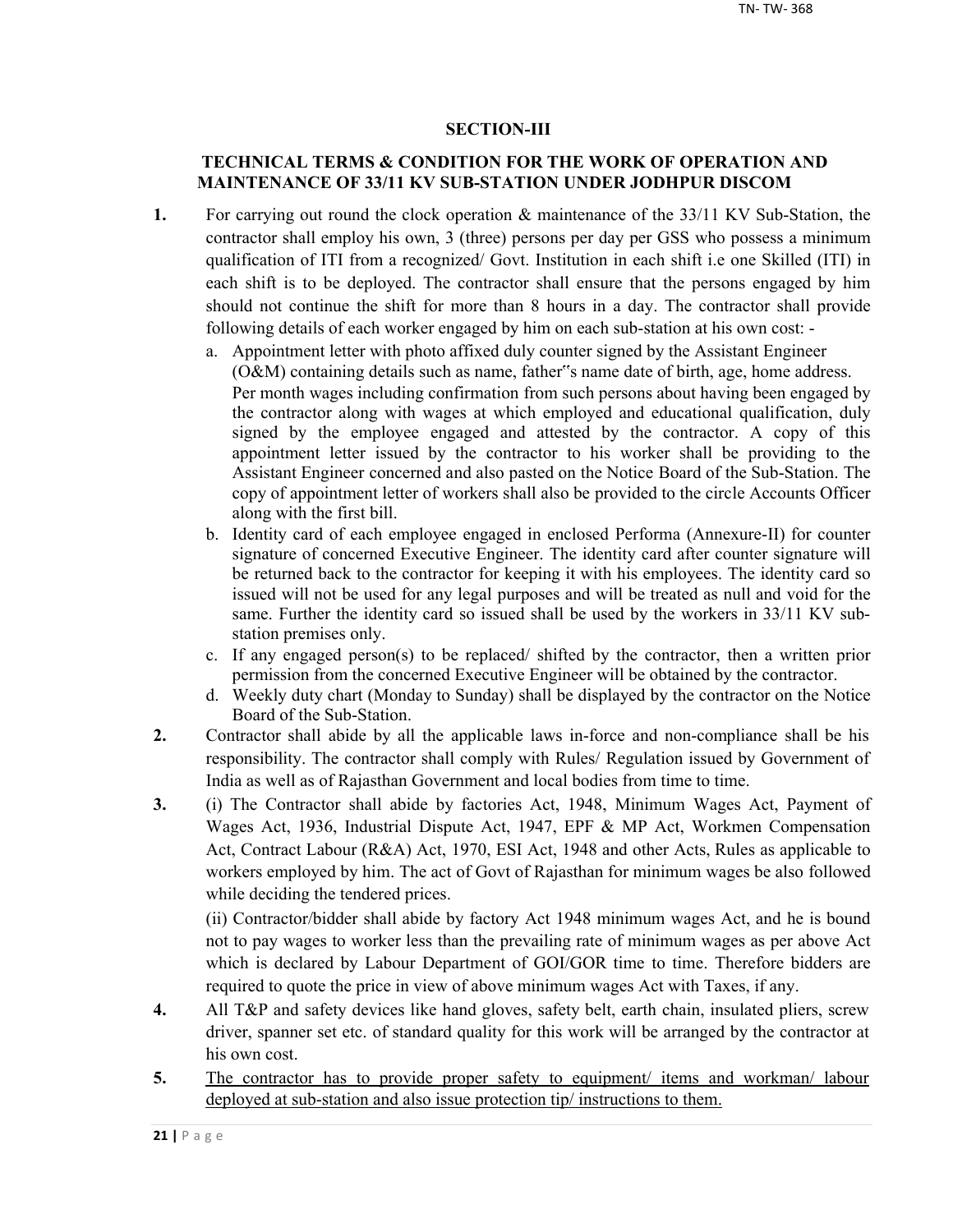## **SECTION-III**

## **TECHNICAL TERMS & CONDITION FOR THE WORK OF OPERATION AND MAINTENANCE OF 33/11 KV SUB-STATION UNDER JODHPUR DISCOM**

- **1.** For carrying out round the clock operation & maintenance of the 33/11 KV Sub-Station, the contractor shall employ his own, 3 (three) persons per day per GSS who possess a minimum qualification of ITI from a recognized/ Govt. Institution in each shift i.e one Skilled (ITI) in each shift is to be deployed. The contractor shall ensure that the persons engaged by him should not continue the shift for more than 8 hours in a day. The contractor shall provide following details of each worker engaged by him on each sub-station at his own cost:
	- a. Appointment letter with photo affixed duly counter signed by the Assistant Engineer (O&M) containing details such as name, father"s name date of birth, age, home address. Per month wages including confirmation from such persons about having been engaged by the contractor along with wages at which employed and educational qualification, duly signed by the employee engaged and attested by the contractor. A copy of this appointment letter issued by the contractor to his worker shall be providing to the Assistant Engineer concerned and also pasted on the Notice Board of the Sub-Station. The copy of appointment letter of workers shall also be provided to the circle Accounts Officer along with the first bill.
	- b. Identity card of each employee engaged in enclosed Performa (Annexure-II) for counter signature of concerned Executive Engineer. The identity card after counter signature will be returned back to the contractor for keeping it with his employees. The identity card so issued will not be used for any legal purposes and will be treated as null and void for the same. Further the identity card so issued shall be used by the workers in 33/11 KV substation premises only.
	- c. If any engaged person(s) to be replaced/ shifted by the contractor, then a written prior permission from the concerned Executive Engineer will be obtained by the contractor.
	- d. Weekly duty chart (Monday to Sunday) shall be displayed by the contractor on the Notice Board of the Sub-Station.
- **2.** Contractor shall abide by all the applicable laws in-force and non-compliance shall be his responsibility. The contractor shall comply with Rules/ Regulation issued by Government of India as well as of Rajasthan Government and local bodies from time to time.
- **3.** (i) The Contractor shall abide by factories Act, 1948, Minimum Wages Act, Payment of Wages Act, 1936, Industrial Dispute Act, 1947, EPF & MP Act, Workmen Compensation Act, Contract Labour (R&A) Act, 1970, ESI Act, 1948 and other Acts, Rules as applicable to workers employed by him. The act of Govt of Rajasthan for minimum wages be also followed while deciding the tendered prices.

(ii) Contractor/bidder shall abide by factory Act 1948 minimum wages Act, and he is bound not to pay wages to worker less than the prevailing rate of minimum wages as per above Act which is declared by Labour Department of GOI/GOR time to time. Therefore bidders are required to quote the price in view of above minimum wages Act with Taxes, if any.

- **4.** All T&P and safety devices like hand gloves, safety belt, earth chain, insulated pliers, screw driver, spanner set etc. of standard quality for this work will be arranged by the contractor at his own cost.
- 5. The contractor has to provide proper safety to equipment/ items and workman/ labour deployed at sub-station and also issue protection tip/ instructions to them.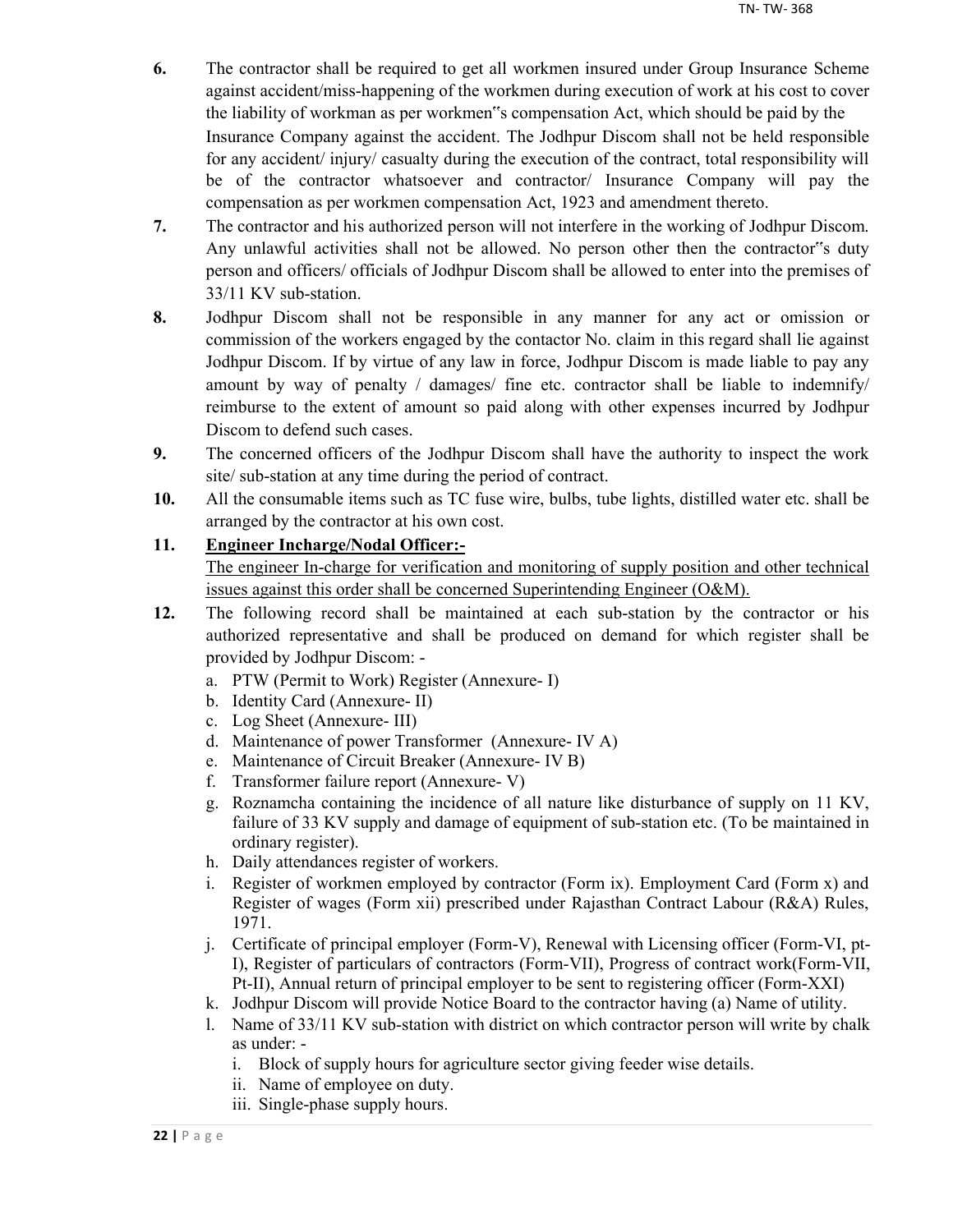- **6.** The contractor shall be required to get all workmen insured under Group Insurance Scheme against accident/miss-happening of the workmen during execution of work at his cost to cover the liability of workman as per workmen"s compensation Act, which should be paid by the Insurance Company against the accident. The Jodhpur Discom shall not be held responsible for any accident/ injury/ casualty during the execution of the contract, total responsibility will be of the contractor whatsoever and contractor/ Insurance Company will pay the compensation as per workmen compensation Act, 1923 and amendment thereto.
- **7.** The contractor and his authorized person will not interfere in the working of Jodhpur Discom. Any unlawful activities shall not be allowed. No person other then the contractor"s duty person and officers/ officials of Jodhpur Discom shall be allowed to enter into the premises of 33/11 KV sub-station.
- **8.** Jodhpur Discom shall not be responsible in any manner for any act or omission or commission of the workers engaged by the contactor No. claim in this regard shall lie against Jodhpur Discom. If by virtue of any law in force, Jodhpur Discom is made liable to pay any amount by way of penalty / damages/ fine etc. contractor shall be liable to indemnify/ reimburse to the extent of amount so paid along with other expenses incurred by Jodhpur Discom to defend such cases.
- **9.** The concerned officers of the Jodhpur Discom shall have the authority to inspect the work site/ sub-station at any time during the period of contract.
- **10.** All the consumable items such as TC fuse wire, bulbs, tube lights, distilled water etc. shall be arranged by the contractor at his own cost.

## **11. Engineer Incharge/Nodal Officer:-**

The engineer In-charge for verification and monitoring of supply position and other technical issues against this order shall be concerned Superintending Engineer (O&M).

- **12.** The following record shall be maintained at each sub-station by the contractor or his authorized representative and shall be produced on demand for which register shall be provided by Jodhpur Discom:
	- a. PTW (Permit to Work) Register (Annexure- I)
	- b. Identity Card (Annexure- II)
	- c. Log Sheet (Annexure- III)
	- d. Maintenance of power Transformer (Annexure- IV A)
	- e. Maintenance of Circuit Breaker (Annexure- IV B)
	- f. Transformer failure report (Annexure- V)
	- g. Roznamcha containing the incidence of all nature like disturbance of supply on 11 KV, failure of 33 KV supply and damage of equipment of sub-station etc. (To be maintained in ordinary register).
	- h. Daily attendances register of workers.
	- i. Register of workmen employed by contractor (Form ix). Employment Card (Form x) and Register of wages (Form xii) prescribed under Rajasthan Contract Labour (R&A) Rules, 1971.
	- j. Certificate of principal employer (Form-V), Renewal with Licensing officer (Form-VI, pt-I), Register of particulars of contractors (Form-VII), Progress of contract work(Form-VII, Pt-II), Annual return of principal employer to be sent to registering officer (Form-XXI)
	- k. Jodhpur Discom will provide Notice Board to the contractor having (a) Name of utility.
	- l. Name of 33/11 KV sub-station with district on which contractor person will write by chalk as under:
		- i. Block of supply hours for agriculture sector giving feeder wise details.
		- ii. Name of employee on duty.
		- iii. Single-phase supply hours.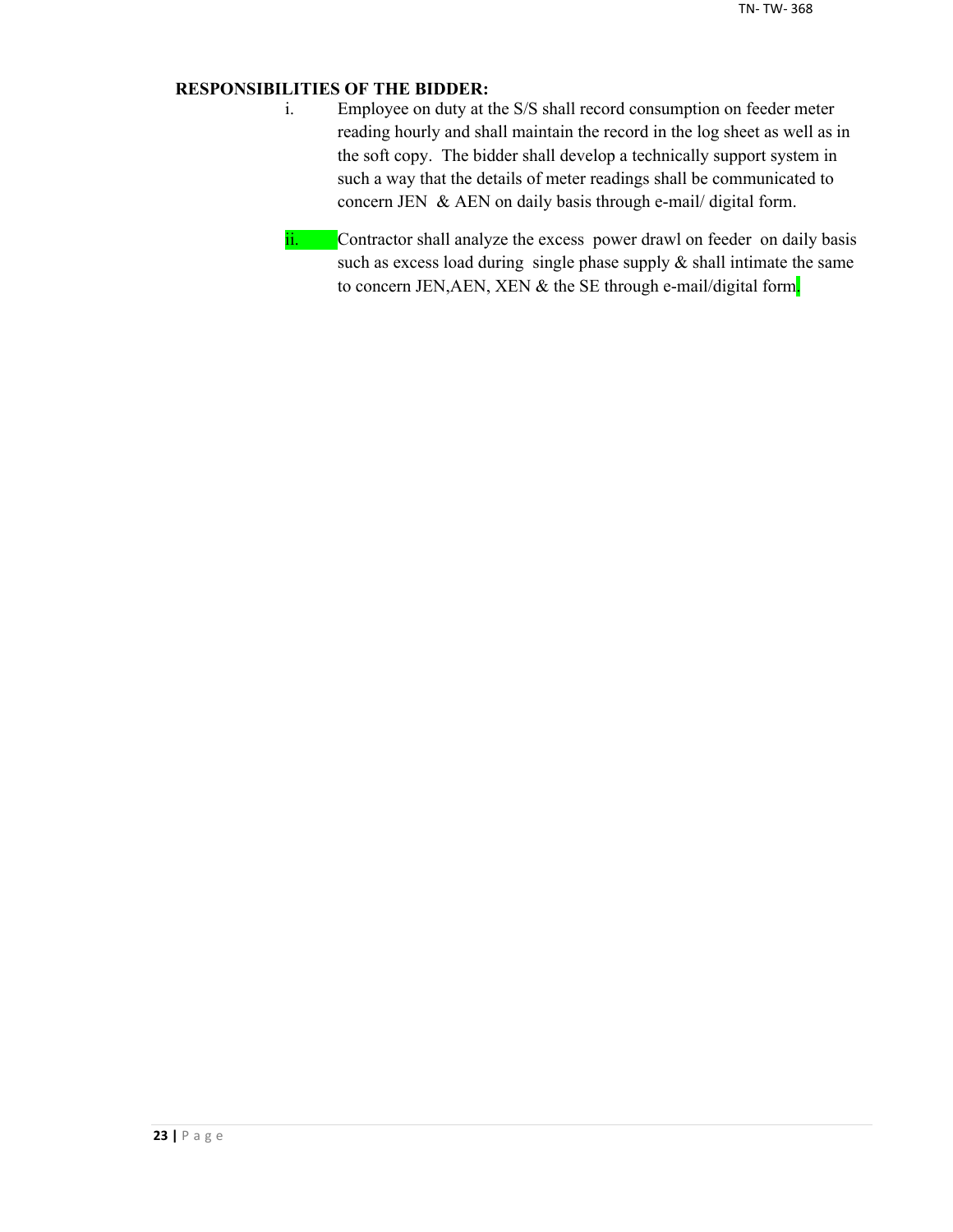## **RESPONSIBILITIES OF THE BIDDER:**

- i. Employee on duty at the S/S shall record consumption on feeder meter reading hourly and shall maintain the record in the log sheet as well as in the soft copy. The bidder shall develop a technically support system in such a way that the details of meter readings shall be communicated to concern JEN & AEN on daily basis through e-mail/ digital form.
- ii. Contractor shall analyze the excess power drawl on feeder on daily basis such as excess load during single phase supply  $\&$  shall intimate the same to concern JEN, AEN, XEN & the SE through e-mail/digital form.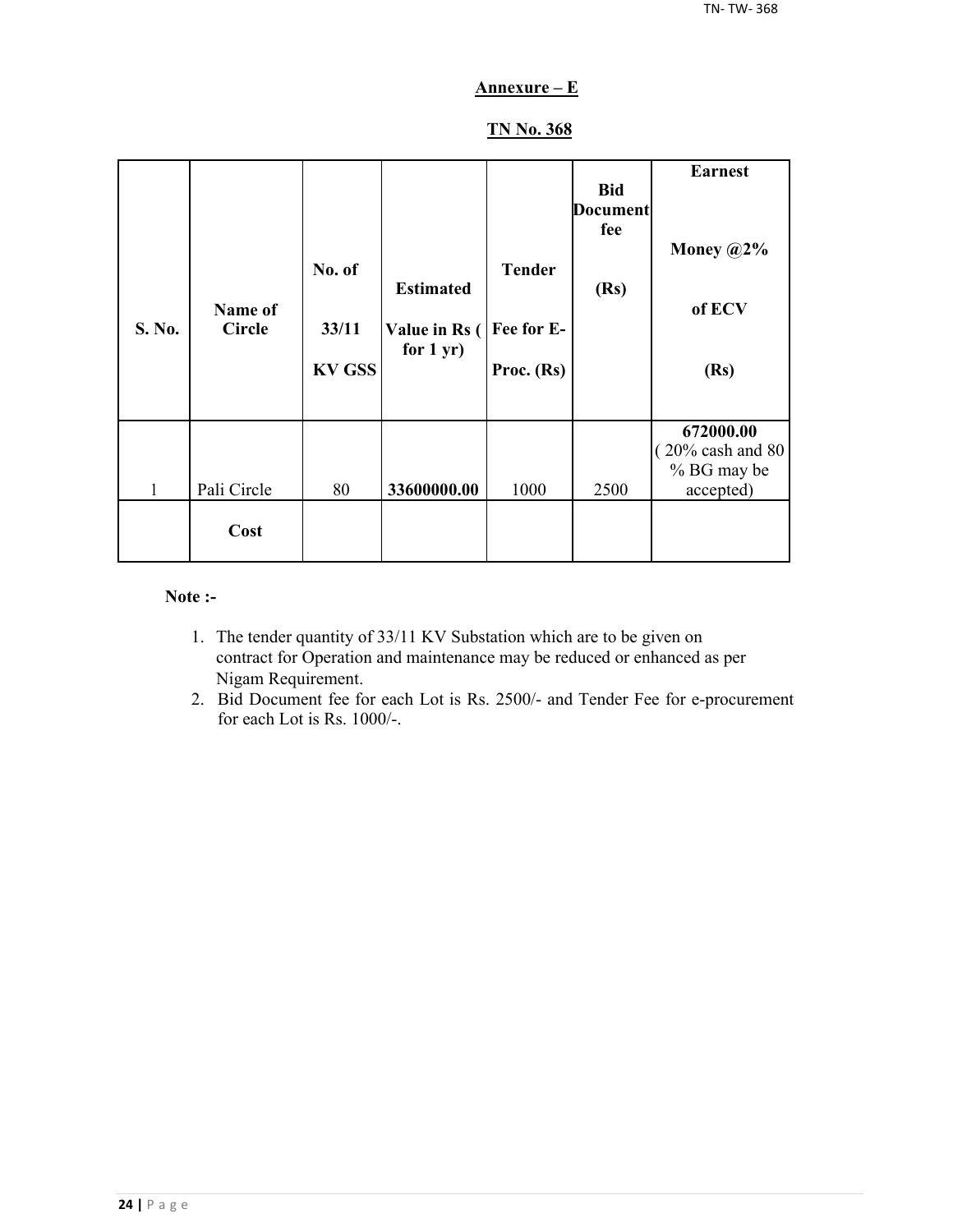## **Annexure – E**

## **TN No. 368**

| S. No. | Name of<br><b>Circle</b> | No. of<br>33/11<br><b>KV GSS</b> | <b>Estimated</b><br>Value in Rs (<br>for $1 yr$ ) | <b>Tender</b><br>Fee for E-<br>Proc. (Rs) | <b>Bid</b><br><b>Document</b><br>fee<br>(Rs) | <b>Earnest</b><br>Money $@2\%$<br>of ECV<br>(Rs)                       |
|--------|--------------------------|----------------------------------|---------------------------------------------------|-------------------------------------------|----------------------------------------------|------------------------------------------------------------------------|
| 1      | Pali Circle              | 80                               | 33600000.00                                       | 1000                                      | 2500                                         | 672000.00<br>$(20\% \text{ cash and } 80)$<br>% BG may be<br>accepted) |
|        | Cost                     |                                  |                                                   |                                           |                                              |                                                                        |

#### **Note :-**

- 1. The tender quantity of 33/11 KV Substation which are to be given on contract for Operation and maintenance may be reduced or enhanced as per Nigam Requirement.
- 2. Bid Document fee for each Lot is Rs. 2500/- and Tender Fee for e-procurement for each Lot is Rs. 1000/-.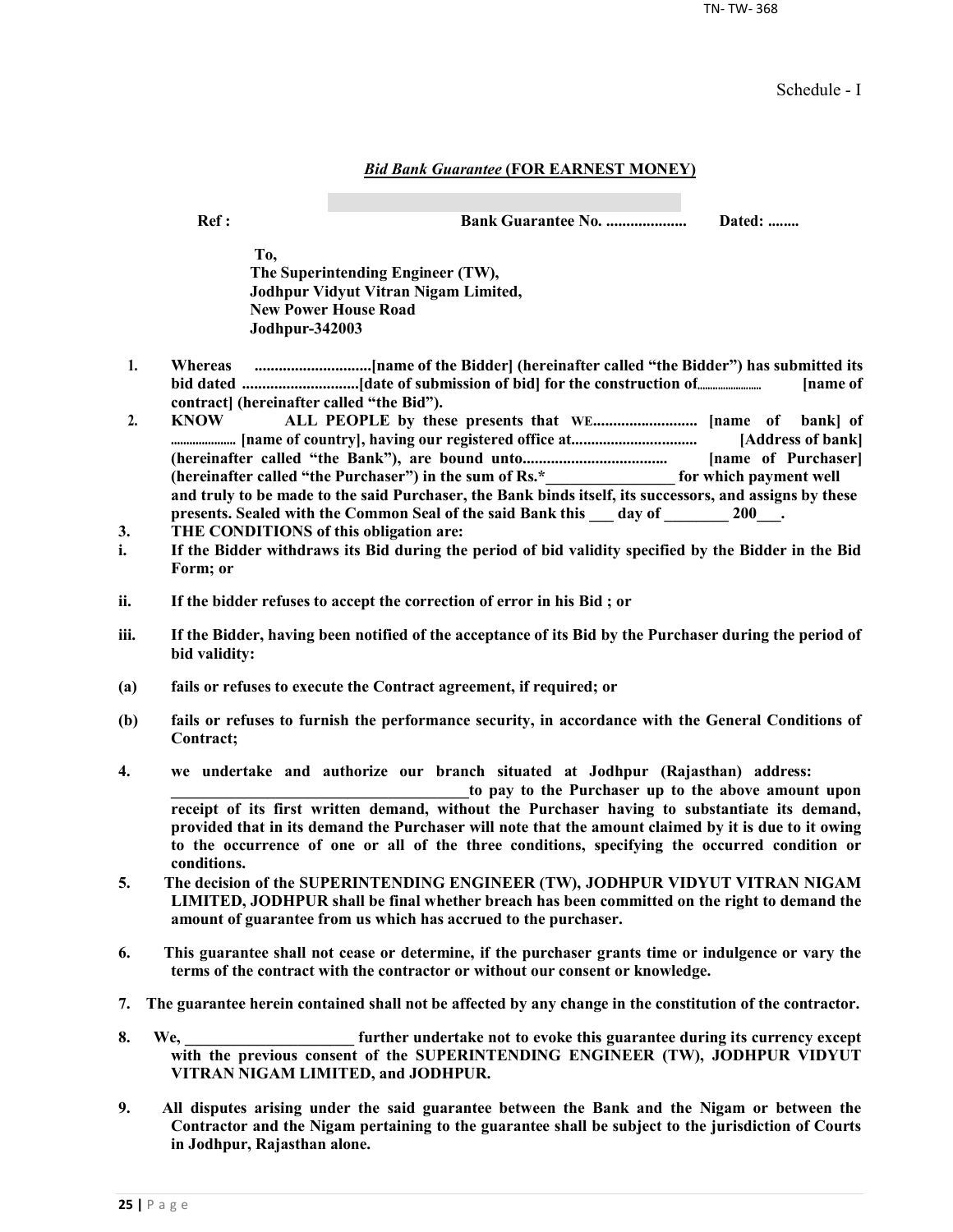TN- TW- 368

Schedule - I

#### *Bid Bank Guarantee* **(FOR EARNEST MONEY)**

**Ref : Bank Guarantee No. .................... Dated: ........**

**To, The Superintending Engineer (TW), Jodhpur Vidyut Vitran Nigam Limited, New Power House Road Jodhpur-342003**

- **1. Whereas .............................[name of the Bidder] (hereinafter called "the Bidder") has submitted its bid dated .............................[date of submission of bid] for the construction of......................... [name of contract] (hereinafter called "the Bid").**
- **2. KNOW ALL PEOPLE by these presents that WE.......................... [name of bank] of ..................... [name of country], having our registered office at................................ [Address of bank] (hereinafter called "the Bank"), are bound unto.................................... [name of Purchaser] (hereinafter called "the Purchaser") in the sum of Rs.\*\_\_\_\_\_\_\_\_\_\_\_\_\_\_\_\_ for which payment well and truly to be made to the said Purchaser, the Bank binds itself, its successors, and assigns by these**  presents. Sealed with the Common Seal of the said Bank this \_\_\_ day of \_\_\_\_\_\_\_ 200\_\_\_.
- **3. THE CONDITIONS of this obligation are:**
- **i. If the Bidder withdraws its Bid during the period of bid validity specified by the Bidder in the Bid Form; or**
- **ii. If the bidder refuses to accept the correction of error in his Bid ; or**
- **iii. If the Bidder, having been notified of the acceptance of its Bid by the Purchaser during the period of bid validity:**
- **(a) fails or refuses to execute the Contract agreement, if required; or**
- **(b) fails or refuses to furnish the performance security, in accordance with the General Conditions of Contract;**
- **4. we undertake and authorize our branch situated at Jodhpur (Rajasthan) address:**

to pay to the Purchaser up to the above amount upon **receipt of its first written demand, without the Purchaser having to substantiate its demand, provided that in its demand the Purchaser will note that the amount claimed by it is due to it owing to the occurrence of one or all of the three conditions, specifying the occurred condition or conditions.**

- **5. The decision of the SUPERINTENDING ENGINEER (TW), JODHPUR VIDYUT VITRAN NIGAM LIMITED, JODHPUR shall be final whether breach has been committed on the right to demand the amount of guarantee from us which has accrued to the purchaser.**
- **6. This guarantee shall not cease or determine, if the purchaser grants time or indulgence or vary the terms of the contract with the contractor or without our consent or knowledge.**
- **7. The guarantee herein contained shall not be affected by any change in the constitution of the contractor.**
- **8. We, \_\_\_\_\_\_\_\_\_\_\_\_\_\_\_\_\_\_\_\_\_ further undertake not to evoke this guarantee during its currency except with the previous consent of the SUPERINTENDING ENGINEER (TW), JODHPUR VIDYUT VITRAN NIGAM LIMITED, and JODHPUR.**
- **9. All disputes arising under the said guarantee between the Bank and the Nigam or between the Contractor and the Nigam pertaining to the guarantee shall be subject to the jurisdiction of Courts in Jodhpur, Rajasthan alone.**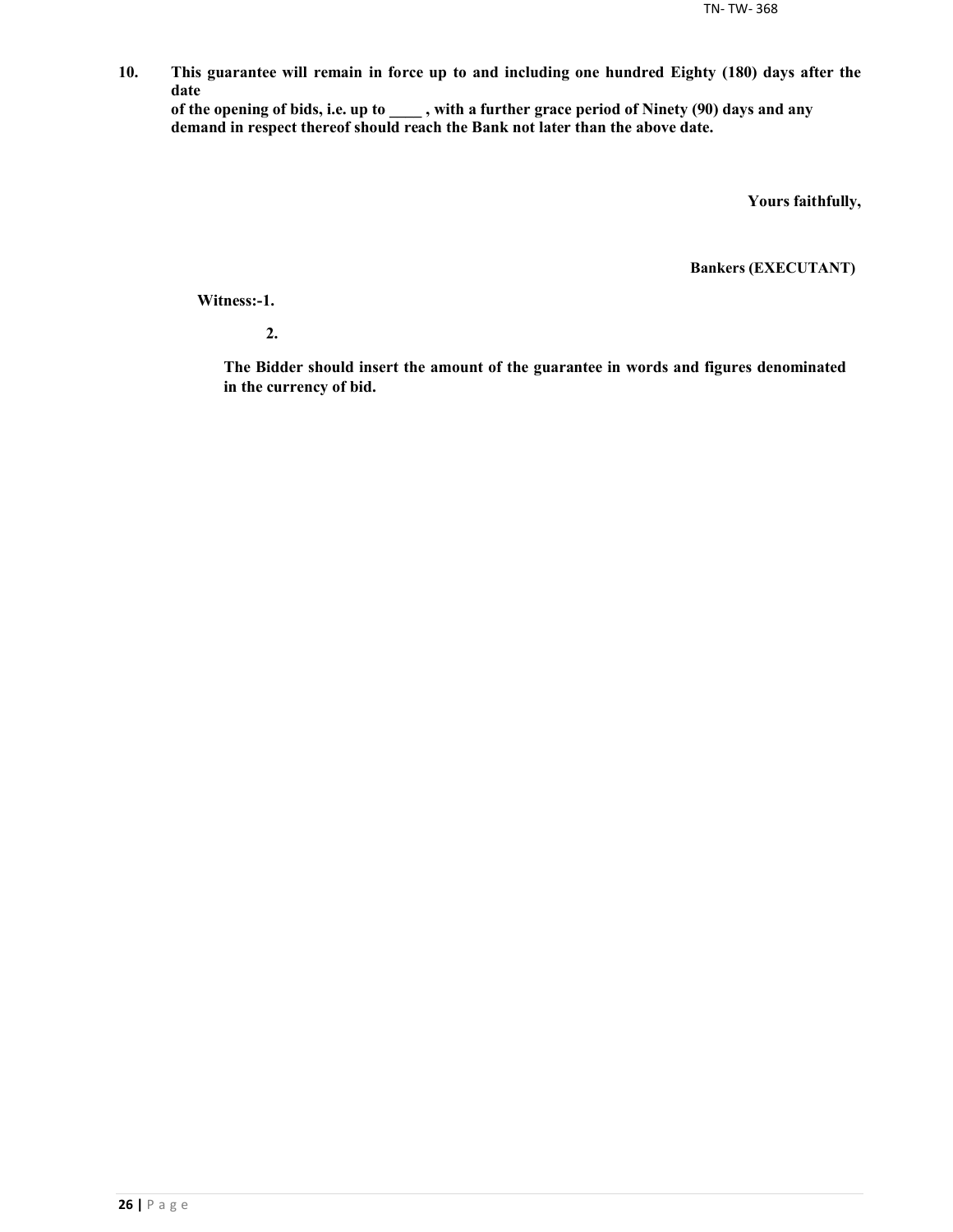**10. This guarantee will remain in force up to and including one hundred Eighty (180) days after the date**

**of the opening of bids, i.e. up to \_\_\_\_ , with a further grace period of Ninety (90) days and any demand in respect thereof should reach the Bank not later than the above date.**

**Yours faithfully,**

**Bankers (EXECUTANT)**

**Witness:-1.**

**2.**

**The Bidder should insert the amount of the guarantee in words and figures denominated in the currency of bid.**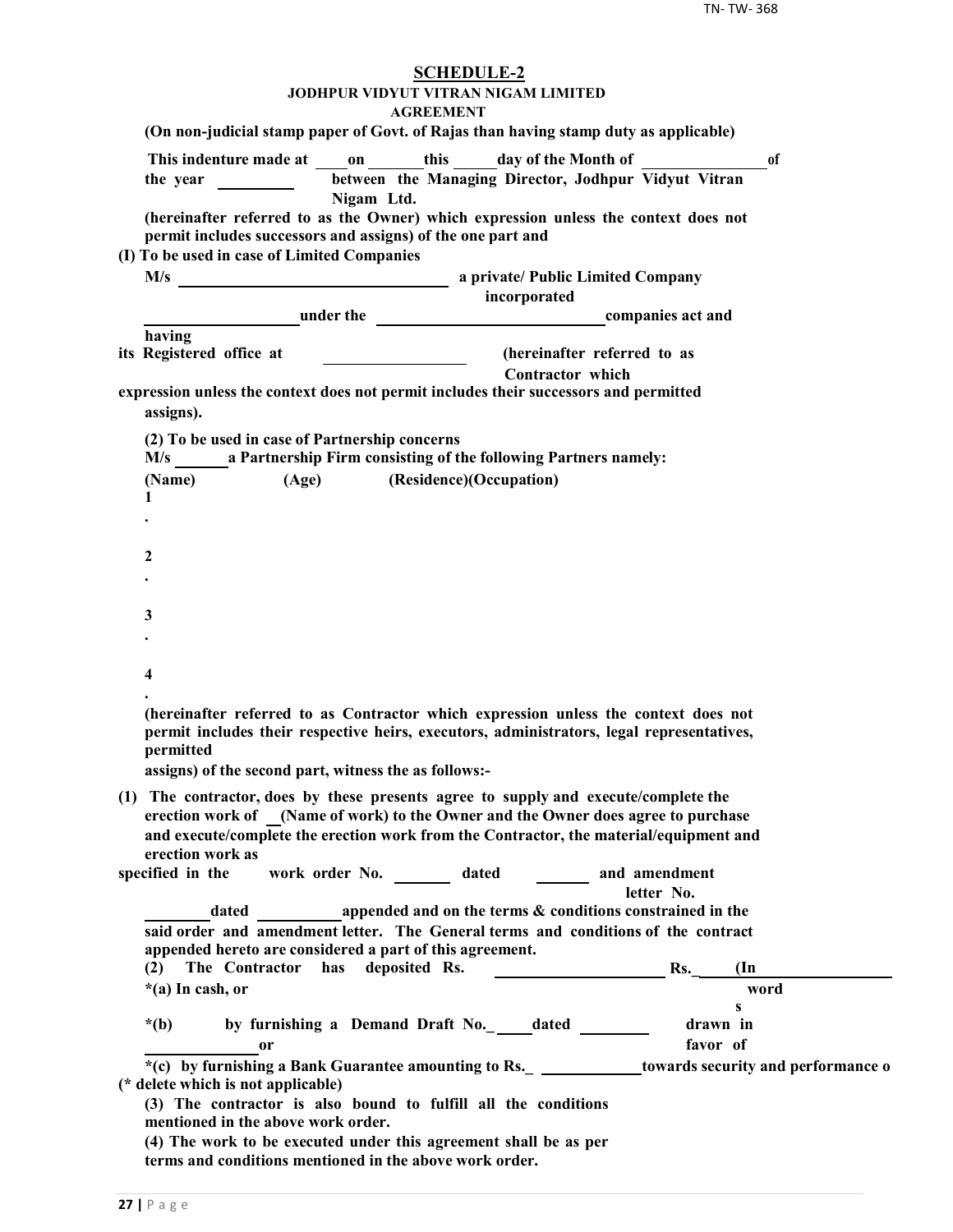| <b>SCHEDULE-2</b>                                                                                                                                                                |
|----------------------------------------------------------------------------------------------------------------------------------------------------------------------------------|
| JODHPUR VIDYUT VITRAN NIGAM LIMITED<br><b>AGREEMENT</b>                                                                                                                          |
| (On non-judicial stamp paper of Govt. of Rajas than having stamp duty as applicable)                                                                                             |
| This indenture made at on this day of the Month of<br><sup>of</sup>                                                                                                              |
| between the Managing Director, Jodhpur Vidyut Vitran<br>the year $\frac{1}{\sqrt{1-\frac{1}{2}} \cdot \frac{1}{2}}$<br>Nigam Ltd.                                                |
| (hereinafter referred to as the Owner) which expression unless the context does not<br>permit includes successors and assigns) of the one part and                               |
| (I) To be used in case of Limited Companies                                                                                                                                      |
|                                                                                                                                                                                  |
| incorporated                                                                                                                                                                     |
| ander the companies act and<br>having                                                                                                                                            |
| (hereinafter referred to as<br>its Registered office at                                                                                                                          |
| Contractor which<br>expression unless the context does not permit includes their successors and permitted                                                                        |
| assigns).                                                                                                                                                                        |
| (2) To be used in case of Partnership concerns<br>M/s a Partnership Firm consisting of the following Partners namely:                                                            |
| (Age) (Residence)(Occupation)<br>(Name)                                                                                                                                          |
| 1                                                                                                                                                                                |
|                                                                                                                                                                                  |
| 2                                                                                                                                                                                |
|                                                                                                                                                                                  |
| 3                                                                                                                                                                                |
|                                                                                                                                                                                  |
| $\overline{\mathbf{4}}$                                                                                                                                                          |
|                                                                                                                                                                                  |
| (hereinafter referred to as Contractor which expression unless the context does not<br>permit includes their respective heirs, executors, administrators, legal representatives, |
| permitted                                                                                                                                                                        |
| assigns) of the second part, witness the as follows:-                                                                                                                            |
| (1) The contractor, does by these presents agree to supply and execute/complete the                                                                                              |
| erection work of (Name of work) to the Owner and the Owner does agree to purchase                                                                                                |
| and execute/complete the erection work from the Contractor, the material/equipment and<br>erection work as                                                                       |
| work order No. _________ dated _________ and amendment<br>specified in the                                                                                                       |
| letter No.                                                                                                                                                                       |
| appended and on the terms $\&$ conditions constrained in the<br>dated                                                                                                            |
| said order and amendment letter. The General terms and conditions of the contract                                                                                                |
| appended hereto are considered a part of this agreement.                                                                                                                         |
| The Contractor has deposited Rs.<br>$\mathbf{Rs.}$<br>$(\text{In})$<br>(2)<br>*(a) In cash, or<br>word                                                                           |
| S                                                                                                                                                                                |
| drawn in<br>by furnishing a Demand Draft No. ______ dated _________<br>$*(b)$                                                                                                    |
| favor of<br>0r                                                                                                                                                                   |
| *(c) by furnishing a Bank Guarantee amounting to Rs. _ ______________towards security and performance o<br>(* delete which is not applicable)                                    |
| (3) The contractor is also bound to fulfill all the conditions<br>mentioned in the above work order.                                                                             |
| (4) The work to be executed under this agreement shall be as per<br>terms and conditions mentioned in the above work order.                                                      |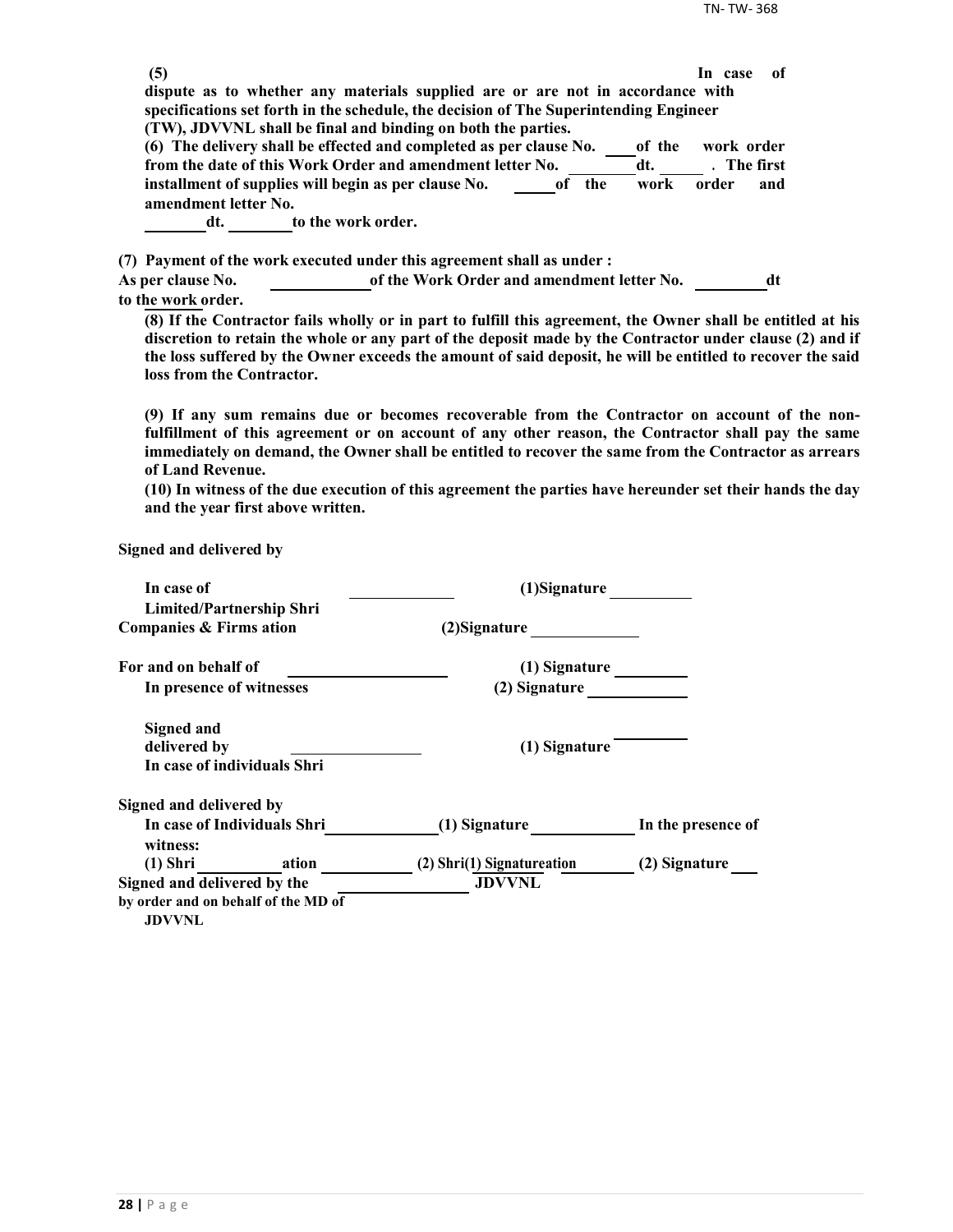| (5)                      |                                                                                                                      |        | -of<br>In case |
|--------------------------|----------------------------------------------------------------------------------------------------------------------|--------|----------------|
|                          | dispute as to whether any materials supplied are or are not in accordance with                                       |        |                |
|                          | specifications set forth in the schedule, the decision of The Superintending Engineer                                |        |                |
|                          | (TW), JDVVNL shall be final and binding on both the parties.                                                         |        |                |
|                          | (6) The delivery shall be effected and completed as per clause No.                                                   | of the | work order     |
|                          | from the date of this Work Order and amendment letter No.                                                            | dt.    | . The first    |
|                          | installment of supplies will begin as per clause No.<br>of the                                                       | work   | order<br>and   |
| amendment letter No.     | to the work order.                                                                                                   |        |                |
| dt.                      |                                                                                                                      |        |                |
|                          |                                                                                                                      |        |                |
| <b>As per clause No.</b> | (7) Payment of the work executed under this agreement shall as under :<br>of the Work Order and amendment letter No. |        |                |

**(8) If the Contractor fails wholly or in part to fulfill this agreement, the Owner shall be entitled at his discretion to retain the whole or any part of the deposit made by the Contractor under clause (2) and if the loss suffered by the Owner exceeds the amount of said deposit, he will be entitled to recover the said loss from the Contractor.**

**(9) If any sum remains due or becomes recoverable from the Contractor on account of the nonfulfillment of this agreement or on account of any other reason, the Contractor shall pay the same immediately on demand, the Owner shall be entitled to recover the same from the Contractor as arrears of Land Revenue.**

**(10) In witness of the due execution of this agreement the parties have hereunder set their hands the day and the year first above written.**

**Signed and delivered by**

| In case of                                           | (1)Signature               |                    |
|------------------------------------------------------|----------------------------|--------------------|
| <b>Limited/Partnership Shri</b>                      |                            |                    |
| Companies & Firms ation                              | (2) Signature              |                    |
| For and on behalf of                                 | (1) Signature              |                    |
| In presence of witnesses                             | (2) Signature              |                    |
| Signed and                                           |                            |                    |
| delivered by                                         | (1) Signature              |                    |
| In case of individuals Shri                          |                            |                    |
| Signed and delivered by                              |                            |                    |
| In case of Individuals Shri<br>witness:              | (1) Signature              | In the presence of |
| $(1)$ Shri<br>ation                                  | (2) Shri(1) Signatureation | (2) Signature      |
| Signed and delivered by the                          | <b>JDVVNL</b>              |                    |
| by order and on behalf of the MD of<br><b>JDVVNL</b> |                            |                    |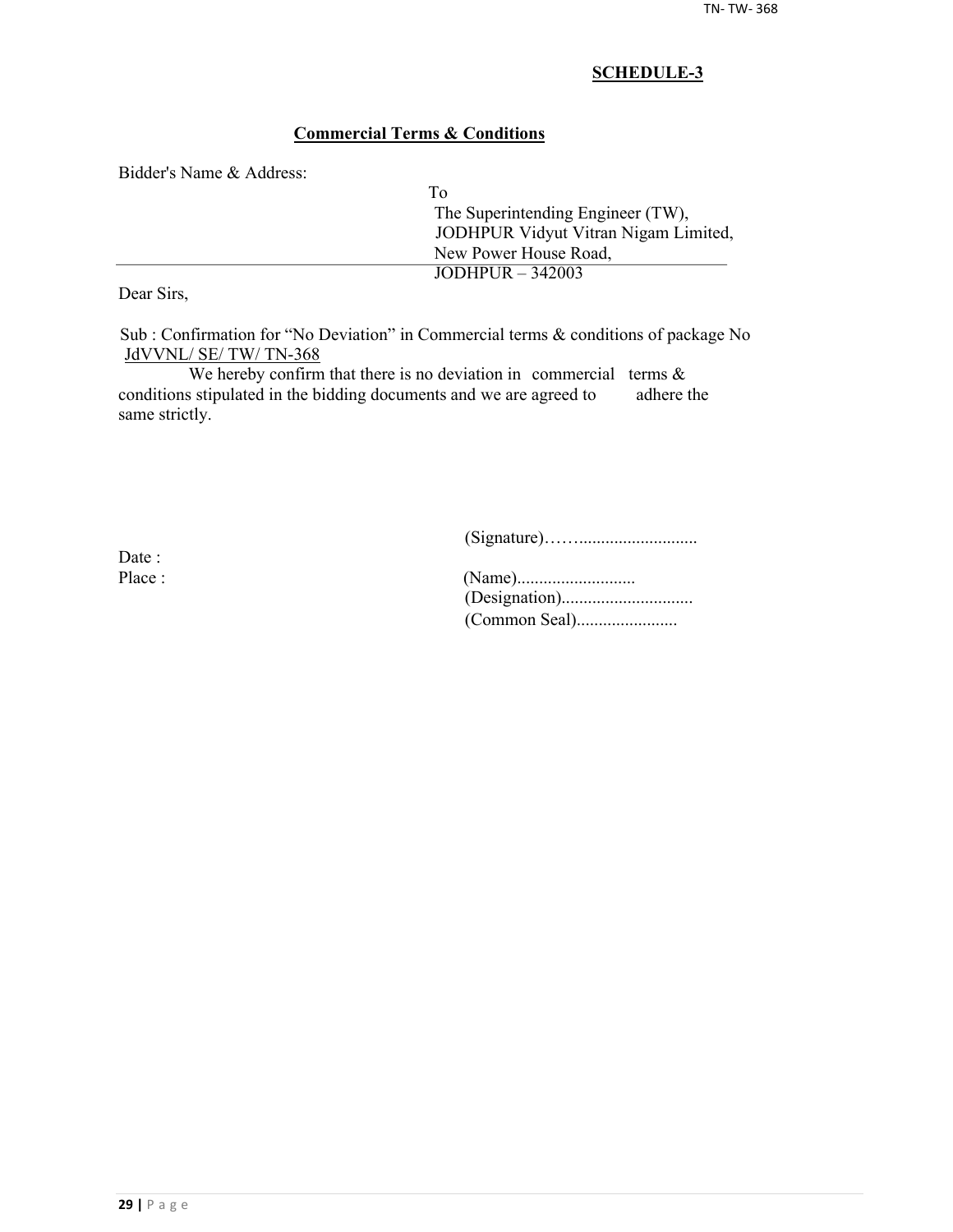## **Commercial Terms & Conditions**

Bidder's Name & Address:

| Tο                                   |
|--------------------------------------|
| The Superintending Engineer (TW),    |
| JODHPUR Vidyut Vitran Nigam Limited, |
| New Power House Road,                |
| $JODHPUR - 342003$                   |

Dear Sirs,

Sub : Confirmation for "No Deviation" in Commercial terms & conditions of package No JdVVNL/ SE/ TW/ TN-368

We hereby confirm that there is no deviation in commercial terms  $\&$ conditions stipulated in the bidding documents and we are agreed to adhere the same strictly.

(Signature)……...........................

Date :

| Place : |  |
|---------|--|
|         |  |
|         |  |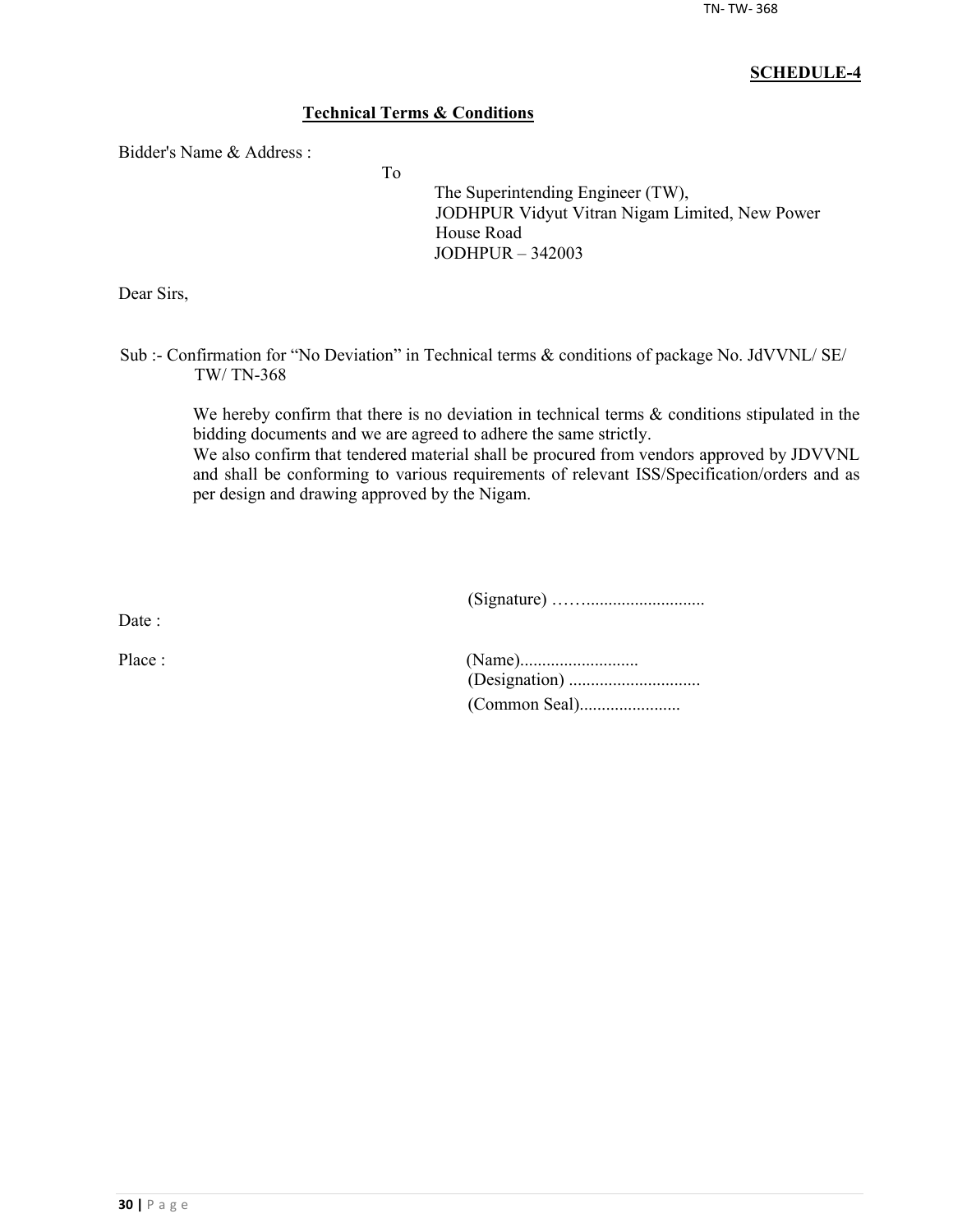## **Technical Terms & Conditions**

To

Bidder's Name & Address :

The Superintending Engineer (TW), JODHPUR Vidyut Vitran Nigam Limited, New Power House Road JODHPUR – 342003

Dear Sirs,

Sub :- Confirmation for "No Deviation" in Technical terms & conditions of package No. JdVVNL/ SE/ TW/ TN-368

> We hereby confirm that there is no deviation in technical terms  $\&$  conditions stipulated in the bidding documents and we are agreed to adhere the same strictly.

> We also confirm that tendered material shall be procured from vendors approved by JDVVNL and shall be conforming to various requirements of relevant ISS/Specification/orders and as per design and drawing approved by the Nigam.

> > (Signature) ……...........................

Date ·

| Place : |  |
|---------|--|
|         |  |
|         |  |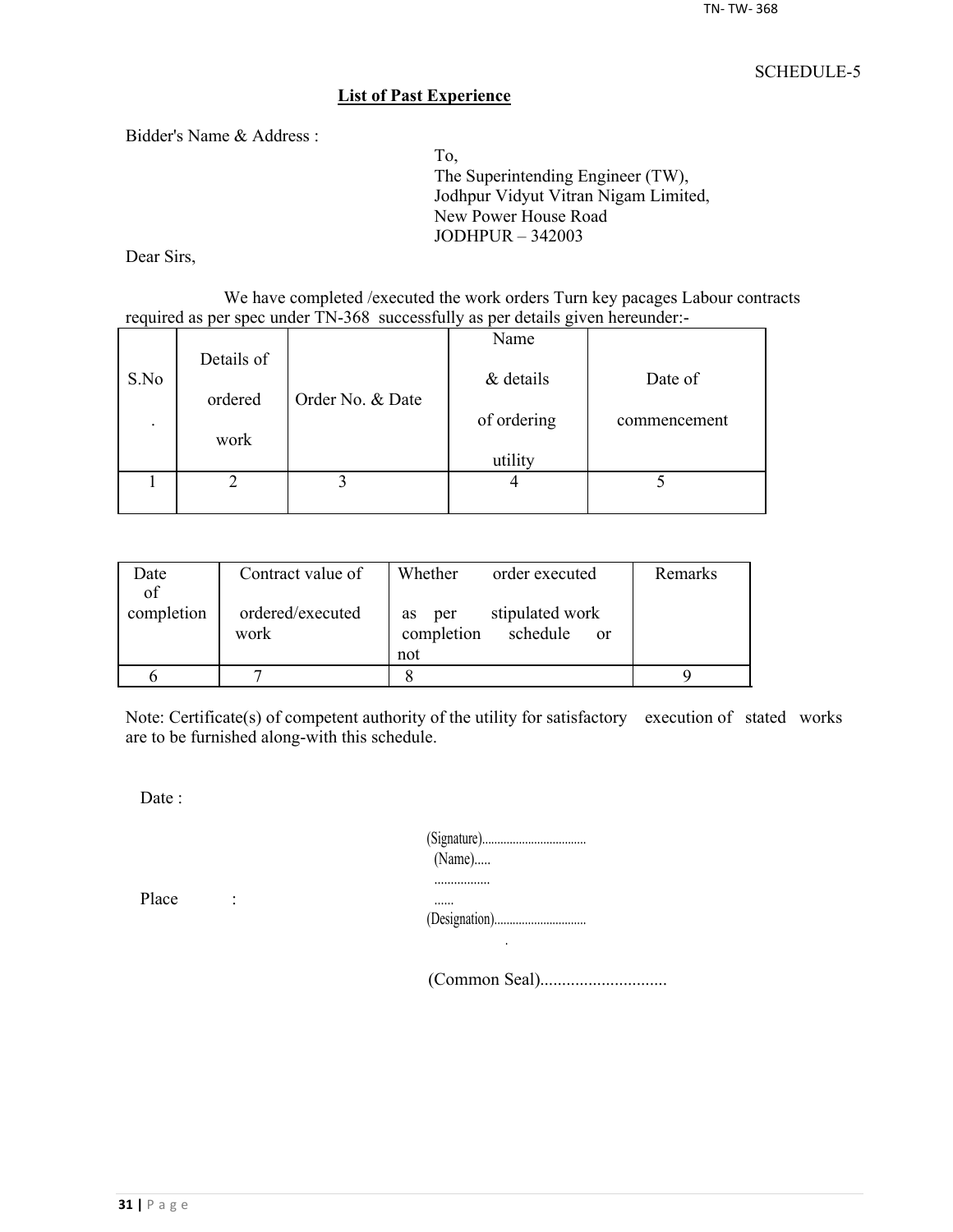#### **List of Past Experience**

Bidder's Name & Address :

To, The Superintending Engineer (TW), Jodhpur Vidyut Vitran Nigam Limited, New Power House Road JODHPUR – 342003

Dear Sirs,

We have completed /executed the work orders Turn key pacages Labour contracts required as per spec under TN-368 successfully as per details given hereunder:-

|                          |            |                  | Name        |              |
|--------------------------|------------|------------------|-------------|--------------|
| S.No                     | Details of |                  | & details   | Date of      |
|                          | ordered    | Order No. & Date |             |              |
| $\overline{\phantom{a}}$ |            |                  | of ordering | commencement |
|                          | work       |                  | utility     |              |
|                          |            |                  |             |              |
|                          |            |                  |             |              |

| Date       | Contract value of        | Whether<br>order executed                                     | Remarks |
|------------|--------------------------|---------------------------------------------------------------|---------|
| of         |                          |                                                               |         |
| completion | ordered/executed<br>work | stipulated work<br>per<br><b>as</b><br>completion<br>schedule |         |
|            |                          | <sub>or</sub><br>not                                          |         |
|            |                          |                                                               |         |
|            |                          |                                                               |         |

Note: Certificate(s) of competent authority of the utility for satisfactory execution of stated works are to be furnished along-with this schedule.

Date:

| $(Name)$ |  |
|----------|--|
|          |  |
|          |  |

Place :

(Common Seal).............................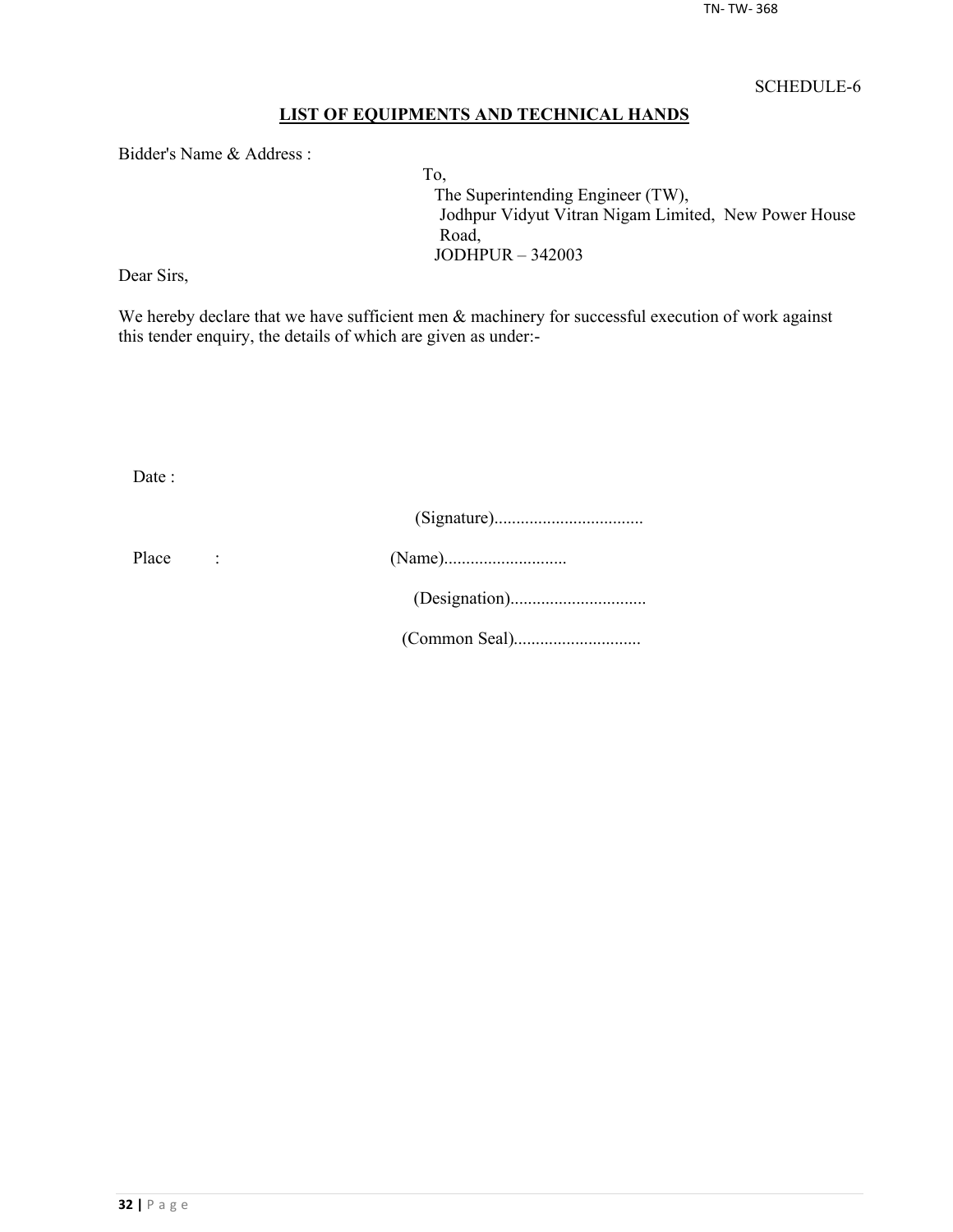## **LIST OF EQUIPMENTS AND TECHNICAL HANDS**

Bidder's Name & Address :

To, The Superintending Engineer (TW), Jodhpur Vidyut Vitran Nigam Limited, New Power House Road, JODHPUR – 342003

Dear Sirs,

We hereby declare that we have sufficient men  $\&$  machinery for successful execution of work against this tender enquiry, the details of which are given as under:-

Date :

| Place |  |
|-------|--|
|       |  |
|       |  |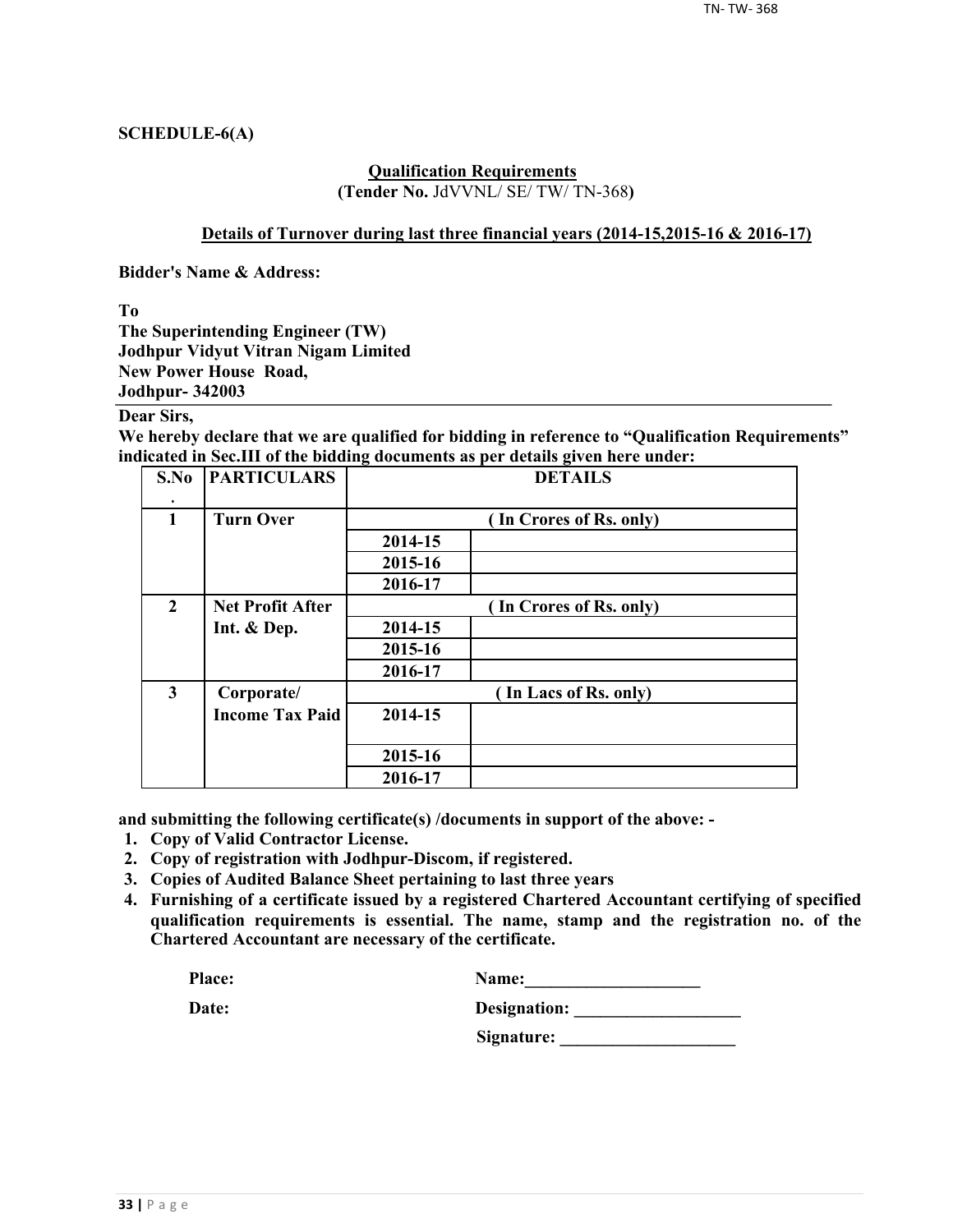## **SCHEDULE-6(A)**

#### **Qualification Requirements (Tender No.** JdVVNL/ SE/ TW/ TN-368**)**

#### **Details of Turnover during last three financial years (2014-15,2015-16 & 2016-17)**

**Bidder's Name & Address:**

**To**

**The Superintending Engineer (TW) Jodhpur Vidyut Vitran Nigam Limited New Power House Road, Jodhpur- 342003**

## **Dear Sirs,**

**We hereby declare that we are qualified for bidding in reference to "Qualification Requirements" indicated in Sec.III of the bidding documents as per details given here under:**

| S.No                    | <b>PARTICULARS</b>      | <b>DETAILS</b> |                         |  |  |  |  |
|-------------------------|-------------------------|----------------|-------------------------|--|--|--|--|
| $\mathbf{1}$            | <b>Turn Over</b>        |                | (In Crores of Rs. only) |  |  |  |  |
|                         |                         | 2014-15        |                         |  |  |  |  |
|                         |                         | 2015-16        |                         |  |  |  |  |
|                         |                         | 2016-17        |                         |  |  |  |  |
| $\overline{2}$          | <b>Net Profit After</b> |                | (In Crores of Rs. only) |  |  |  |  |
|                         | Int. & Dep.             | 2014-15        |                         |  |  |  |  |
|                         |                         | 2015-16        |                         |  |  |  |  |
|                         |                         | 2016-17        |                         |  |  |  |  |
| $\overline{\mathbf{3}}$ | Corporate/              |                | (In Lacs of Rs. only)   |  |  |  |  |
|                         | <b>Income Tax Paid</b>  | 2014-15        |                         |  |  |  |  |
|                         |                         | 2015-16        |                         |  |  |  |  |
|                         |                         | 2016-17        |                         |  |  |  |  |

**and submitting the following certificate(s) /documents in support of the above: -**

- **1. Copy of Valid Contractor License.**
- **2. Copy of registration with Jodhpur-Discom, if registered.**
- **3. Copies of Audited Balance Sheet pertaining to last three years**
- **4. Furnishing of a certificate issued by a registered Chartered Accountant certifying of specified qualification requirements is essential. The name, stamp and the registration no. of the Chartered Accountant are necessary of the certificate.**

| Place: | <b>Name:</b> |
|--------|--------------|
|        |              |

| Date: | Designation: |
|-------|--------------|
|       |              |

**Signature: \_\_\_\_\_\_\_\_\_\_\_\_\_\_\_\_\_\_\_\_**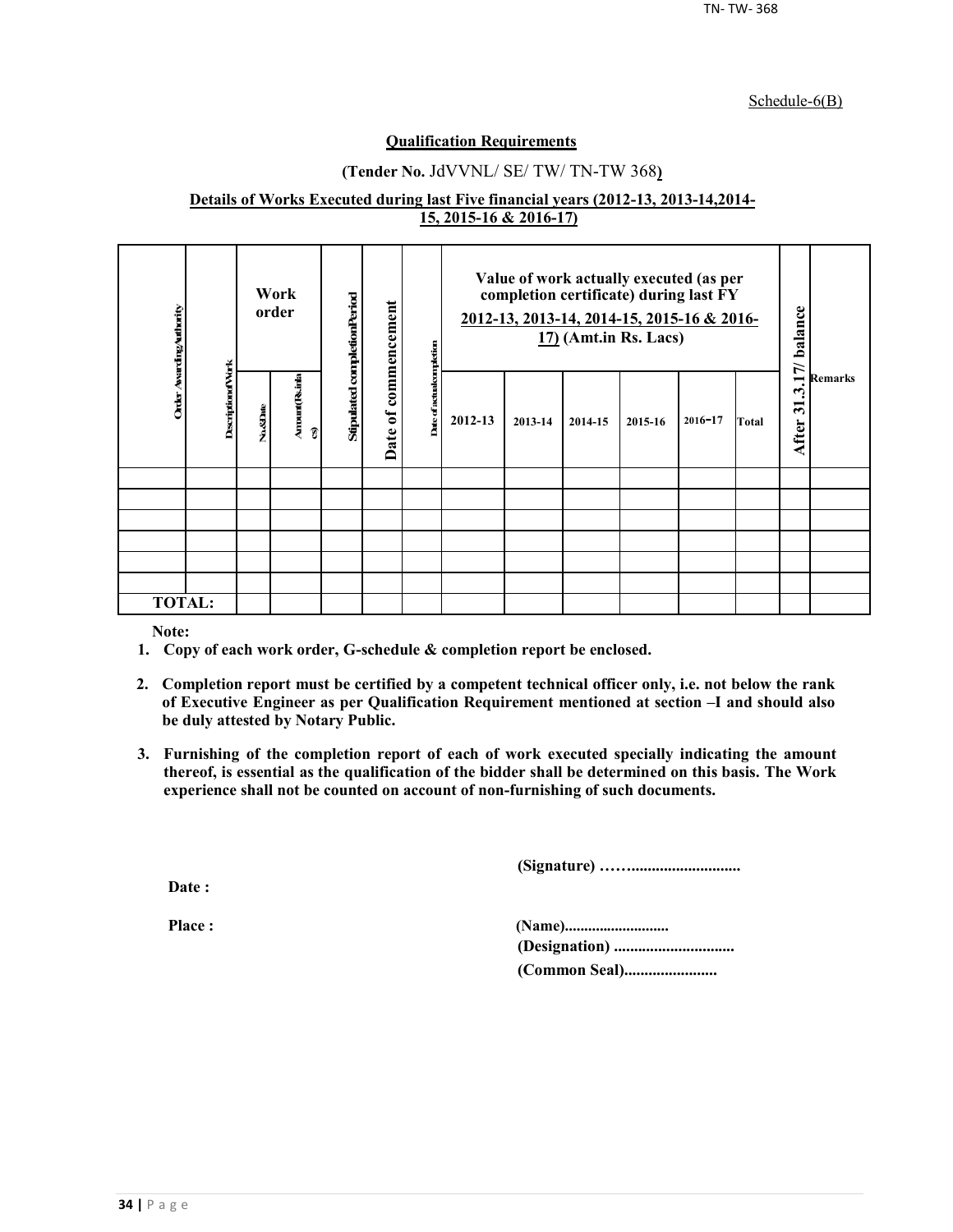#### Schedule-6(B)

## **Qualification Requirements**

## **(Tender No.** JdVVNL/ SE/ TW/ TN-TW 368**)**

#### **Details of Works Executed during last Five financial years (2012-13, 2013-14,2014- 15, 2015-16 & 2016-17)**

| Order AvardingAuthority |                          |          | Work<br>order        | Stipulated completionPeriod | commencement     |                              | Value of work actually executed (as per<br>completion certificate) during last FY<br>2012-13, 2013-14, 2014-15, 2015-16 & 2016-<br>$17)$ (Amt.in Rs. Lacs) |         |         | 17/ balance | <b>Remarks</b> |       |                  |  |
|-------------------------|--------------------------|----------|----------------------|-----------------------------|------------------|------------------------------|------------------------------------------------------------------------------------------------------------------------------------------------------------|---------|---------|-------------|----------------|-------|------------------|--|
|                         | <b>DescriptionofVork</b> | No.&Date | Arrount(Rsinla<br>อิ |                             | $\sigma$<br>Date | Date of actual<br>completion | 2012-13                                                                                                                                                    | 2013-14 | 2014-15 | 2015-16     | $2016 - 17$    | Total | یہ<br>ॸ<br>After |  |
|                         |                          |          |                      |                             |                  |                              |                                                                                                                                                            |         |         |             |                |       |                  |  |
|                         |                          |          |                      |                             |                  |                              |                                                                                                                                                            |         |         |             |                |       |                  |  |
|                         |                          |          |                      |                             |                  |                              |                                                                                                                                                            |         |         |             |                |       |                  |  |
|                         |                          |          |                      |                             |                  |                              |                                                                                                                                                            |         |         |             |                |       |                  |  |
|                         |                          |          |                      |                             |                  |                              |                                                                                                                                                            |         |         |             |                |       |                  |  |
|                         |                          |          |                      |                             |                  |                              |                                                                                                                                                            |         |         |             |                |       |                  |  |
| <b>TOTAL:</b>           |                          |          |                      |                             |                  |                              |                                                                                                                                                            |         |         |             |                |       |                  |  |

**Note:**

- **1. Copy of each work order, G-schedule & completion report be enclosed.**
- **2. Completion report must be certified by a competent technical officer only, i.e. not below the rank of Executive Engineer as per Qualification Requirement mentioned at section –I and should also be duly attested by Notary Public.**
- **3. Furnishing of the completion report of each of work executed specially indicating the amount thereof, is essential as the qualification of the bidder shall be determined on this basis. The Work experience shall not be counted on account of non-furnishing of such documents.**

**(Signature) ……...........................**

**Date :**

**Place : (Name)........................... (Designation) .............................. (Common Seal).......................**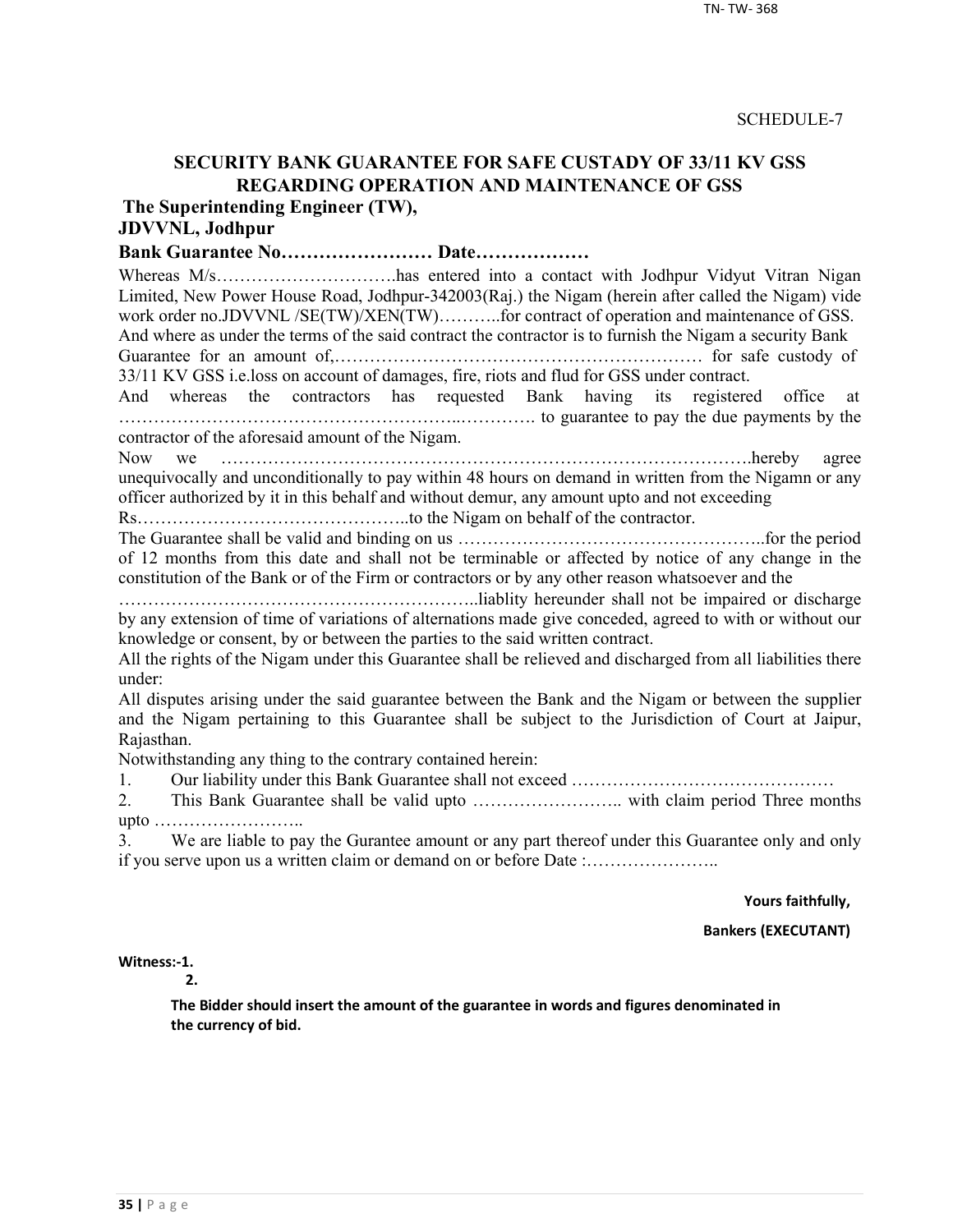## **SECURITY BANK GUARANTEE FOR SAFE CUSTADY OF 33/11 KV GSS REGARDING OPERATION AND MAINTENANCE OF GSS**

**The Superintending Engineer (TW),**

## **JDVVNL, Jodhpur**

**Bank Guarantee No…………………… Date………………**

Whereas M/s…………………………has entered into a contact with Jodhpur Vidyut Vitran Nigan Limited, New Power House Road, Jodhpur-342003(Raj.) the Nigam (herein after called the Nigam) vide work order no.JDVVNL /SE(TW)/XEN(TW)..........for contract of operation and maintenance of GSS. And where as under the terms of the said contract the contractor is to furnish the Nigam a security Bank

Guarantee for an amount of,……………………………………………………… for safe custody of 33/11 KV GSS i.e.loss on account of damages, fire, riots and flud for GSS under contract.

And whereas the contractors has requested Bank having its registered office at …………………………………………………..…………. to guarantee to pay the due payments by the contractor of the aforesaid amount of the Nigam.

Now we ……………………………………………………………………………….hereby agree unequivocally and unconditionally to pay within 48 hours on demand in written from the Nigamn or any officer authorized by it in this behalf and without demur, any amount upto and not exceeding

Rs………………………………………..to the Nigam on behalf of the contractor.

The Guarantee shall be valid and binding on us ……………………………………………..for the period of 12 months from this date and shall not be terminable or affected by notice of any change in the constitution of the Bank or of the Firm or contractors or by any other reason whatsoever and the

……………………………………………………..liablity hereunder shall not be impaired or discharge by any extension of time of variations of alternations made give conceded, agreed to with or without our knowledge or consent, by or between the parties to the said written contract.

All the rights of the Nigam under this Guarantee shall be relieved and discharged from all liabilities there under:

All disputes arising under the said guarantee between the Bank and the Nigam or between the supplier and the Nigam pertaining to this Guarantee shall be subject to the Jurisdiction of Court at Jaipur, Rajasthan.

Notwithstanding any thing to the contrary contained herein:

1. Our liability under this Bank Guarantee shall not exceed ………………………………………

2. This Bank Guarantee shall be valid upto …………………….. with claim period Three months upto ……………………..

3. We are liable to pay the Gurantee amount or any part thereof under this Guarantee only and only if you serve upon us a written claim or demand on or before Date :…………………..

**Yours faithfully,**

**Bankers (EXECUTANT)**

**Witness:-1.** 

**2.**

**The Bidder should insert the amount of the guarantee in words and figures denominated in the currency of bid.**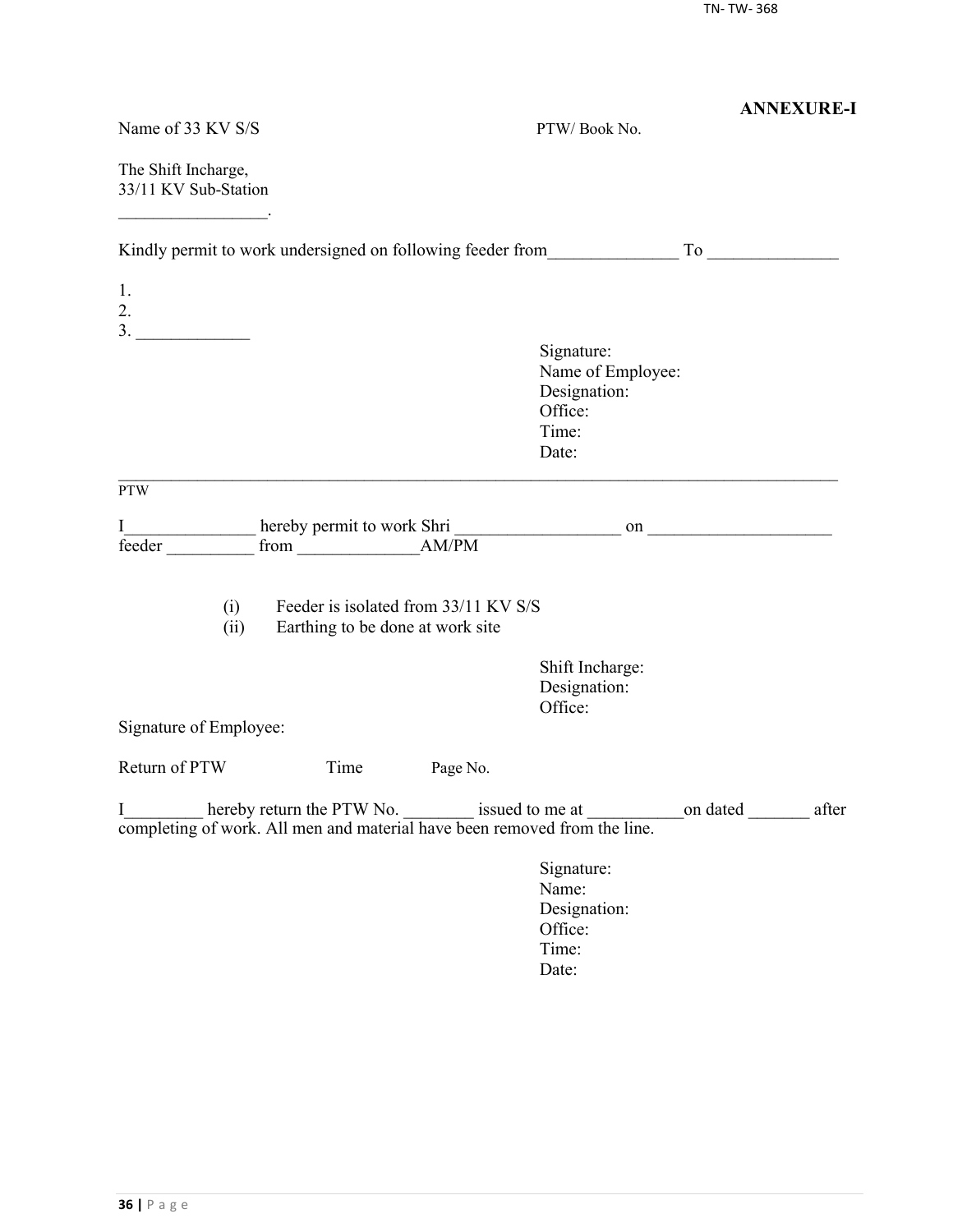| Name of 33 KV S/S                                                              |                                                                          |          | PTW/Book No.                                                                                       | <b>ANNEXURE-I</b> |
|--------------------------------------------------------------------------------|--------------------------------------------------------------------------|----------|----------------------------------------------------------------------------------------------------|-------------------|
| The Shift Incharge,<br>33/11 KV Sub-Station                                    |                                                                          |          |                                                                                                    |                   |
|                                                                                |                                                                          |          |                                                                                                    |                   |
| 1.<br>2.                                                                       |                                                                          |          |                                                                                                    |                   |
| 3.                                                                             |                                                                          |          | Signature:<br>Name of Employee:<br>Designation:<br>Office:<br>Time:<br>Date:                       |                   |
| <b>PTW</b>                                                                     |                                                                          |          |                                                                                                    |                   |
| I<br>feeder                                                                    |                                                                          |          |                                                                                                    |                   |
| (i)<br>(ii)                                                                    | Feeder is isolated from 33/11 KV S/S<br>Earthing to be done at work site |          |                                                                                                    |                   |
|                                                                                |                                                                          |          | Shift Incharge:<br>Designation:<br>Office:                                                         |                   |
| Signature of Employee:                                                         |                                                                          |          |                                                                                                    |                   |
| Return of PTW                                                                  | Time                                                                     | Page No. |                                                                                                    |                   |
| I<br>completing of work. All men and material have been removed from the line. |                                                                          |          | hereby return the PTW No. _________ issued to me at _________________on dated ______________ after |                   |
|                                                                                |                                                                          |          | Signature:<br>Name:<br>Designation:<br>Office:<br>Time:<br>Date:                                   |                   |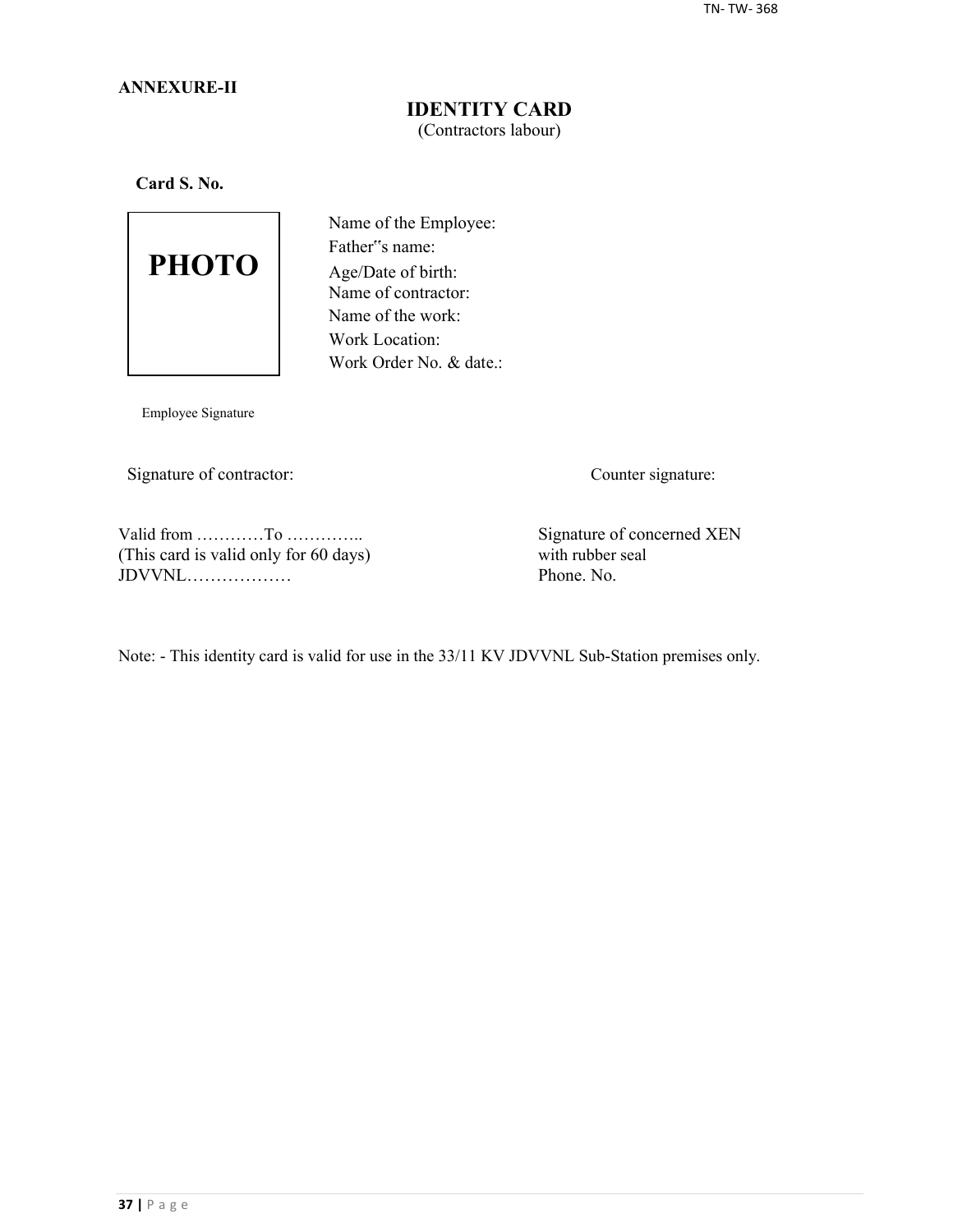#### **ANNEXURE-II**

## **IDENTITY CARD** (Contractors labour)

**Card S. No.**



Name of the Employee: Father"s name: Age/Date of birth: Name of contractor: Name of the work: Work Location: Work Order No. & date.:

Employee Signature

Signature of contractor: Counter signature:

Valid from …………To …………..<br>
This card is valid only for 60 days) Signature of concerned XEN<br>
with rubber seal (This card is valid only for 60 days) with rubber seal  $JDVVNL$ 

Note: - This identity card is valid for use in the 33/11 KV JDVVNL Sub-Station premises only.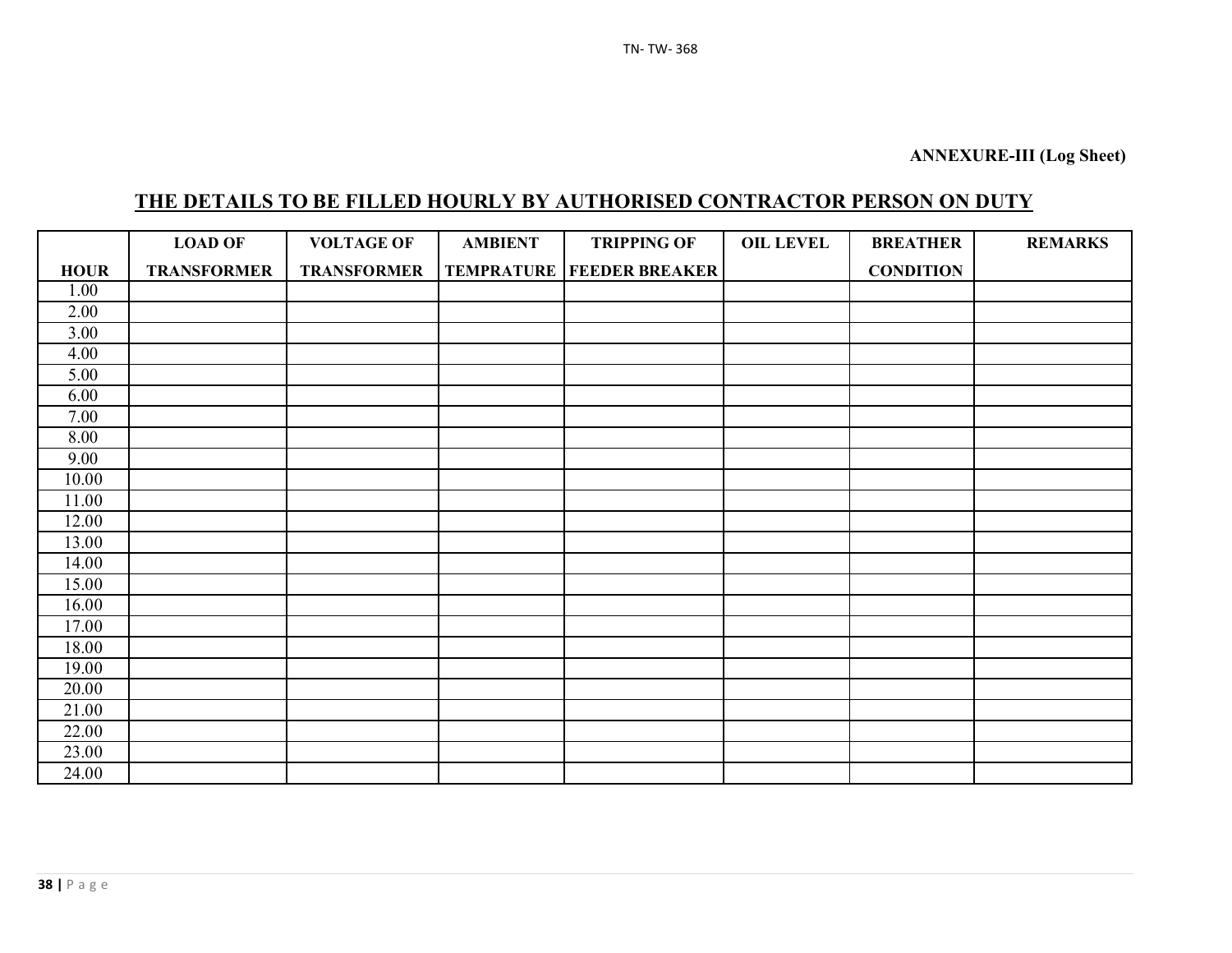# **THE DETAILS TO BE FILLED HOURLY BY AUTHORISED CONTRACTOR PERSON ON DUTY**

|             | <b>LOAD OF</b>     | <b>VOLTAGE OF</b>  | <b>AMBIENT</b> | <b>TRIPPING OF</b>                   | <b>OIL LEVEL</b> | <b>BREATHER</b>  | <b>REMARKS</b> |
|-------------|--------------------|--------------------|----------------|--------------------------------------|------------------|------------------|----------------|
| <b>HOUR</b> | <b>TRANSFORMER</b> | <b>TRANSFORMER</b> |                | <b>TEMPRATURE   FEEDER BREAKER  </b> |                  | <b>CONDITION</b> |                |
| 1.00        |                    |                    |                |                                      |                  |                  |                |
| 2.00        |                    |                    |                |                                      |                  |                  |                |
| 3.00        |                    |                    |                |                                      |                  |                  |                |
| 4.00        |                    |                    |                |                                      |                  |                  |                |
| 5.00        |                    |                    |                |                                      |                  |                  |                |
| 6.00        |                    |                    |                |                                      |                  |                  |                |
| 7.00        |                    |                    |                |                                      |                  |                  |                |
| 8.00        |                    |                    |                |                                      |                  |                  |                |
| 9.00        |                    |                    |                |                                      |                  |                  |                |
| 10.00       |                    |                    |                |                                      |                  |                  |                |
| 11.00       |                    |                    |                |                                      |                  |                  |                |
| 12.00       |                    |                    |                |                                      |                  |                  |                |
| 13.00       |                    |                    |                |                                      |                  |                  |                |
| 14.00       |                    |                    |                |                                      |                  |                  |                |
| 15.00       |                    |                    |                |                                      |                  |                  |                |
| 16.00       |                    |                    |                |                                      |                  |                  |                |
| 17.00       |                    |                    |                |                                      |                  |                  |                |
| 18.00       |                    |                    |                |                                      |                  |                  |                |
| 19.00       |                    |                    |                |                                      |                  |                  |                |
| 20.00       |                    |                    |                |                                      |                  |                  |                |
| 21.00       |                    |                    |                |                                      |                  |                  |                |
| 22.00       |                    |                    |                |                                      |                  |                  |                |
| 23.00       |                    |                    |                |                                      |                  |                  |                |
| 24.00       |                    |                    |                |                                      |                  |                  |                |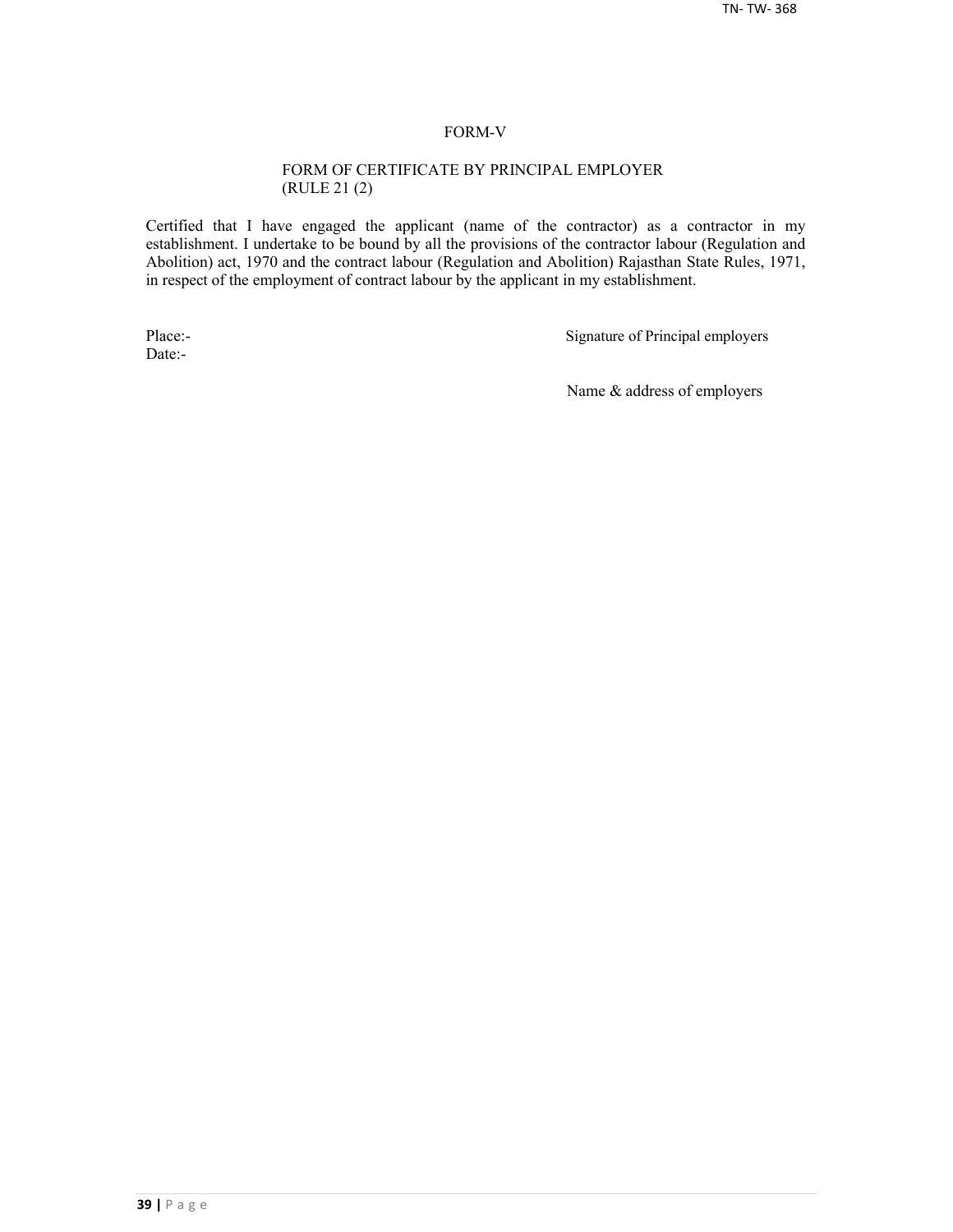#### FORM-V

#### FORM OF CERTIFICATE BY PRINCIPAL EMPLOYER (RULE 21 (2)

Certified that I have engaged the applicant (name of the contractor) as a contractor in my establishment. I undertake to be bound by all the provisions of the contractor labour (Regulation and Abolition) act, 1970 and the contract labour (Regulation and Abolition) Rajasthan State Rules, 1971, in respect of the employment of contract labour by the applicant in my establishment.

Date:-

Place:-<br>
Signature of Principal employers

Name & address of employers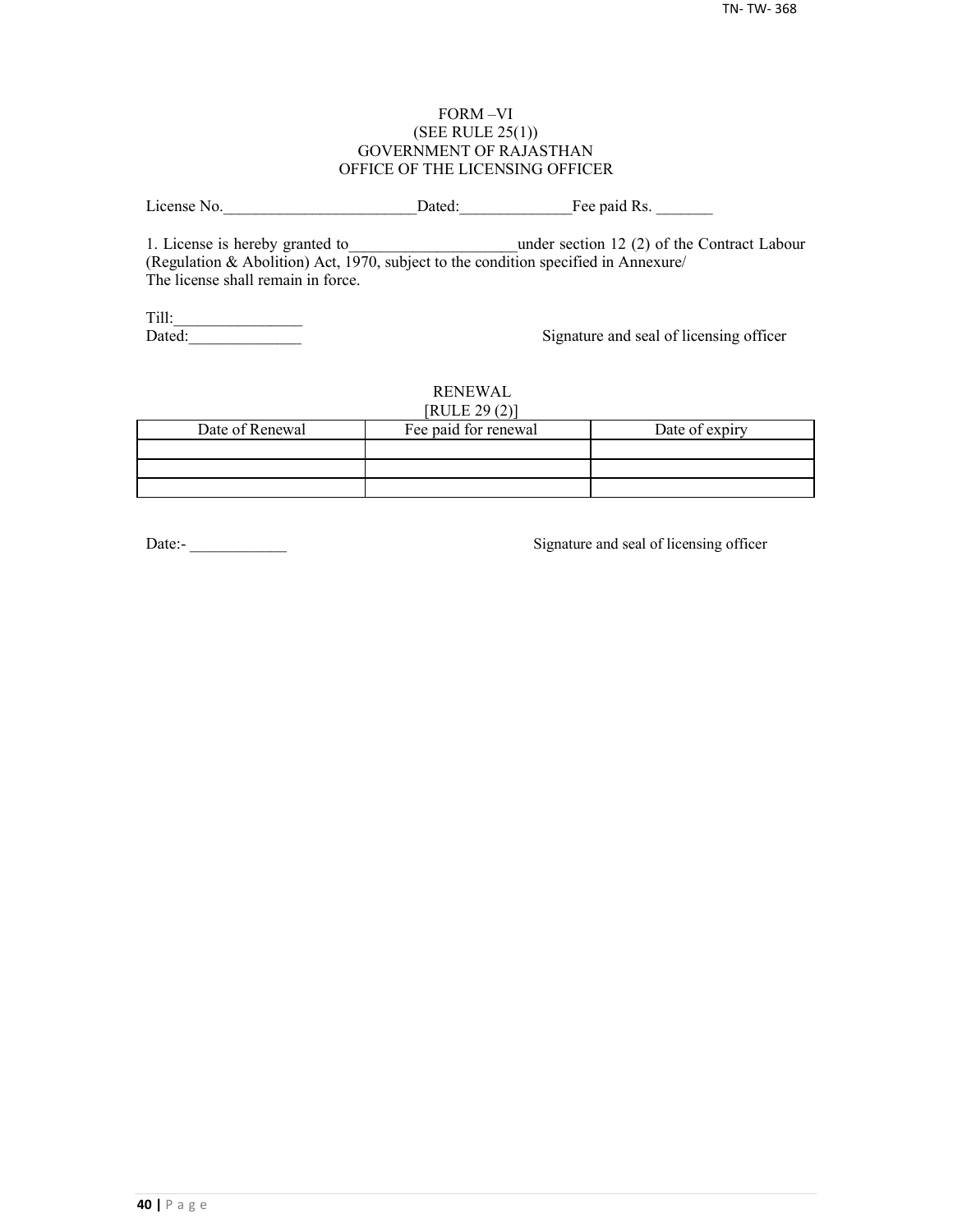#### FORM –VI (SEE RULE 25(1)) GOVERNMENT OF RAJASTHAN OFFICE OF THE LICENSING OFFICER

License No. 2012 Dated: The paid Rs.

1. License is hereby granted to **the under section 12 (2) of the Contract Labour** (Regulation & Abolition) Act, 1970, subject to the condition specified in Annexure/ The license shall remain in force.

Till:\_\_\_\_\_\_\_\_\_\_\_\_\_\_\_\_

Signature and seal of licensing officer

#### RENEWAL  $[PHH]$   $[20(2)]$

| NULEZ9(2)       |                      |                |  |  |  |  |  |
|-----------------|----------------------|----------------|--|--|--|--|--|
| Date of Renewal | Fee paid for renewal | Date of expiry |  |  |  |  |  |
|                 |                      |                |  |  |  |  |  |
|                 |                      |                |  |  |  |  |  |
|                 |                      |                |  |  |  |  |  |

Date:-<br>
Signature and seal of licensing officer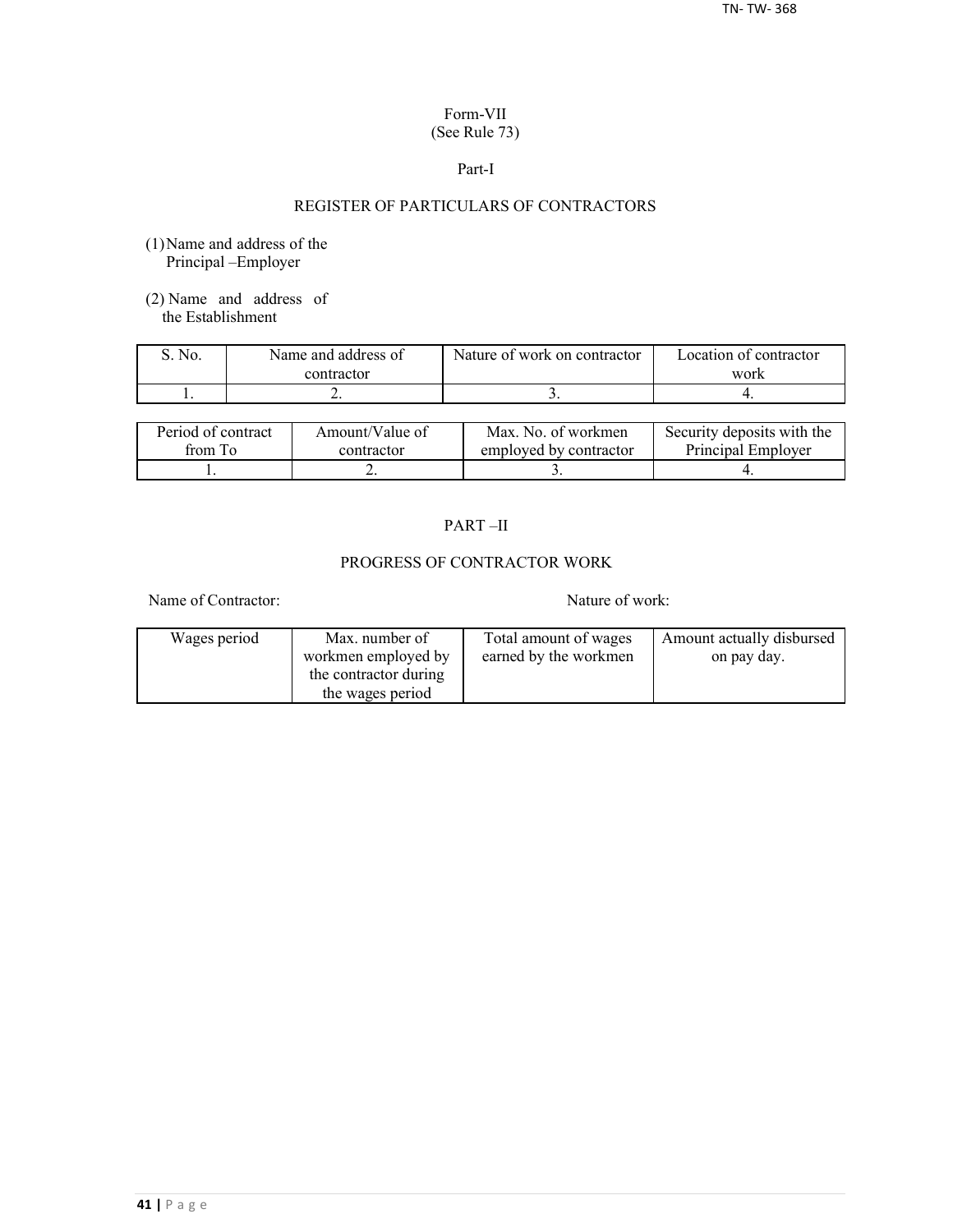#### Form-VII (See Rule 73)

#### Part-I

## REGISTER OF PARTICULARS OF CONTRACTORS

- (1)Name and address of the Principal –Employer
- (2) Name and address of the Establishment

| No. | Name and address of | Nature of work on contractor | Location of contractor |  |
|-----|---------------------|------------------------------|------------------------|--|
|     | contractor          |                              | work                   |  |
|     | <u>.</u>            |                              |                        |  |

| Period of contract | Amount/Value of | Max. No. of workmen    | Security deposits with the |
|--------------------|-----------------|------------------------|----------------------------|
| from To            | contractor      | employed by contractor | Principal Employer         |
|                    | ∸               |                        |                            |

## PART –II

## PROGRESS OF CONTRACTOR WORK

Name of Contractor: Nature of work:

| Wages period | Max. number of        | Total amount of wages | Amount actually disbursed |
|--------------|-----------------------|-----------------------|---------------------------|
|              | workmen employed by   | earned by the workmen | on pay day.               |
|              | the contractor during |                       |                           |
|              | the wages period      |                       |                           |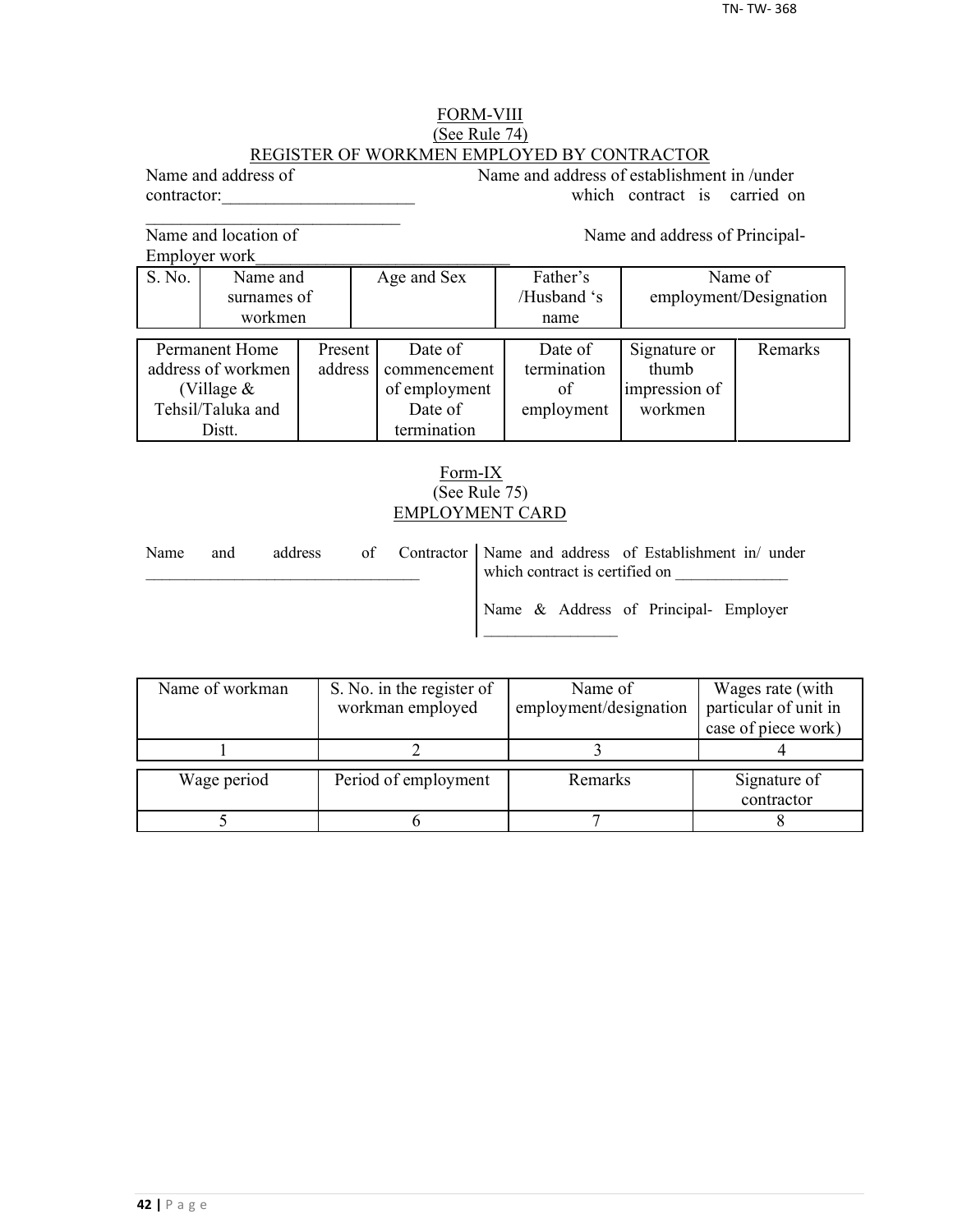## FORM-VIII (See Rule 74) REGISTER OF WORKMEN EMPLOYED BY CONTRACTOR

Name and address of Name and address of establishment in /under contractor: which contract is carried on

Name and location of Name and address of Principal-

 $\mathcal{L}_\text{max}$ 

Employer work\_\_\_\_\_\_\_\_\_\_\_\_\_\_\_\_\_\_\_\_\_\_\_\_\_\_\_\_\_

|                    | EIIIDIOVEI WOIK |         |               |             |                        |         |
|--------------------|-----------------|---------|---------------|-------------|------------------------|---------|
| S. No.             | Name and        |         | Age and Sex   | Father's    |                        | Name of |
|                    | surnames of     |         |               | /Husband 's | employment/Designation |         |
|                    | workmen         |         |               | name        |                        |         |
|                    |                 |         |               |             |                        |         |
| Permanent Home     |                 | Present | Date of       | Date of     | Signature or           | Remarks |
| address of workmen |                 | address | commencement  | termination | thumb                  |         |
| (Village $&$       |                 |         | of employment | of          | impression of          |         |
| Tehsil/Taluka and  |                 |         | Date of       | employment  | workmen                |         |
| Distt.             |                 |         | termination   |             |                        |         |

## Form-IX (See Rule 75) EMPLOYMENT CARD

| Name | and | address |  | of Contractor   Name and address of Establishment in/ under<br>which contract is certified on |
|------|-----|---------|--|-----------------------------------------------------------------------------------------------|
|      |     |         |  | Name & Address of Principal- Employer                                                         |

| Name of workman | S. No. in the register of | Name of                | Wages rate (with      |
|-----------------|---------------------------|------------------------|-----------------------|
|                 | workman employed          | employment/designation | particular of unit in |
|                 |                           |                        | case of piece work)   |
|                 |                           |                        |                       |
| Wage period     | Period of employment      | Remarks                | Signature of          |
|                 |                           |                        | contractor            |
|                 |                           |                        |                       |
|                 |                           |                        |                       |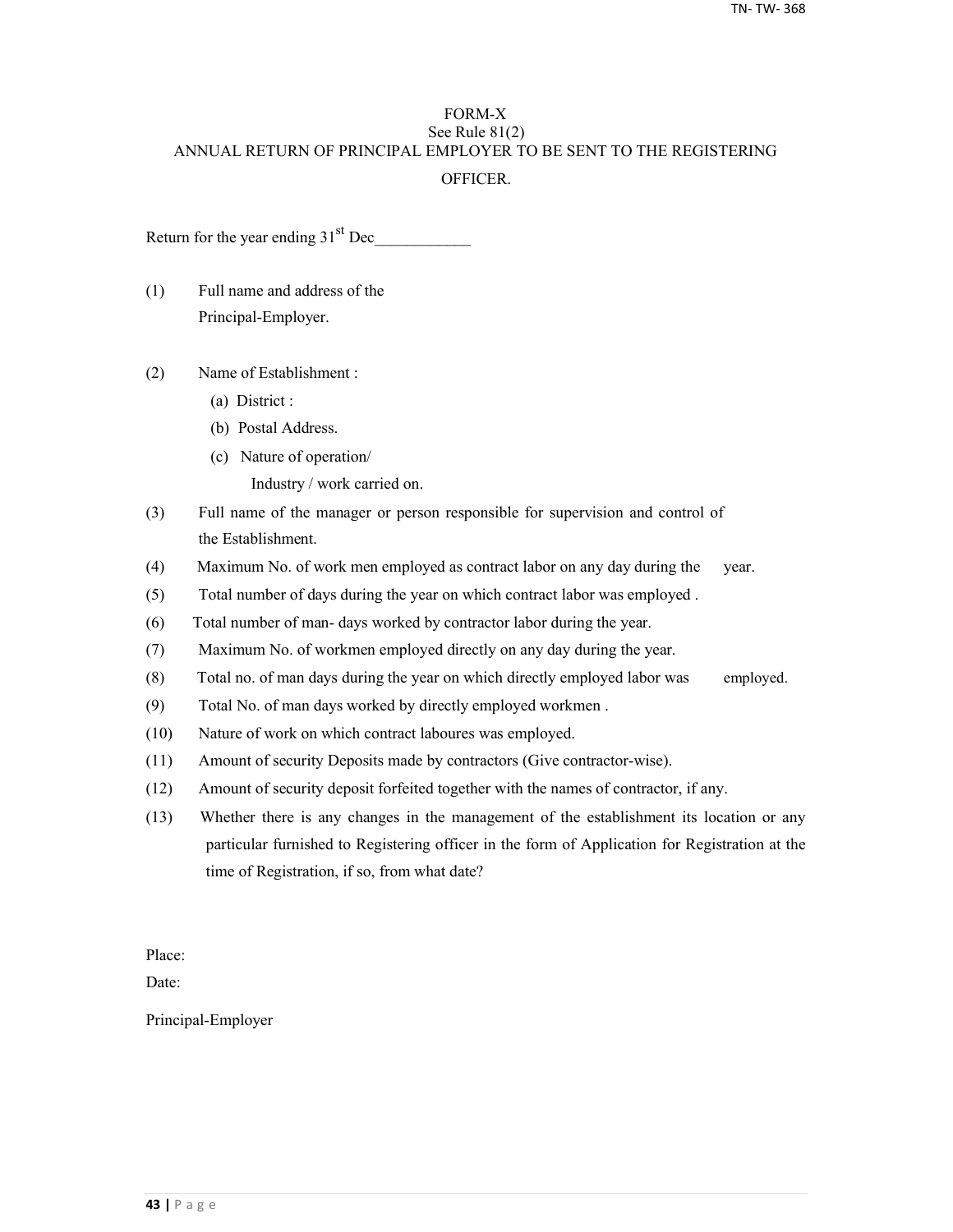## FORM-X See Rule 81(2) ANNUAL RETURN OF PRINCIPAL EMPLOYER TO BE SENT TO THE REGISTERING **OFFICER**

Return for the year ending  $31<sup>st</sup>$  Dec

- (1) Full name and address of the Principal-Employer.
- (2) Name of Establishment :
	- (a) District :
	- (b) Postal Address.
	- (c) Nature of operation/
		- Industry / work carried on.
- (3) Full name of the manager or person responsible for supervision and control of the Establishment.
- (4) Maximum No. of work men employed as contract labor on any day during the year.
- (5) Total number of days during the year on which contract labor was employed .
- (6) Total number of man- days worked by contractor labor during the year.
- (7) Maximum No. of workmen employed directly on any day during the year.
- (8) Total no. of man days during the year on which directly employed labor was employed.
- (9) Total No. of man days worked by directly employed workmen .
- (10) Nature of work on which contract laboures was employed.
- (11) Amount of security Deposits made by contractors (Give contractor-wise).
- (12) Amount of security deposit forfeited together with the names of contractor, if any.
- (13) Whether there is any changes in the management of the establishment its location or any particular furnished to Registering officer in the form of Application for Registration at the time of Registration, if so, from what date?

Place:

Date:

Principal-Employer